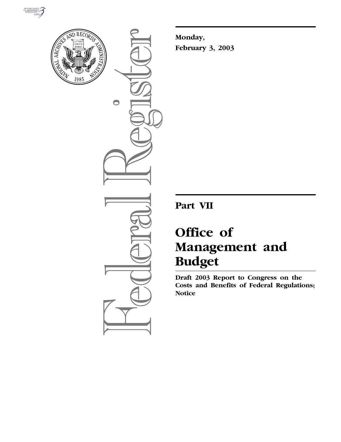



 $\bigcirc$ 

**Monday, February 3, 2003**

**Part VII**

# **Office of Management and Budget**

**Draft 2003 Report to Congress on the Costs and Benefits of Federal Regulations; Notice**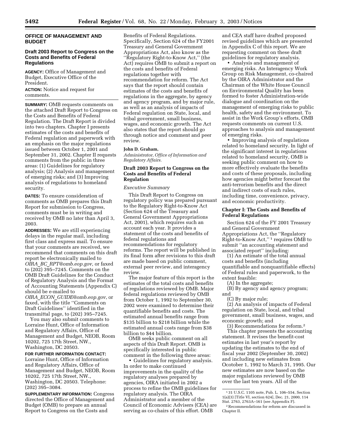## **OFFICE OF MANAGEMENT AND BUDGET**

# **Draft 2003 Report to Congress on the Costs and Benefits of Federal Regulations**

**AGENCY:** Office of Management and Budget, Executive Office of the President.

**ACTION:** Notice and request for comments.

**SUMMARY:** OMB requests comments on the attached Draft Report to Congress on the Costs and Benefits of Federal Regulation. The Draft Report is divided into two chapters. Chapter I presents estimates of the costs and benefits of Federal regulation and paperwork with an emphasis on the major regulations issued between October 1, 2001 and September 31, 2002. Chapter II requests comments from the public in three areas: (1) Guidelines for regulatory analysis; (2) Analysis and management of emerging risks; and (3) Improving analysis of regulations to homeland security.

**DATES:** To ensure consideration of comments as OMB prepares this Draft Report for submission to Congress, comments must be in writing and received by OMB no later than April 3, 2003.

**ADDRESSES:** We are still experiencing delays in the regular mail, including first class and express mail. To ensure that your comments are received, we recommend that comments on this draft report be electronically mailed to *OIRA*\_*BC*\_*RPT@omb.eop.gov,* or faxed to (202) 395–7245. Comments on the OMB Draft Guidelines for the Conduct of Regulatory Analysis and the Format of Accounting Statements (Appendix C) should be e-mailed to *OIRA*\_*ECON*\_*GUIDE@omb.eop.gov*, or faxed, with the title ''Comments on Draft Guidelines'' identified in the transmittal page, to (202) 395–7245.

You may also submit comments to Lorraine Hunt, Office of Information and Regulatory Affairs, Office of Management and Budget, NEOB, Room 10202, 725 17th Street, NW., Washington, DC 20503.

### **FOR FURTHER INFORMATION CONTACT:**

Lorraine Hunt, Office of Information and Regulatory Affairs, Office of Management and Budget, NEOB, Room 10202, 725 17th Street, NW., Washington, DC 20503. Telephone: (202) 395–3084.

**SUPPLEMENTARY INFORMATION:** Congress directed the Office of Management and Budget (OMB) to prepare an annual Report to Congress on the Costs and

Benefits of Federal Regulations. Specifically, Section 624 of the FY2001 Treasury and General Government Appropriations Act, also know as the ''Regulatory Right-to-Know Act,'' (the Act) requires OMB to submit a report on the costs and benefits of Federal regulations together with recommendation for reform. The Act says that the report should contain estimates of the costs and benefits of regulations in the aggregate, by agency and agency program, and by major rule, as well as an analysis of impacts of Federal regulation on State, local, and tribal government, small business, wages, and economic growth. The Act also states that the report should go through notice and comment and peer review.

#### **John D. Graham,**

*Administrator, Office of Information and Regulatory Affairs.*

# **Draft 2003 Report to Congress on the Costs and Benefits of Federal Regulation**

### *Executive Summary*

This Draft Report to Congress on regulatory policy was prepared pursuant to the Regulatory Right-to-Know Act (Section 624 of the Treasury and General Government Appropriations Act, 2001), which requires such an account each year. It provides a statement of the costs and benefits of federal regulations and recommendations for regulatory reforms. The report will be published in its final form after revisions to this draft are made based on public comment, external peer review, and interagency review.

The major feature of this report is the estimates of the total costs and benefits of regulations reviewed by OMB. Major federal regulations reviewed by OMB from October 1, 1992 to September 30, 2002 were examined to determine their quantifiable benefits and costs. The estimated annual benefits range from \$135 billion to \$218 billion while the estimated annual costs range from \$38 billion to \$44 billion.

OMB seeks public comment on all aspects of this Draft Report. OMB is specifically interested in public comment in the following three areas:

• Guidelines for regulatory analysis. In order to make continued improvements in the quality of the regulatory analyses prepared by agencies, OIRA initiated in 2002 a process to refine the OMB guidelines for regulatory analysis. The OIRA Administrator and a member of the Council of Economic Advisers (CEA) are serving as co-chairs of this effort. OMB

and CEA staff have drafted proposed revised guidelines which are presented in Appendix C of this report. We are requesting comment on these draft guidelines for regulatory analysis.

• Analysis and management of emerging risks. An Interagency Work Group on Risk Management, co-chaired by the OIRA Administrator and the Chairman of the White House Council on Environmental Quality has been formed to foster Administration-wide dialogue and coordination on the management of emerging risks to public health, safety and the environment. To assist in the Work Group's efforts, OMB requests comments on current U.S. approaches to analysis and management of emerging risks.

• Improving analysis of regulations related to homeland security. In light of the significant interest in regulations related to homeland security, OMB is seeking public comment on how to more effectively evaluate the benefits and costs of these proposals, including how agencies might better forecast the anti-terrorism benefits and the direct and indirect costs of such rules, including time, convenience, privacy, and economic productivity.

### **Chapter I: The Costs and Benefits of Federal Regulations**

Section 624 of the FY 2001 Treasury and General Government Appropriations Act, the ''Regulatory Right-to-Know Act,'' 1 requires OMB to submit ''an accounting statement and associated report'' including:

(1) An estimate of the total annual costs and benefits (including quantifiable and nonquantifiable effects) of Federal rules and paperwork, to the extent feasible:

(A) In the aggregate;

(B) By agency and agency program; and

(C) By major rule;

(2) An analysis of impacts of Federal regulation on State, local, and tribal government, small business, wages, and economic growth; and

(3) Recommendations for reform.2 This chapter presents the accounting statement. It revises the benefit-cost estimates in last year's report by updating the estimates to the end of fiscal year 2002 (September 30, 2002) and including new estimates from Ocotober 1, 1992 to March 31, 1995. Our new estimates are now based on the major regulations reviewed by OMB over the last ten years. All of the

<sup>1</sup> 31 U.S.C. 1105 note, Pub. L. 106–554, Section 1(a)(3) [Title VI, section 624], Dec. 21, 2000, 114 Stat. 2763, 2763A–161 (see Appendix F).

<sup>2</sup>Recommendations for reform are discussed in Chapter II.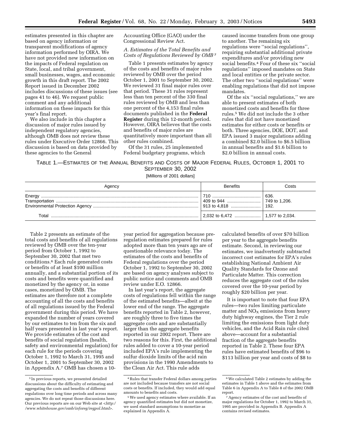estimates presented in this chapter are based on agency information or transparent modifications of agency information performed by OIRA. We have not provided new information on the impacts of Federal regulation on State, local, and tribal government, small businesses, wages, and economic growth in this draft report. The 2002 Report issued in December 2002 includes discussions of these issues (see pages 41 to 46). We request public comment and any additional information on these impacts for this year's final report.

We also include in this chapter a discussion of major rules issued by independent regulatory agencies, although OMB does not review these rules under Executive Order 12866. This discussion is based on data provided by these agencies to the General

Accounting Office (GAO) under the Congressional Review Act.

# *A. Estimates of the Total Benefits and Costs of Regulations Reviewed by OMB 3*

Table 1 presents estimates by agency of the costs and benefits of major rules reviewed by OMB over the period October 1, 2001 to September 30, 2002. We reviewed 31 final major rules over that period. These 31 rules represent less than ten percent of the 330 final rules reviewed by OMB and less than one percent of the 4,153 final rules documents published in the **Federal Register** during this 12-month period. However, OIRA believes that the costs and benefits of major rules are quantitatively more important than all other rules combined.

Of the 31 rules, 25 implemented Federal budgetary programs, which caused income transfers from one group to another. The remaining six regulations were ''social regulations'', requiring substantial additional private expenditures and/or providing new social benefits.4 Four of these six ''social regulations'' imposed mandates on State and local entities or the private sector. The other two ''social regulations'' were enabling regulations that did not impose mandates.

Of the six ''social regulations,'' we are able to present estimates of both monetized costs and benefits for three rules.5 We did not include the 3 other rules that did not have monetized estimates for either costs or benefits or both. Three agencies, DOE, DOT, and EPA issued 3 major regulations adding a combined \$2.0 billion to \$6.5 billion in annual benefits and \$1.6 billion to \$2.0 billion in annual costs.

# TABLE 1.—ESTIMATES OF THE ANNUAL BENEFITS AND COSTS OF MAJOR FEDERAL RULES, OCTOBER 1, 2001 TO SEPTEMBER 30, 2002

[Millions of 2001 dollars]

| Agency | <b>Benefits</b>                | Costs                 |
|--------|--------------------------------|-----------------------|
|        | 710.<br>  913 to 4,818    192. | 636.<br>749 to 1,206. |
| T∩tal  |                                |                       |

Table 2 presents an estimate of the total costs and benefits of all regulations reviewed by OMB over the ten-year period from October 1, 1992 to September 30, 2002 that met two conditions.6 Each rule generated costs or benefits of at least \$100 million annually, and a substantial portion of its costs and benefits were quantified and monetized by the agency or, in some cases, monetized by OMB. The estimates are therefore not a complete accounting of all the costs and benefits of all regulations issued by the Federal government during this period. We have expanded the number of years covered by our estimates to ten from the six and half years presented in last year's report. We provide estimates of the cost and benefits of social regulation (health, safety and environmental regulation) for each rule for the periods covering October 1, 1992 to March 31, 1995 and October 1, 2001 to September 30, 2002 in Appendix A.7 OMB has chosen a 10year period for aggregation because preregulation estimates prepared for rules adopted more than ten years ago are of questionable relevance today. The estimates of the costs and benefits of Federal regulations over the period October 1, 1992 to September 30, 2002 are based on agency analyses subject to public notice and comments and OMB review under E.O. 12866.

In last year's report, the aggregate costs of regulations fell within the range of the estimated benefits—albeit at the lower end of the range. The aggregate benefits reported in Table 2, however, are roughly three to five times the aggregate costs and are substantially larger than the aggregate benefits reported in our 2002 report. There are two reasons for this. First, the additional rules added to cover a 10-year period included EPA's rule implementing the sulfur dioxide limits of the acid rain provisions in the 1990 Amendments to the Clean Air Act. This rule adds

calculated benefits of over \$70 billion per year to the aggregate benefits estimate. Second, in reviewing our estimates, we inadvertently subtracted incorrect cost estimates for EPA's rules establishing National Ambient Air Quality Standards for Ozone and Particulate Matter. This correction reduces the aggregate cost of the rules covered over the 10-year period by roughly \$20 billion per year.

It is important to note that four EPA rules—two rules limiting particulate matter and  $NO<sub>X</sub>$  emissions from heavy duty highway engines, the Tier 2 rule limiting the emissions from light duty vehicles, and the Acid Rain rule cited above—account for a substantial fraction of the aggregate benefits reported in Table 2. These four EPA rules have estimated benefits of \$96 to \$113 billion per year and costs of \$8 to

<sup>3</sup> In previous reports, we presented detailed discussions about the difficulty of estimating and aggregating the costs and benefits of different regulations over long time periods and across many agencies. We do not repeat those discussions here. Our previous reports are on our Web site at *<http:/ /www.whitehouse.gov/omb/inforeg/regpol.html>*.

<sup>4</sup>Rules that transfer Federal dollars among parties are not included because transfers are not social costs or benefits. If included, they would add equal amounts to benefits and costs.

<sup>5</sup>We used agency estimates where available. If an agency quantified estimates but did not monetize, we used standard assumptions to monetize as explained in Appendix A.

<sup>6</sup>We calculated Table 2 estimates by adding the estimates in Table 1 above and the estimates from Table 6 in Appendix A to Table 8 of the 2002 OMB report.

<sup>7</sup>Agency estimates of the cost and benefits of major regulations for October 1, 1992 to March 31, 1995 are provided in Appendix B. Appendix A contains revised estimates.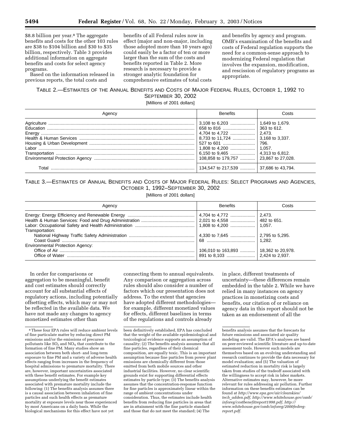\$8.8 billion per year.<sup>8</sup> The aggregate benefits and costs for the other 103 rules are \$38 to \$104 billion and \$30 to \$35 billion, respectively. Table 3 provides additional information on aggregate benefits and costs for select agency programs.

Based on the information released in previous reports, the total costs and

benefits of all Federal rules now in effect (major and non-major, including those adopted more than 10 years ago) could easily be a factor of ten or more larger than the sum of the costs and benefits reported in Table 2. More research is necessary to provide a stronger analytic foundation for comprehensive estimates of total costs

and benefits by agency and program. OMB's examination of the benefits and costs of Federal regulation supports the need for a common-sense approach to modernizing Federal regulation that involves the expansion, modification, and rescission of regulatory programs as appropriate.

# TABLE 2.—ESTIMATES OF THE ANNUAL BENEFITS AND COSTS OF MAJOR FEDERAL RULES, OCTOBER 1, 1992 TO SEPTEMBER 30, 2002

[Millions of 2001 dollars]

| Agency | <b>Benefits</b>                         | Costs |
|--------|-----------------------------------------|-------|
|        | 108.858 to 179.757    23.867 to 27.028. | 796.  |
| T∩tal  | 134,547 to 217,539    37,686 to 43,794. |       |

# TABLE 3.—ESTIMATES OF ANNUAL BENEFITS AND COSTS OF MAJOR FEDERAL RULES: SELECT PROGRAMS AND AGENCIES, OCTOBER 1, 1992–SEPTEMBER 30, 2002

[Millions of 2001 dollars]

| Agency                                                                                                                                                                                                                                              | <b>Benefits</b>                         | Costs |
|-----------------------------------------------------------------------------------------------------------------------------------------------------------------------------------------------------------------------------------------------------|-----------------------------------------|-------|
|                                                                                                                                                                                                                                                     |                                         |       |
| Transportation:<br>.2,795 http://way.org/files.com/instruction///watch?uddinglently.com/institute/data-community-community-commun<br>match of the set of the set of the community-community-community-community-community-community-community-commu |                                         |       |
| <b>Environmental Protection Agency:</b>                                                                                                                                                                                                             | 106.010 to 163.893    18.362 to 20.978. |       |

In order for comparisons or aggregation to be meaningful, benefit and cost estimates should correctly account for all substantial effects of regulatory actions, including potentially offsetting effects, which may or may not be reflected in the available data. We have not made any changes to agency monetized estimates other than

connecting them to annual equivalents. Any comparison or aggregation across rules should also consider a number of factors which our presentation does not address. To the extent that agencies have adopted different methodologies for example, different monetized values for effects, different baselines in terms of the regulations and controls already

in place, different treatments of uncertainty—these differences remain embedded in the table 2. While we have relied in many instances on agency practices in monetizing costs and benefits, our citation of or reliance on agency data in this report should not be taken as an endorsement of all the

<sup>8</sup>These four EPA rules will reduce ambient levels of fine particulate matter by reducing direct PM emissions and/or the emissions of precursor pollutants like  $SO_2$  and  $NO_X$  that contribute to the formation of fine PM. Many studies show an association between both short- and long-term exposure to fine PM and a variety of adverse health effects ranging from increases in the frequency of hospital admissions to premature mortality. There are, however, important uncertainties associated with these benefit estimates. For example key assumptions underlying the benefit estimates associated with premature mortality include the following: (1) The benefits analysis assumes there is a causal association between inhalation of fine particles and such health effects as premature mortality at exposure levels near those experienced by most Americans on a daily basis. While the biological mechanisms for this effect have not yet

been definitively established, EPA has concluded that the weight of the available epidemiological and toxicological evidence supports an assumption of causality; (2) The benefits analysis assumes that all fine particles, regardless of their chemical composition, are equally toxic. This is an important assumption because fine particles from power plant emissions are chemically different from those emitted from both mobile sources and other industrial facilities. However, no clear scientific grounds exist for supporting differential effects estimates by particle type; (3) The benefits analysis assumes that the concentration-response function for fine particles is approximately linear within the range of ambient concentrations under consideration. Thus, the estimates include health benefits from reducing fine particles in areas that are in attainment with the fine particle standard and those that do not meet the standard; (4) The

benefits analysis assumes that the forecasts for future emissions and associated air quality modeling are valid. The EPA's analyses are based on peer-reviewed scientific literature and up-to-date assessment tools. However such models are themselves based on an evolving understanding and research continues to provide the data necessary for model evaluation; and (5) The valuation of estimated reduction in mortality risk is largely taken from studies of the tradeoff associated with the willingness to accept risk in labor markets. Alternative estimates may, however, be more relevant for rules addressing air pollution. Further information on these benefits estimates can be found at *http://www.epa.gov/air/clearskies/ tech*\_*adden.pdf*, *http://www.whitehouse.gov/omb/ inforeg/costbenefitreport1998.pdf*, *http:// www.whitehouse.gov/omb/inforeg/2000fedregreport.pdf.*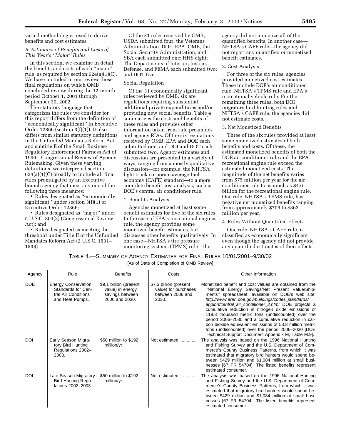varied methodologies used to derive benefits and cost estimates.

# *B. Estimates of Benefits and Costs of This Year's ''Major'' Rules*

In this section, we examine in detail the benefits and costs of each ''major'' rule, as required by section  $624(a)(1)(C)$ . We have included in our review those final regulations on which OMB concluded review during the 12-month period October 1, 2001 through September 30, 2002.

The statutory language that categorizes the rules we consider for this report differs from the definition of ''economically significant'' in Executive Order  $12866$  (section  $3(f)(1)$ ). It also differs from similar statutory definitions in the Unfunded Mandates Reform Act and subtitle E of the Small Business Regulatory Enforcement Fairness Act of 1996—Congressional Review of Agency Rulemaking. Given these varying definitions, we interpreted section 624(a)(1)(C) broadly to include all final rules promulgated by an Executive branch agency that meet any one of the following three measures:

• Rules designated as ''economically significant'' under section 3(f)(1) of Executive Order 12866;

• Rules designated as ''major'' under 5 U.S.C. 804(2) (Congressional Review Act); and

• Rules designated as meeting the threshold under Title II of the Unfunded Mandates Reform Act (2 U.S.C. 1531– 1538)

Of the 31 rules received by OMB, USDA submitted four; the Veterans Administration, DOE, EPA, OMB, the Social Security Administration, and SBA each submitted one; HHS eight; The Departments of Interior, Justice, Defense, and FEMA each submitted two; and DOT five.

#### Social Regulation

Of the 31 economically significant rules reviewed by OMB, six are regulations requiring substantial additional private expenditures and/or providing new social benefits. Table 4 summarizes the costs and benefits of these rules and provides other information taken from rule preambles and agency RIAs. Of the six regulations received by OMB, EPA and DOE each submitted one, and DOI and DOT each submitted two. Agency estimates and discussion are presented in a variety of ways, ranging from a mostly qualitative discussion—for example, the NHTSA light truck corporate average fuel economy (CAFE) standard—to a more complete benefit-cost analysis, such as DOE's central air conditioner rule.

#### 1. Benefits Analysis

Agencies monetized at least some benefit estimates for five of the six rules. In the case of EPA's recreational engines rule, the agency provides some monetized benefit estimates, but discusses other benefits qualitatively. In one case—NHTSA's tire pressure monitoring systems (TPMS) rule—the

agency did not monetize all of the quantified benefits. In another case— NHTSA's CAFE rule—the agency did not report any quantified or monetized benefit estimates.

### 2. Cost Analysis

For three of the six rules, agencies provided monetized cost estimates. These include DOE's air conditioner rule, NHTSA's TPMS rule and EPA's recreational vehicle rule. For the remaining three rules, both DOI migratory bird hunting rules and NHTSA's CAFE rule, the agencies did not estimate costs.

#### 3. Net Monetized Benefits

Three of the six rules provided at least some monetized estimates of both benefits and costs. Of these, the estimated monetized benefits of both the DOE air conditioner rule and the EPA recreational engine rule exceed the estimated monetized costs. The magnitude of the net benefits varies from \$75 million per year for the air conditioner rule to as much as \$4.6 billion for the recreational engine rule. One rule, NHTSA's TPMS rule, has negative net monetized benefits ranging from approximately \$706 to \$862 million per year.

#### 4. Rules Without Quantified Effects

One rule, NHTSA's CAFE rule, is classified as economically significant even though the agency did not provide any quantified estimates of their effects.

# TABLE 4.—SUMMARY OF AGENCY ESTIMATES FOR FINAL RULES 10/01/2001–9/30/02

[As of Date of Completion of OMB Review]

| Agency     | Rule                                                                                       | <b>Benefits</b>                                                                 | Costs                                                                       | Other Information                                                                                                                                                                                                                                                                                                                                                                                                                                                                                                                                                                                                         |
|------------|--------------------------------------------------------------------------------------------|---------------------------------------------------------------------------------|-----------------------------------------------------------------------------|---------------------------------------------------------------------------------------------------------------------------------------------------------------------------------------------------------------------------------------------------------------------------------------------------------------------------------------------------------------------------------------------------------------------------------------------------------------------------------------------------------------------------------------------------------------------------------------------------------------------------|
| DOE        | <b>Energy Conservation</b><br>Standards for Cen-<br>tral Air Conditions<br>and Heat Pumps. | \$9.1 billion (present<br>value) in energy<br>savings between<br>2006 and 2030. | \$7.3 billion (present<br>value) for purchases<br>between 2006 and<br>2030. | Monetized benefit and cost values are obtained from the<br>"National Energy Savings/Net Present Value/Ship-<br>ments" spreadsheet, available on DOE's web site:<br>http://www.eren.doe.gov/buildings/codes standards/<br>applbrf/central air conditioner 3.html DOE projects a<br>cumulative reduction in nitrogen oxide emissions of<br>119.3 thousand metric tons (undiscounted) over the<br>period 2006-2030 and a cumulative reduction in car-<br>bon dioxide equivalent emissions of 53.8 million metric<br>tons (undiscounted) over the period 2006-2030 [DOE<br>Technical Support Document Appendix M, Table M.9]. |
| <b>DOI</b> | Early Season Migra-<br>tory Bird Hunting<br>Regulations 2002-<br>2003.                     | \$50 million to \$192<br>million/yr.                                            | Not estimated                                                               | The analysis was based on the 1996 National Hunting<br>and Fishing Survey and the U.S. Department of Com-<br>merce's County Business Patterns, from which it was<br>estimated that migratory bird hunters would spend be-<br>tween \$429 million and \$1,084 million at small busi-<br>nesses [67 FR 54704]. The listed benefits represent<br>estimated consumer.                                                                                                                                                                                                                                                         |
| <b>DOI</b> | Late-Season Migratory<br><b>Bird Hunting Regu-</b><br>lations 2002-2003.                   | \$50 million to \$192<br>million/yr.                                            | Not estimated                                                               | The analysis was based on the 1996 National Hunting<br>and Fishing Survey and the U.S. Department of Com-<br>merce's County Business Patterns, from which it was<br>estimated that migratory bird hunters would spend be-<br>tween \$429 million and \$1,084 million at small busi-<br>nesses [67 FR 54704]. The listed benefits represent<br>estimated consumer.                                                                                                                                                                                                                                                         |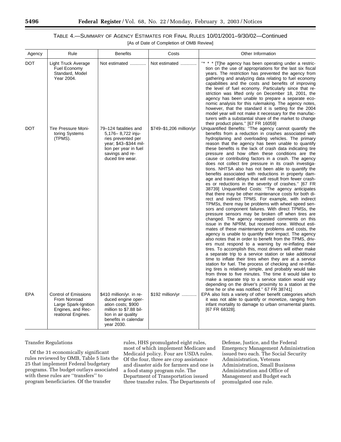| Agency     | Rule                                                                                                           | <b>Benefits</b>                                                                                                                                             | Costs                    | Other Information                                                                                                                                                                                                                                                                                                                                                                                                                                                                                                                                                                                                                                                                                                                                                                                                                                                                                                                                                                                                                                                                                                                                                                                                                                                                                                                                                                                                                                                                                                                                                                                                                                                                                                                                                                                                                                                                                                                                          |
|------------|----------------------------------------------------------------------------------------------------------------|-------------------------------------------------------------------------------------------------------------------------------------------------------------|--------------------------|------------------------------------------------------------------------------------------------------------------------------------------------------------------------------------------------------------------------------------------------------------------------------------------------------------------------------------------------------------------------------------------------------------------------------------------------------------------------------------------------------------------------------------------------------------------------------------------------------------------------------------------------------------------------------------------------------------------------------------------------------------------------------------------------------------------------------------------------------------------------------------------------------------------------------------------------------------------------------------------------------------------------------------------------------------------------------------------------------------------------------------------------------------------------------------------------------------------------------------------------------------------------------------------------------------------------------------------------------------------------------------------------------------------------------------------------------------------------------------------------------------------------------------------------------------------------------------------------------------------------------------------------------------------------------------------------------------------------------------------------------------------------------------------------------------------------------------------------------------------------------------------------------------------------------------------------------------|
| DOT        | <b>Light Truck Average</b><br>Fuel Economy<br>Standard, Model<br>Year 2004.                                    | Not estimated                                                                                                                                               | Not estimated            | "* * * [T]he agency has been operating under a restric-<br>tion on the use of appropriations for the last six fiscal<br>years. The restriction has prevented the agency from<br>gathering and analyzing data relating to fuel economy<br>capabilities and the costs and benefits of improving<br>the level of fuel economy. Particularly since that re-<br>striction was lifted only on December 18, 2001, the<br>agency has been unable to prepare a separate eco-<br>nomic analysis for this rulemaking. The agency notes,<br>however, that the standard it is setting for the 2004<br>model year will not make it necessary for the manufac-<br>turers with a substantial share of the market to change                                                                                                                                                                                                                                                                                                                                                                                                                                                                                                                                                                                                                                                                                                                                                                                                                                                                                                                                                                                                                                                                                                                                                                                                                                                 |
| <b>DOT</b> | Tire Pressure Moni-<br>toring Systems<br>(TPMS).                                                               | 79-124 fatalities and<br>5,176-8,722 inju-<br>ries prevented per<br>year; \$43-\$344 mil-<br>lion per year in fuel<br>savings and re-<br>duced tire wear.   | \$749-\$1,206 million/yr | their product plans." [67 FR 16059]<br>Unquantified Benefits: "The agency cannot quantify the<br>benefits from a reduction in crashes associated with<br>hydroplaning and overloading vehicles. The primary<br>reason that the agency has been unable to quantify<br>these benefits is the lack of crash data indicating tire<br>pressure and how often these conditions are the<br>cause or contributing factors in a crash. The agency<br>does not collect tire pressure in its crash investiga-<br>tions. NHTSA also has not been able to quantify the<br>benefits associated with reductions in property dam-<br>age and travel delays that will result from fewer crash-<br>es or reductions in the severity of crashes." [67 FR<br>38739] Unquantified Costs: "The agency anticipates<br>that there may be other maintenance costs for both di-<br>rect and indirect TPMS. For example, with indirect<br>TPMSs, there may be problems with wheel speed sen-<br>sors and component failures. With direct TPMSs, the<br>pressure sensors may be broken off when tires are<br>changed. The agency requested comments on this<br>issue in the NPRM, but received none. Without esti-<br>mates of these maintenance problems and costs, the<br>agency is unable to quantify their impact. The agency<br>also notes that in order to benefit from the TPMS, driv-<br>ers must respond to a warning by re-inflating their<br>tires. To accomplish this, most drivers will either make<br>a separate trip to a service station or take additional<br>time to inflate their tires when they are at a service<br>station for fuel. The process of checking and re-inflat-<br>ing tires is relatively simple, and probably would take<br>from three to five minutes. The time it would take to<br>make a separate trip to a service station would vary<br>depending on the driver's proximity to a station at the<br>time he or she was notified." 67 FR 38741] |
| <b>EPA</b> | <b>Control of Emissions</b><br>From Nonroad<br>Large Spark-Ignition<br>Engines, and Rec-<br>reational Engines. | \$410 million/yr. in re-<br>duced engine oper-<br>ation costs; \$900<br>million to \$7.88 bil-<br>lion in air quality<br>benefits in calendar<br>year 2030. | \$192 million/yr         | EPA also lists a variety of other benefit categories which<br>it was not able to quantify or monetize, ranging from<br>infant mortality to damage to urban ornamental plants.<br>[67 FR 68328].                                                                                                                                                                                                                                                                                                                                                                                                                                                                                                                                                                                                                                                                                                                                                                                                                                                                                                                                                                                                                                                                                                                                                                                                                                                                                                                                                                                                                                                                                                                                                                                                                                                                                                                                                            |

# TABLE 4.—SUMMARY OF AGENCY ESTIMATES FOR FINAL RULES 10/01/2001–9/30/02—Continued

[As of Date of Completion of OMB Review]

# Transfer Regulations

Of the 31 economically significant rules reviewed by OMB, Table 5 lists the 25 that implement Federal budgetary programs. The budget outlays associated with these rules are ''transfers'' to program beneficiaries. Of the transfer

rules, HHS promulgated eight rules, most of which implement Medicare and Medicaid policy. Four are USDA rules. Of the four, three are crop assistance and disaster aids for farmers and one is a food stamp program rule. The Department of Transportation issued three transfer rules. The Departments of

Defense, Justice, and the Federal Emergency Management Administration issued two each. The Social Security Administration, Veterans Administration, Small Business Administration and Office of Management and Budget each promulgated one rule.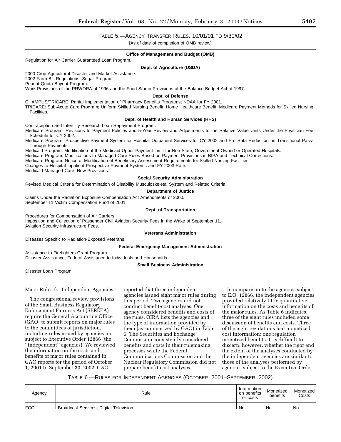TABLE 5.—AGENCY TRANSFER RULES: 10/01/01 TO 9/30/02

[As of date of completion of OMB review]

#### **Office of Management and Budget (OMB)**

Regulation for Air Carrier Guaranteed Loan Program.

# **Dept. of Agriculture (USDA)**

2000 Crop Agricultural Disaster and Market Assistance.

2002 Farm Bill Regulations: Sugar Program.

Peanut Quota Buyout Program.

Work Provisions of the PRWORA of 1996 and the Food Stamp Provisions of the Balance Budget Act of 1997.

#### **Dept. of Defense**

CHAMPUS/TRICARE: Partial Implementation of Pharmacy Benefits Programs; NDAA for FY 2001. TRICARE: Sub-Acute Care Program; Uniform Skilled Nursing Benefit; Home Healthcare Benefit; Medicare Payment Methods for Skilled Nursing Facilities.

#### **Dept. of Health and Human Services (HHS)**

Contraception and Infertility Research Loan Repayment Program.

Medicare Program: Revisions to Payment Policies and 5-Year Review and Adjustments to the Relative Value Units Under the Physician Fee Schedule for CY 2002.

Medicare Program: Prospective Payment System for Hospital Outpatient Services for CY 2002 and Pro Rata Reduction on Transitional Pass-Through Payments.

Medicaid Program: Modification of the Medicaid Upper Payment Limit for Non-State, Government-Owned or Operated Hospitals.

Medicare Program: Modifications to Managed Care Rules Based on Payment Provisions in BIPA and Technical Corrections.

Medicare Program: Notice of Modification of Beneficiary Assessment Requirements for Skilled Nursing Facilities.

Changes to Hospital Inpatient Prospective Payment Systems and FY 2003 Rate.

Medicaid Managed Care; New Provisions.

### **Social Security Administration**

Revised Medical Criteria for Determination of Disability Musculoskeletal System and Related Criteria.

#### **Department of Justice**

Claims Under the Radiation Exposure Compensation Act Amendments of 2000. September 11 Victim Compensation Fund of 2001.

#### **Dept. of Transportation**

Procedures for Compensation of Air Carriers.

Imposition and Collection of Passenger Civil Aviation Security Fees in the Wake of September 11. Aviation Security Infrastructure Fees.

**Veterans Administration**

Diseases Specific to Radiation-Exposed Veterans.

**Federal Emergency Management Administration**

Assistance to Firefighters Grant Program. Disaster Assistance; Federal Assistance to Individuals and Households.

#### **Small Business Administration**

Disaster Loan Program.

Major Rules for Independent Agencies

The congressional review provisions of the Small Business Regulatory Enforcement Fairness Act (SBREFA) require the General Accounting Office (GAO) to submit reports on major rules to the committees of jurisdiction, including rules issued by agencies not subject to Executive Order 12866 (the ''independent'' agencies). We reviewed the information on the costs and benefits of major rules contained in GAO reports for the period of October 1, 2001 to September 30, 2002. GAO

reported that three independent agencies issued eight major rules during this period. Two agencies did not conduct benefit-cost analyses. One agency considered benefits and costs of the rules. OIRA lists the agencies and the type of information provided by them (as summarized by GAO) in Table 6. The Securities and Exchange Commission consistently considered benefits and costs in their rulemaking processes while the Federal Communications Commission and the Nuclear Regulatory Commission did not prepare benefit-cost analyses.

In comparison to the agencies subject to E.O. 12866, the independent agencies provided relatively little quantitative information on the costs and benefits of the major rules. As Table 6 indicates, three of the eight rules included some discussion of benefits and costs. Three of the eight regulations had monetized cost information; one regulation monetized benefits. It is difficult to discern, however, whether the rigor and the extent of the analyses conducted by the independent agencies are similar to those of the analyses performed by agencies subject to the Executive Order.

TABLE 6.—RULES FOR INDEPENDENT AGENCIES (OCTOBER, 2001–SEPTEMBER, 2002)

| Agency | Rule | on benefits<br>or costs | Information   Monetized  <br>benefits | Monetized<br>Costs |
|--------|------|-------------------------|---------------------------------------|--------------------|
|        |      | No                      | ∣ No ………… ∣ No.                       |                    |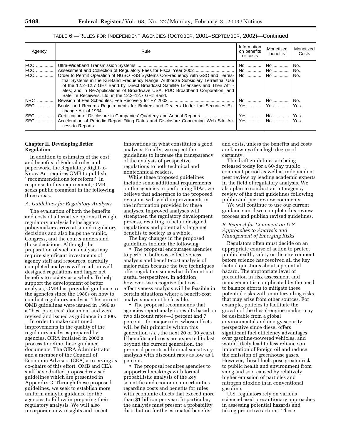| Agency | Rule                                                                                                                                                                                                                                                                                                                                                                                                  | Information<br>on benefits<br>or costs | Monetized<br>benefits | Monetized<br>Costs |
|--------|-------------------------------------------------------------------------------------------------------------------------------------------------------------------------------------------------------------------------------------------------------------------------------------------------------------------------------------------------------------------------------------------------------|----------------------------------------|-----------------------|--------------------|
| FCC    |                                                                                                                                                                                                                                                                                                                                                                                                       |                                        |                       | No.                |
| FCC    |                                                                                                                                                                                                                                                                                                                                                                                                       |                                        |                       | No.                |
| FCC    | Order to Permit Operation of NGSO FSS Systems Co-Frequency with GSO and Terres-<br>trial Systems in the Ku-Band Frequency Range; Authorize Subsidiary Terrestrial Use<br>of the 12.2-12.7 GHz Band by Direct Broadcast Satellite Licensees and Their Affili-<br>ates; and in Re-Applications of Broadwave USA, PDC Broadband Corporation, and<br>Satellite Receivers, Ltd. in the 12.2-12.7 GHz Band. |                                        |                       | No.                |
| NRC    |                                                                                                                                                                                                                                                                                                                                                                                                       |                                        |                       | No.                |
| SEC    | Books and Records Requirements for Brokers and Dealers Under the Securities Ex-   Yes    Yes<br>change Act of 1934.                                                                                                                                                                                                                                                                                   |                                        |                       | Yes.               |
| SEC    | Certification of Disclosure in Companies' Quarterly and Annual Reports    Yes    No                                                                                                                                                                                                                                                                                                                   |                                        |                       | ∣ Yes.             |
|        | SEC    Acceleration of Periodic Report Filing Dates and Disclosure Concerning Web Site Ac-   Yes    No    Yes.<br>cess to Reports.                                                                                                                                                                                                                                                                    |                                        |                       |                    |

# TABLE 6.—RULES FOR INDEPENDENT AGENCIES (OCTOBER, 2001–SEPTEMBER, 2002)—Continued

# **Chapter II. Developing Better Regulation**

In addition to estimates of the cost and benefits of Federal rules and paperwork, the Regulatory Right-to-Know Act requires OMB to publish ''recommendations for reform.'' In response to this requirement, OMB seeks public comment in the following three areas.

#### *A. Guidelines for Regulatory Analysis*

The evaluation of both the benefits and costs of alternative options through regulatory analysis helps agency policymakers arrive at sound regulatory decisions and also helps the public, Congress, and the courts understand those decisions. Although the preparation of such an analysis may require significant investments of agency staff and resources, carefully completed analyses will result in welldesigned regulations and larger net benefits to society as a whole. To help support the development of better analysis, OMB has provided guidance to the agencies since the 1980s on how to conduct regulatory analysis. The current OMB guidelines were issued in 1996 as a ''best practices'' document and were revised and issued as guidance in 2000.

In order to make continued improvements in the quality of the regulatory analyses prepared by agencies, OIRA initiated in 2002 a process to refine these guidance documents. The OIRA Administrator and a member of the Council of Economic Advisers (CEA) are serving as co-chairs of this effort. OMB and CEA staff have drafted proposed revised guidelines which are presented in Appendix C. Through these proposed guidelines, we seek to establish more uniform analytic guidance for the agencies to follow in preparing their regulatory analysis. We will also incorporate new insights and recent

innovations in what constitutes a good analysis. Finally, we expect the guidelines to increase the transparency of the analysis of prospective regulations to both technical and nontechnical readers.

While these proposed guidelines include some additional requirements on the agencies in performing RIAs, we believe that adherence to the proposed revisions will yield improvements in the information provided by these analyses. Improved analyses will strengthen the regulatory development process, resulting in better designed regulations and potentially large net benefits to society as a whole.

The key changes in the proposed guidelines include the following:

• The proposal encourages agencies to perform both cost-effectiveness analysis and benefit-cost analysis of major rules because the two techniques offer regulators somewhat different but useful perspectives. In addition, however, we recognize that costeffectiveness analysis will be feasible in certain situations where a benefit-cost analysis may not be feasible.

• The proposal recommends that agencies report analytic results based on two discount rates—3 percent and 7 percent—for major rules whose effects will be felt primarily within this generation (*i.e.*, the next 20 or 30 years). If benefits and costs are expected to last beyond the current generation, the proposal permits additional sensitivity analysis with discount rates as low as 1 percent.

• The proposal requires agencies to support rulemakings with formal probabilistic analysis of the key scientific and economic uncertainties regarding costs and benefits for rules with economic effects that exceed more than \$1 billion per year. In particular, the analysis must present a probability distribution for the estimated benefits

and costs, unless the benefits and costs are known with a high degree of certainty.

The draft guidelines are being released today for a 60-day public comment period as well as independent peer review by leading academic experts in the field of regulatory analysis. We also plan to conduct an interagency review of the draft guidelines following public and peer review comments.

We will continue to use our current guidance until we complete this review process and publish revised guidelines.

#### *B. Request for Comment on U.S. Approaches to Analysis and Management of Emerging Risks*

Regulators often must decide on an appropriate course of action to protect public health, safety or the environment before science has resolved all the key factual questions about a potential hazard. The appropriate level of precaution in risk assessment and management is complicated by the need to balance efforts to mitigate these potential risks with countervailing risks that may arise from other sources. For example, policies to facilitate the growth of the diesel-engine market may be desirable from a global environmental and energy security perspective since diesel offers significant fuel efficiency advantages over gasoline-powered vehicles, and would likely lead to less reliance on importation of foreign oil and reduce the emission of greenhouse gases. However, diesel fuels pose greater risk to public health and environment from smog and soot caused by relatively higher emission of particles and nitrogen dioxide than conventional gasoline.

U.S. regulators rely on various science-based precautionary approaches in assessing potential hazards and taking protective actions. These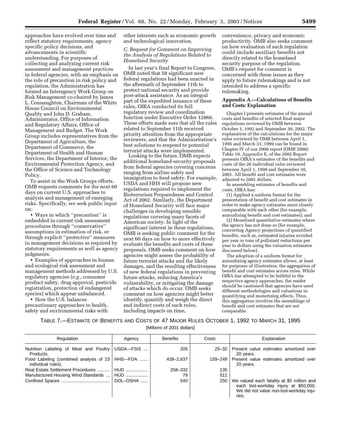approaches have evolved over time and reflect statutory requirements, agency specific policy decisions, and advancements in scientific understanding. For purposes of collecting and analyzing current risk assessment and management practices in federal agencies, with an emphasis on the role of precaution in risk policy and regulation, the Administration has formed an Interagency Work Group on Risk Management co-chaired by James L. Connaughton, Chairman of the White House Council on Environmental Quality and John D. Graham, Administrator, Office of Information and Regulatory Affairs, Office of Management and Budget. The Work Group includes representatives from the Department of Agriculture, the Department of Commerce, the Department of Health and Human Services, the Department of Interior, the Environmental Protection Agency, and the Office of Science and Technology Policy.

To assist in the Work Groups efforts, OMB requests comments for the next 60 days on current U.S. approaches to analysis and management of emerging risks. Specifically, we seek public input on:

• Ways in which ''precaution'' is embedded in current risk assessment procedures through ''conservative'' assumptions in estimation of risk, or through explicit ''protective'' measures in management decisions as required by statutory requirements as well as agency judgments.

• Examples of approaches in human and ecological risk assessment and management methods addressed by U.S. regulatory agencies (*e.g.*, consumer product safety, drug approval, pesticide registration, protection of endangered species) which appear unbalanced.

• How the U.S. balances precautionary approaches to health, safety and environmental risks with other interests such as economic growth and technological innovation.

### *C. Request for Comment on Improving the Analysis of Regulations Related to Homeland Security*

In last year's final Report to Congress, OMB noted that 58 significant new federal regulations had been enacted in the aftermath of September 11th to protect national security and provide post-attack assistance. As an integral part of the expedited issuance of these rules, OIRA conducted its full regulatory review and coordination function under Executive Order 12866. These efforts made sure that all the rules related to September 11th received priority attention from the appropriate reviewers, and that the Administration's best solutions to respond to potential terrorist attacks were implemented.

Looking to the future, OMB expects additional homeland-security proposals from federal agencies covering concerns ranging from airline safety and immigration to food safety. For example, USDA and HHS will propose new regulations required to implement the Bioterrorism Preparedness and Control Act of 2002. Similarly, the Department of Homeland Security will face major challenges in developing sensible regulations covering many facets of American society. In light of the significant interest in these regulations, OMB is seeking public comment for the next 60 days on how to more effectively evaluate the benefits and costs of these proposals. OMB seeks comment on how agencies might assess the probability of future terrorist attacks and the likely damages, and the resulting effectiveness of new federal regulations in preventing future attacks, reducing America's vulnerability, or mitigating the damage of attacks which do occur. OMB seeks comment on how agencies might better identify, quantify and weigh the direct and indirect costs of such rules, including impacts on time,

convenience, privacy and economic productivity. OMB also seeks comment on how evaluation of such regulation could include auxiliary benefits not directly related to the homeland security purpose of the regulation. OMB's request for comment is concerned with these issues as they apply to future rulemakings and is not intended to address a specific rulemaking.

# **Appendix A.—Calculations of Benefits and Costs: Explanation**

Chapter I presents estimates of the annual costs and benefits of selected final major regulations reviewed by OMB between October 1, 1992 and September 30, 2002. The explanation of the calculations for the major rules reviewed by OMB between April 1, 1995 and March 31, 1999 can be found in Chapter IV of our 2000 report (OMB 2000). Table 19, Appendix E, of the 2002 Report presents OIRA's estimates of the benefits and costs of the 20 individual rules reviewed between April 1, 1999 and September 30, 2001. All benefit and cost estimates were adjusted to 2001 dollars.

In assembling estimates of benefits and costs, OIRA has:

(1) Applied a uniform format for the presentation of benefit and cost estimates in order to make agency estimates more closely comparable with each other (for example, annualizing benefit and cost estimates); and

(2) Monetized quantitative estimates where the agency has not done so (for example, converting Agency projections of quantified benefits, such as, estimated injuries avoided per year or tons of pollutant reductions per year to dollars using the valuation estimates discussed below).

The adoption of a uniform format for annualizing agency estimates allows, at least for purposes of illustration, the aggregation of benefit and cost estimates across rules. While OIRA has attempted to be faithful to the respective agency approaches, the reader should be cautioned that agencies have used different methodologies and valuations in quantifying and monetizing effects. Thus, this aggregation involves the assemblage of benefit and cost estimates that are not comparable.

# TABLE 7.—ESTIMATE OF BENEFITS AND COSTS OF 47 MAJOR RULES OCTOBER 1, 1992 TO MARCH 31, 1995 [Millions of 2001 dollars]

| Regulation                                                             | Agency    | <b>Benefits</b> | Costs   | Explanation                                                                                                                             |
|------------------------------------------------------------------------|-----------|-----------------|---------|-----------------------------------------------------------------------------------------------------------------------------------------|
| Nutrition Labeling of Meat and Poultry<br>Products.                    | USDA—FSIS | 205             |         | 25-32   Present value estimates amortized over<br>20 years.                                                                             |
| Food Labeling (combined analysis of 23   HHS-FDA<br>individual rules). |           | 438-2.637       | 159–249 | Present value estimates amortized over<br>20 years.                                                                                     |
| Real Estate Settlement Procedures                                      | ⊢HUD      | 258-332         | 135     |                                                                                                                                         |
| Manufactured Housing Wind Standards                                    | . HUD     | 79              | 511     |                                                                                                                                         |
|                                                                        | DOL-OSHA  | 540             | 250     | We valued each fatality at \$5 million and<br>each lost-workday injury at \$50,000.<br>We did not value non-lost-workday inju-<br>ries. |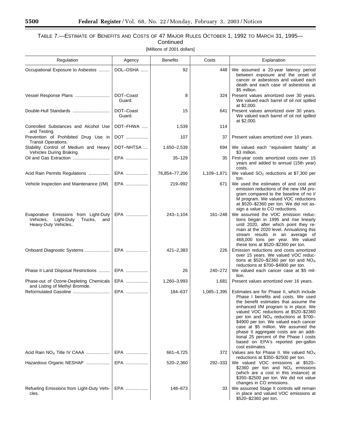$\equiv$ 

# TABLE 7.—ESTIMATE OF BENEFITS AND COSTS OF 47 MAJOR RULES OCTOBER 1, 1992 TO MARCH 31, 1995— Continued

|  |  |  | [Millions of 2001 dollars] |
|--|--|--|----------------------------|
|--|--|--|----------------------------|

| Regulation                                                                                                | Agency              | <b>Benefits</b> | Costs       | Explanation                                                                                                                                                                                                                                                                                                                                                                                                                                                                      |
|-----------------------------------------------------------------------------------------------------------|---------------------|-----------------|-------------|----------------------------------------------------------------------------------------------------------------------------------------------------------------------------------------------------------------------------------------------------------------------------------------------------------------------------------------------------------------------------------------------------------------------------------------------------------------------------------|
| Occupational Exposure to Asbestos                                                                         | DOL-OSHA            | 92              | 448         | We assumed a 20-year latency period<br>between exposure and the onset of<br>cancer or asbestosis and valued each<br>death and each case of asbestosis at<br>\$5 million.                                                                                                                                                                                                                                                                                                         |
| Vessel Response Plans                                                                                     | DOT-Coast<br>Guard. | 8               | 324         | Present values amortized over 30 years.<br>We valued each barrel of oil not spilled<br>at \$2,000.                                                                                                                                                                                                                                                                                                                                                                               |
| Double-Hull Standards                                                                                     | DOT-Coast<br>Guard. | 15              | 641         | Present values amortized over 30 years.<br>We valued each barrel of oil not spilled<br>at \$2,000.                                                                                                                                                                                                                                                                                                                                                                               |
| Controlled Substances and Alcohol Use<br>and Testing.                                                     | DOT-FHWA            | 1,539           | 114         |                                                                                                                                                                                                                                                                                                                                                                                                                                                                                  |
| Prevention of Prohibited Drug Use in<br><b>Transit Operations.</b>                                        | DOT                 | 107             | 37          | Present values amortized over 10 years.                                                                                                                                                                                                                                                                                                                                                                                                                                          |
| Stability Control of Medium and Heavy<br>Vehicles During Braking.                                         | DOT-NHTSA           | 1,650-2,539     | 694         | We valued each "equivalent fatality" at<br>\$3 million.                                                                                                                                                                                                                                                                                                                                                                                                                          |
|                                                                                                           | EPA                 | $35 - 129$      | 35          | First-year costs amortized costs over 15<br>years and added to annual (15th year)<br>costs.                                                                                                                                                                                                                                                                                                                                                                                      |
| Acid Rain Permits Regulations                                                                             | EPA                 | 76,854-77,206   | 1,109-1,871 | We valued $SO2$ reductions at \$7,300 per<br>ton.                                                                                                                                                                                                                                                                                                                                                                                                                                |
| Vehicle Inspection and Maintenance (I/M)                                                                  | EPA                 | 219-992         | 671         | We used the estimates of and cost and<br>emission reductions of the new I/M pro-<br>gram compared to the baseline of no I/<br>M program. We valued VOC reductions<br>at \$520-\$2360 per ton. We did not as-<br>sign a value to CO reductions.                                                                                                                                                                                                                                   |
| Evaporative Emissions from Light-Duty<br>Vehicles,<br>Trucks,<br>Light-Duty<br>and<br>Heavy-Duty Vehicles | EPA                 | 243-1,104       | 161-248     | We assumed the VOC emission reduc-<br>tions began in 1995 and rise linearly<br>until 2020, after which point they re-<br>main at the 2020 level. Annualizing this<br>stream results in an average of<br>468,000 tons per year. We valued<br>these tons at \$520-\$2360 per ton.                                                                                                                                                                                                  |
| Onboard Diagnostic Systems    EPA                                                                         |                     | $421 - 2,383$   | 226         | Emission reductions and costs amortized<br>over 15 years. We valued VOC reduc-<br>tions at \$520-\$2360 per ton and $NOx$<br>reductions at \$700-\$4900 per ton.                                                                                                                                                                                                                                                                                                                 |
| Phase II Land Disposal Restrictions                                                                       | EPA                 | 26              | 240–272     | We valued each cancer case at \$5 mil-<br>lion.                                                                                                                                                                                                                                                                                                                                                                                                                                  |
| Phase-out of Ozone-Depleting Chemicals<br>and Listing of Methyl Bromide.                                  | EPA                 | 1,260-3,993     | 1,681       | Present values amortized over 16 years.                                                                                                                                                                                                                                                                                                                                                                                                                                          |
| Reformulated Gasoline                                                                                     | EPA                 | 184-637         | 1,085-1,395 | Estimates are for Phase II, which include<br>Phase I benefits and costs. We used<br>the benefit estimates that assume the<br>enhanced I/M program is in place. We<br>valued VOC reductions at \$520-\$2360<br>per ton and $NOx$ reductions at \$700-<br>\$4900 per ton. We valued each cancer<br>case at \$5 million. We assumed the<br>phase II aggregate costs are an addi-<br>tional 25 percent of the Phase I costs<br>based on EPA's reported per-gallon<br>cost estimates. |
| Acid Rain NO <sub>x</sub> Title IV CAAA                                                                   | EPA                 | 661-4,725       | 372         | Values are for Phase II. We valued $NOx$<br>reductions at \$350-\$2500 per ton.                                                                                                                                                                                                                                                                                                                                                                                                  |
| Hazardous Organic NESHAP                                                                                  | EPA                 | 520-2,360       | 292-333     | We valued VOC emissions at \$520-<br>\$2360 per ton and $NOx$ emissions<br>(which are a cost in this instance) at<br>\$350-\$2500 per ton. We did not value<br>changes in CO emissions.                                                                                                                                                                                                                                                                                          |
| Refueling Emissions from Light-Duty Vehi-<br>cles.                                                        | EPA                 | 148-673         | 33          | We assumed Stage II controls will remain<br>in place and valued VOC emissions at<br>\$520-\$2360 per ton.                                                                                                                                                                                                                                                                                                                                                                        |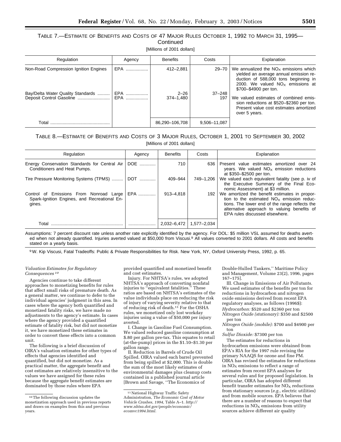# TABLE 7.—ESTIMATE OF BENEFITS AND COSTS OF 47 MAJOR RULES OCTOBER 1, 1992 TO MARCH 31, 1995— **Continued**

[Millions of 2001 dollars]

| Regulation                                                                  | Agency | <b>Benefits</b>       | Costs             | Explanation                                                                                                                                                                              |
|-----------------------------------------------------------------------------|--------|-----------------------|-------------------|------------------------------------------------------------------------------------------------------------------------------------------------------------------------------------------|
| Non-Road Compression Ignition Engines                                       | EPA    | 412-2.881             | 29–70             | We annualized the $NOx$ emissions which<br>yielded an average annual emission re-<br>duction of 588,000 tons beginning in<br>2000. We valued $NOx$ emissions at<br>\$700-\$4900 per ton. |
| Bay/Delta Water Quality Standards    EPA<br>Deposit Control Gasoline    EPA |        | $2 - 26$<br>374-1,480 | $37 - 248$<br>197 | We valued estimates of combined emis-<br>sion reductions at \$520-\$2360 per ton.<br>Present value cost estimates amortized<br>over 5 years.                                             |
| Total                                                                       |        | 86,290-106,708        | 9,506-11,087      |                                                                                                                                                                                          |

# TABLE 8.—ESTIMATE OF BENEFITS AND COSTS OF 3 MAJOR RULES, OCTOBER 1, 2001 TO SEPTEMBER 30, 2002 [Millions of 2001 dollars]

| Regulation                                                                                              | Agency | <b>Benefits</b> | Costs       | Explanation                                                                                                                                                                                                                     |
|---------------------------------------------------------------------------------------------------------|--------|-----------------|-------------|---------------------------------------------------------------------------------------------------------------------------------------------------------------------------------------------------------------------------------|
| Energy Conservation Standards for Central Air   DOE<br>Conditioners and Heat Pumps.                     |        | 710             | 636         | Present value estimates amortized over 24<br>years. We valued $NOx$ emission reductions<br>at \$350-\$2500 per ton.                                                                                                             |
| Tire Pressure Monitoring Systems (TPMS)    DOT                                                          |        | 409-944         | 749-1.206   | We valued each equivalent fatality (see p. iv of<br>the Executive Summary of the Final Eco-<br>nomic Assessment) at \$3 million.                                                                                                |
| Control of Emissions From Nonroad Large   EPA<br>Spark-Ignition Engines, and Recreational En-<br>gines. |        | 913-4,818       | 192         | We amortized the benefit estimates in propor-<br>tion to the estimated $NOx$ emission reduc-<br>tions. The lower end of the range reflects the<br>alternative approach to valuing benefits of<br>EPA rules discussed elsewhere. |
| Total                                                                                                   |        | 2,032–6,472     | 1,577-2,034 |                                                                                                                                                                                                                                 |

Assumptions: 7 percent discount rate unless another rate explicitly identified by the agency. For DOL: \$5 million VSL assumed for deaths averted when not already quantified. Injuries averted valued at \$50,000 from Viscusi.<sup>9</sup> All values converted to 2001 dollars. All costs and benefits stated on a yearly basis.

9W. Kip Viscusi, Fatal Tradeoffs: Public & Private Responsibilities for Risk. New York, NY, Oxford University Press, 1992, p. 65.

#### *Valuation Estimates for Regulatory Consequences 10*

Agencies continue to take different approaches to monetizing benefits for rules that affect small risks of premature death. As a general matter, we continue to defer to the individual agencies' judgment in this area. In cases where the agency both quantified and monetized fatality risks, we have made no adjustments to the agency's estimate. In cases where the agency provided a quantified estimate of fatality risk, but did not monetize it, we have monetized these estimates in order to convert these effects into a common unit.

The following is a brief discussion of OIRA's valuation estimates for other types of effects that agencies identified and quantified, but did not monetize. As a practical matter, the aggregate benefit and cost estimates are relatively insensitive to the values we have assigned for these rules because the aggregate benefit estimates are dominated by those rules where EPA

provided quantified and monetized benefit and cost estimates.

Injury. For NHTSA's rules, we adopted NHTSA's approach of converting nonfatal injuries to ''equivalent fatalities.'' These ratios are based on NHTSA's estimates of the value individuals place on reducing the risk of injury of varying severity relative to that of reducing risk of death.11 For the OSHA rules, we monetized only lost workday injuries using a value of \$50,000 per injury averted.

I. Change in Gasoline Fuel Consumption. We valued reduced gasoline consumption at \$.80 per gallon pre-tax. This equates to retail (at-the-pump) prices in the \$1.10–\$1.30 per gallon range.

II. Reduction in Barrels of Crude Oil Spilled. OIRA valued each barrel prevented from being spilled at \$2,000. This is double the sum of the most likely estimates of environmental damages plus cleanup costs contained in a published journal article [Brown and Savage, ''The Economics of

Double-Hulled Tankers,'' Maritime Policy and Management, Volume 23(2), 1996, pages 167–175].

III. Change in Emissions of Air Pollutants. We used estimates of the benefits per ton for reductions in hydrocarbon and nitrogen oxide emissions derived from recent EPA regulatory analyses, as follows (1996\$):

*Hydrocarbon:* \$520 and \$2360 per ton

*Nitrogen Oxide (stationary):* \$350 and \$2500 per ton

*Nitrogen Oxide (mobile):* \$700 and \$4900 per ton

*Sulfur Dioxide:* \$7300 per ton

The estimates for reductions in hydrocarbon emissions were obtained from EPA's RIA for the 1997 rule revising the primary NAAQS for ozone and fine PM. OIRA has revised the estimates for reductions in  $NO<sub>x</sub>$  emissions to reflect a range of estimates from recent EPA analyses for several rules and for proposed legislation. In particular, OIRA has adopted different benefit transfer estimates for  $NO<sub>x</sub>$  reductions from stationary sources (*e.g.*, electric utilities) and from mobile sources. EPA believes that there are a number of reasons to expect that reductions in  $NO<sub>X</sub>$  emissions from utility sources achieve different air quality

<sup>10</sup>The following discussion updates the monetization approach used in previous reports and draws on examples from this and previous years.

<sup>&</sup>lt;sup>11</sup> National Highway Traffic Safety Administration, *The Economic Cost of Motor Vehicle Crashes, 1994,* Table A–1. *http:// www.nhtsa.dot.gov/people/economic/ ecomvc1994.html.*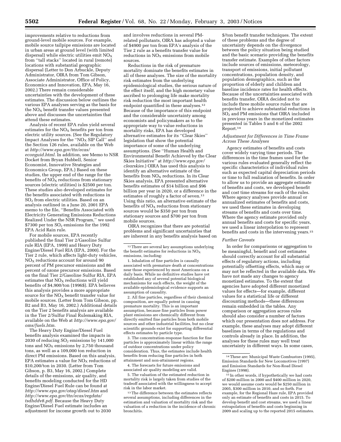improvements relative to reductions from ground-level mobile sources. For example, mobile source tailpipe emissions are located in urban areas at ground level (with limited dispersal) while electric utilities emit  $\rm NO_X$ from ''tall stacks'' located in rural (remote) locations with substantial geographic dispersal (Letter to Don Arbuckle, Deputy Administrator, OIRA from Tom Gibson, Associate Administrator, Office of Policy, Economics and Innovation, EPA, May 16, 2002.) There remain considerable uncertainties with the development of these estimates. The discussion below outlines the various EPA analyses serving as the basis for the  $NO<sub>X</sub>$  benefit transfer values presented above and discusses the uncertainties that attend these estimates.

Analysis of recent EPA rules yield several estimates for the  $NO<sub>x</sub>$  benefits per ton from electric utility sources. (See the Regulatory Impact Analyses for the " $NO<sub>X</sub>$  SIP Call" and the Section 126 rules, available on the Web at *http://www.epa.gov/ttn/ecas/ econguid.html.* In addition, see Memo to NSR Docket from Bryan Hubbell, Senior Economist, Innovative Strategies and Economics Group, EPA.) Based on these studies, the upper end of the range for the benefits of  $N\overline{O}_X$  reductions from stationary sources (electric utilities) is \$2500 per ton. These studies also developed estimates for the benefits associated with reductions in SO2 from electric utilities. Based on an analysis outlined in a June 20, 2001 EPA memo to the file, ''Benefits Associated with Electricity Generating Emissions Reductions Realized Under the NSR Program,'' we used \$7300 per ton  $SO<sub>2</sub>$  emissions for the 1992 EPA Acid Rain rule.

For mobile sources, EPA recently published the final Tier 2/Gasoline Sulfur rule RIA (EPA, 1999) and Heavy Duty Engine/Diesel Fuel RIA (EPA, 2000). For the Tier 2 rule, which affects light-duty vehicles,  $NO<sub>X</sub>$  reductions account for around 90 percent of PM precursor emissions and 86 percent of ozone precursor emissions. Based on the final Tier 2/Gasoline Sulfur RIA, EPA estimates that  $NO<sub>x</sub>$  reductions will yield benefits of \$4,900/ton (1996\$). EPA believes this analysis provides a more appropriate source for the  $NO<sub>X</sub>$  benefit transfer value for mobile sources. (Letter from Tom Gibson, pp. B2 and B3, May 16, 2002.) Additional details on the Tier 2 benefits analysis are available in the Tier 2/Sulfur Final Rulemaking RIA, available on the Web at *http://www.epa.gov/ oms/fuels.htm.*

The Heavy Duty Engine/Diesel Fuel benefits analysis examined the impacts in 2030 of reducing  $SO<sub>2</sub>$  emissions by 141,000 tons and  $NO<sub>X</sub>$  emissions by 2,750 thousand tons, as well as a 109,000 ton reduction in direct PM emissions. Based on this analysis, EPA estimates a value for  $NO<sub>X</sub>$  reductions of \$10,200/ton in 2030. (Letter from Tom Gibson, p. B3, May 16, 2002.) Complete details of the emissions, air quality, and benefits modeling conducted for the HD Engine/Diesel Fuel Rule can be found at *http://www.epa.gov/otaq/diesel.htm* and *http://www.epa.gov/ttn/ecas/regdata/ tsdhddv8.pdf.* Because the Heavy Duty Engine/Diesel Fuel estimate includes an adjustment for income growth out to 2030

and involves reductions in several PMrelated pollutants, OIRA has adopted a value of \$4900 per ton from EPA's analysis of the Tier 2 rule as a benefits transfer value for reductions in  $NO<sub>X</sub>$  emissions from mobile sources.

Reductions in the risk of premature mortality dominate the benefits estimates in all of these analyses. The size of the mortality risk estimates from the underlying epidemiological studies, the serious nature of the effect itself, and the high monetary value ascribed to prolonging life make mortality risk reduction the most important health endpoint quantified in these analyses.<sup>12</sup> Because of the importance of this endpoint and the considerable uncertainty among economists and policymakers as to the appropriate way to value reductions in mortality risks, EPA has developed alternative estimates for its ''Clear Skies'' legislation that show the potential importance of some of the underlying assumptions. (See ''Human Health and Environmental Benefit Achieved by the Clear Skies Initiative'' at *http://www.epa.gov/ clearskies.*) OIRA has used this analysis to identify an alternative estimate of the benefits from  $NO<sub>X</sub>$  reductions. In its Clear Skies analysis, EPA presented alternative benefits estimates of \$14 billion and \$96 billion per year in 2020, or a difference in the estimates of roughly a factor of seven.<sup>13</sup> Using this ratio, an alternative estimate of the benefits of  $NO<sub>x</sub>$  reductions from stationary sources would be \$350 per ton from stationary sources and \$700 per ton from mobile sources.

OIRA recognizes that there are potential problems and significant uncertainties that are inherent in any benefits analysis based on

1. Inhalation of fine particles is causally associated with premature death at concentrations near those experienced by most Americans on a daily basis. While no definitive studies have yet established any of several potential biological mechanisms for such effects, the weight of the available epidemiological evidence supports an assumption of causality.

2. All fine particles, regardless of their chemical composition, are equally potent in causing premature mortality. This is an important assumption, because fine particles from power plant emissions are chemically different from directly emitted fine particles from both mobile sources and other industrial facilities, but no clear scientific grounds exist for supporting differential effects estimates by particle type.

3. The concentration-response function for fine particles is approximately linear within the range of outdoor concentrations under policy consideration. Thus, the estimates include health benefits from reducing fine particles in both attainment and non-attainment regions.

4. The forecasts for future emissions and associated air quality modeling are valid.

5. The valuation of the estimated reduction in mortality risk is largely taken from studies of the tradeoff associated with the willingness to accept risk in the labor market.

 $^{\rm 13}\!$  The difference between the estimates reflects several assumptions, including differences in the estimation and valuation of mortality risk and the valuation of a reduction in the incidence of chronic bronchitis.

\$/ton benefit transfer techniques. The extent of these problems and the degree of uncertainty depends on the divergence between the policy situation being studied and the basic scenario providing the benefits transfer estimate. Examples of other factors include sources of emissions, meteorology, transport of emissions, initial pollutant concentrations, population density, and population demographics, such as the proportion of elderly and children and baseline incidence rates for health effects. Because of the uncertainties associated with benefits transfer, OIRA decided not to include three mobile source rules that are projected to achieve substantial reductions in SO<sub>2</sub> and PM emissions that OIRA included in previous years in the monetized estimates presented in Tables 5 and 6 of the 2002 Report.14

#### *Adjustment for Differences in Time Frame Across These Analyses*

Agency estimates of benefits and costs cover widely varying time periods. The differences in the time frames used for the various rules evaluated generally reflect the specific characteristics of individual rules such as expected capital depreciation periods or time to full realization of benefits. In order to allow us to provide an aggregate estimate of benefits and costs, we developed benefit and cost time streams for each of the rules. Where agency analyses provide annual or annualized estimates of benefits and costs, we used these estimates in developing streams of benefits and costs over time. Where the agency estimate provided only annual benefits and costs for specific years, we used a linear interpolation to represent benefits and costs in the intervening years.15

#### *Further Caveats*

In order for comparisons or aggregation to be meaningful, benefit and cost estimates should correctly account for all substantial effects of regulatory actions, including potentially offsetting effects, which may or may not be reflected in the available data. We have not made any changes to agency monetized estimates. To the extent that agencies have adopted different monetized values for effects—for example, different values for a statistical life or different discounting methods—these differences remain embedded in the tables. Any comparison or aggregation across rules should also consider a number of factors which our presentation does not address. For example, these analyses may adopt different baselines in terms of the regulations and controls already in place. In addition, the analyses for these rules may well treat uncertainty in different ways. In some cases,

<sup>12</sup>There are several key assumptions underlying the benefit estimates for reductions in  $NO<sub>x</sub>$ emissions, including:

<sup>14</sup>These are: Municipal Waste Combustors (1995), Emission Standards for New Locomotives (1997) and Emission Standards for Non-Road Diesel Engines (1998).

<sup>&</sup>lt;sup>15</sup> In other words, if hypothetically we had costs of \$200 million in 2000 and \$400 million in 2020, we would assume costs would be \$250 million in 2005, \$300 million in 2010, and so forth. For example, for the Regional Haze rule, EPA provided only an estimate of benefits and costs in 2015. To develop benefit and cost streams, we used a linear extrapolation of benefits and costs beginning in 2009 and scaling up to the reported 2015 estimates.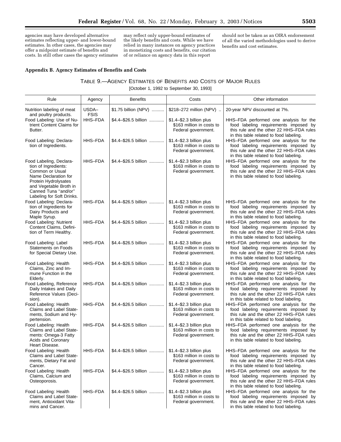agencies may have developed alternative estimates reflecting upper- and lower-bound estimates. In other cases, the agencies may offer a midpoint estimate of benefits and costs. In still other cases the agency estimates

may reflect only upper-bound estimates of the likely benefits and costs. While we have relied in many instances on agency practices in monetizing costs and benefits, our citation of or reliance on agency data in this report

should not be taken as an OIRA endorsement of all the varied methodologies used to derive benefits and cost estimates.

# **Appendix B. Agency Estimates of Benefits and Costs**

# TABLE 9.—AGENCY ESTIMATES OF BENEFITS AND COSTS OF MAJOR RULES

[October 1, 1992 to September 30, 1993]

| Rule                                                                                                                                                                                              | Agency               | <b>Benefits</b>        | Costs                                                                          | Other information                                                                                                                                                      |
|---------------------------------------------------------------------------------------------------------------------------------------------------------------------------------------------------|----------------------|------------------------|--------------------------------------------------------------------------------|------------------------------------------------------------------------------------------------------------------------------------------------------------------------|
| Nutrition labeling of meat<br>and poultry products.                                                                                                                                               | USDA-<br><b>FSIS</b> | \$1.75 billion (NPV)   | \$218-272 million (NPV)                                                        | 20-year NPV discounted at 7%.                                                                                                                                          |
| Food Labeling: Use of Nu-<br>trient Content Claims for<br>Butter.                                                                                                                                 | HHS-FDA              | $$4.4 - $26.5$ billion | \$1.4-\$2.3 billion plus<br>\$163 million in costs to<br>Federal government.   | HHS-FDA performed one analysis for the<br>food labeling requirements imposed by<br>this rule and the other 22 HHS-FDA rules<br>in this table related to food labeling. |
| Food Labeling: Declara-<br>tion of Ingredients.                                                                                                                                                   | HHS-FDA              | \$4.4-\$26.5 billion   | \$1.4-\$2.3 billion plus<br>\$163 million in costs to<br>Federal government.   | HHS-FDA performed one analysis for the<br>food labeling requirements imposed by<br>this rule and the other 22 HHS-FDA rules<br>in this table related to food labeling. |
| Food Labeling, Declara-<br>tion of Ingredients:<br>Common or Usual<br>Name Declaration for<br>Protein Hydrolysates<br>and Vegetable Broth in<br>Canned Tuna "and/or"<br>Labeling for Soft Drinks. | HHS-FDA              | \$4.4-\$26.5 billion   | \$1.4-\$2.3 billion plus<br>\$163 million in costs to<br>Federal government.   | HHS-FDA performed one analysis for the<br>food labeling requirements imposed by<br>this rule and the other 22 HHS-FDA rules<br>in this table related to food labeling. |
| Food Labeling: Declara-<br>tion of Ingredients for<br>Dairy Products and<br>Maple Syrup.                                                                                                          | HHS-FDA              | $$4.4 - $26.5$ billion | $$1.4 - $2.3$ billion plus<br>\$163 million in costs to<br>Federal government. | HHS-FDA performed one analysis for the<br>food labeling requirements imposed by<br>this rule and the other 22 HHS-FDA rules<br>in this table related to food labeling. |
| Food Labeling: Nutrient<br>Content Claims, Defini-<br>tion of Term Healthy.                                                                                                                       | HHS-FDA              | \$4.4-\$26.5 billion   | \$1.4-\$2.3 billion plus<br>\$163 million in costs to<br>Federal government.   | HHS-FDA performed one analysis for the<br>food labeling requirements imposed by<br>this rule and the other 22 HHS-FDA rules<br>in this table related to food labeling. |
| Food Labeling: Label<br><b>Statements on Foods</b><br>for Special Dietary Use.                                                                                                                    | HHS-FDA              | \$4.4-\$26.5 billion   | \$1.4-\$2.3 billion plus<br>\$163 million in costs to<br>Federal government.   | HHS-FDA performed one analysis for the<br>food labeling requirements imposed by<br>this rule and the other 22 HHS-FDA rules<br>in this table related to food labeling. |
| Food Labeling: Health<br>Claims, Zinc and Im-<br>mune Function in the<br>Elderly.                                                                                                                 | HHS-FDA              | \$4.4-\$26.5 billion   | \$1.4-\$2.3 billion plus<br>\$163 million in costs to<br>Federal government.   | HHS-FDA performed one analysis for the<br>food labeling requirements imposed by<br>this rule and the other 22 HHS-FDA rules<br>in this table related to food labeling. |
| Food Labeling, Reference<br>Daily Intakes and Daily<br>Reference Values (Deci-<br>sion).                                                                                                          | HHS-FDA              | $$4.4 - $26.5$ billion | \$1.4-\$2.3 billion plus<br>\$163 million in costs to<br>Federal government.   | HHS-FDA performed one analysis for the<br>food labeling requirements imposed by<br>this rule and the other 22 HHS-FDA rules<br>in this table related to food labeling. |
| Food Labeling: Health<br>Claims and Label State-<br>ments, Sodium and Hy-<br>pertension.                                                                                                          | HHS-FDA              | \$4.4-\$26.5 billion   | \$1.4-\$2.3 billion plus<br>\$163 million in costs to<br>Federal government.   | HHS-FDA performed one analysis for the<br>food labeling requirements imposed by<br>this rule and the other 22 HHS-FDA rules<br>in this table related to food labeling. |
| Food Labeling: Health<br>Claims and Label State-<br>ments: Omega-3 Fatty<br>Acids and Coronary<br>Heart Disease.                                                                                  | HHS-FDA              | \$4.4-\$26.5 billion   | \$1.4-\$2.3 billion plus<br>\$163 million in costs to<br>Federal government.   | HHS-FDA performed one analysis for the<br>food labeling requirements imposed by<br>this rule and the other 22 HHS-FDA rules<br>in this table related to food labeling. |
| Food Labeling: Health<br>Claims and Label State-<br>ments, Dietary Fat and<br>Cancer.                                                                                                             | HHS-FDA              | \$4.4-\$26.5 billion   | \$1.4-\$2.3 billion plus<br>\$163 million in costs to<br>Federal government.   | HHS-FDA performed one analysis for the<br>food labeling requirements imposed by<br>this rule and the other 22 HHS-FDA rules<br>in this table related to food labeling. |
| Food Labeling: Health<br>Claims, Calcium and<br>Osteoporosis.                                                                                                                                     | HHS-FDA              | $$4.4 - $26.5$ billion | \$1.4-\$2.3 billion plus<br>\$163 million in costs to<br>Federal government.   | HHS-FDA performed one analysis for the<br>food labeling requirements imposed by<br>this rule and the other 22 HHS-FDA rules<br>in this table related to food labeling. |
| Food Labeling: Health<br>Claims and Label State-<br>ment. Antioxidant Vita-<br>mins and Cancer.                                                                                                   | HHS-FDA              | \$4.4–\$26.5 billion   | \$1.4-\$2.3 billion plus<br>\$163 million in costs to<br>Federal government.   | HHS-FDA performed one analysis for the<br>food labeling requirements imposed by<br>this rule and the other 22 HHS-FDA rules<br>in this table related to food labeling. |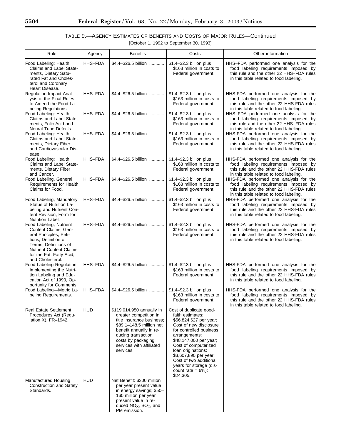$\equiv$ 

٠

# TABLE 9.—AGENCY ESTIMATES OF BENEFITS AND COSTS OF MAJOR RULES—Continued

[October 1, 1992 to September 30, 1993]

| Rule                                                                                                                                                                                                         | Agency     | <b>Benefits</b>                                                                                                                                                                                                              | Costs                                                                                                                                                                                                                                                                                                                                   | Other information                                                                                                                                                      |
|--------------------------------------------------------------------------------------------------------------------------------------------------------------------------------------------------------------|------------|------------------------------------------------------------------------------------------------------------------------------------------------------------------------------------------------------------------------------|-----------------------------------------------------------------------------------------------------------------------------------------------------------------------------------------------------------------------------------------------------------------------------------------------------------------------------------------|------------------------------------------------------------------------------------------------------------------------------------------------------------------------|
| Food Labeling: Health<br>Claims and Label State-<br>ments, Dietary Satu-<br>rated Fat and Choles-<br>terol and Coronary<br>Heart Disease.                                                                    | HHS-FDA    | \$4.4-\$26.5 billion                                                                                                                                                                                                         | \$1.4-\$2.3 billion plus<br>\$163 million in costs to<br>Federal government.                                                                                                                                                                                                                                                            | HHS-FDA performed one analysis for the<br>food labeling requirements imposed by<br>this rule and the other 22 HHS-FDA rules<br>in this table related to food labeling. |
| <b>Regulation Impact Anal-</b><br>ysis of the Final Rules<br>to Amend the Food La-<br>beling Regulations.                                                                                                    | HHS-FDA    | $$4.4 - $26.5$ billion                                                                                                                                                                                                       | \$1.4-\$2.3 billion plus<br>\$163 million in costs to<br>Federal government.                                                                                                                                                                                                                                                            | HHS-FDA performed one analysis for the<br>food labeling requirements imposed by<br>this rule and the other 22 HHS-FDA rules<br>in this table related to food labeling. |
| Food Labeling: Health<br>Claims and Label State-<br>ments, Folic Acid and<br>Neural Tube Defects.                                                                                                            | HHS-FDA    | $$4.4 - $26.5$ billion                                                                                                                                                                                                       | \$1.4-\$2.3 billion plus<br>\$163 million in costs to<br>Federal government.                                                                                                                                                                                                                                                            | HHS-FDA performed one analysis for the<br>food labeling requirements imposed by<br>this rule and the other 22 HHS-FDA rules<br>in this table related to food labeling. |
| Food Labeling: Health<br>Claims and Label State-<br>ments, Dietary Fiber<br>and Cardiovascular Dis-<br>ease.                                                                                                 | HHS-FDA    | \$4.4-\$26.5 billion                                                                                                                                                                                                         | \$1.4-\$2.3 billion plus<br>\$163 million in costs to<br>Federal government.                                                                                                                                                                                                                                                            | HHS-FDA performed one analysis for the<br>food labeling requirements imposed by<br>this rule and the other 22 HHS-FDA rules<br>in this table related to food labeling. |
| Food Labeling: Health<br>Claims and Label State-<br>ments, Dietary Fiber<br>and Cancer.                                                                                                                      | HHS-FDA    | \$4.4-\$26.5 billion                                                                                                                                                                                                         | \$1.4-\$2.3 billion plus<br>\$163 million in costs to<br>Federal government.                                                                                                                                                                                                                                                            | HHS-FDA performed one analysis for the<br>food labeling requirements imposed by<br>this rule and the other 22 HHS-FDA rules<br>in this table related to food labeling. |
| Food Labeling, General<br>Requirements for Health<br>Claims for Food.                                                                                                                                        | HHS-FDA    | \$4.4-\$26.5 billion                                                                                                                                                                                                         | \$1.4-\$2.3 billion plus<br>\$163 million in costs to<br>Federal government.                                                                                                                                                                                                                                                            | HHS-FDA performed one analysis for the<br>food labeling requirements imposed by<br>this rule and the other 22 HHS-FDA rules<br>in this table related to food labeling. |
| Food Labeling, Mandatory<br>Status of Nutrition La-<br>beling and Nutrient Con-<br>tent Revision, Form for<br>Nutrition Label.                                                                               | HHS-FDA    | \$4.4-\$26.5 billion                                                                                                                                                                                                         | \$1.4-\$2.3 billion plus<br>\$163 million in costs to<br>Federal government.                                                                                                                                                                                                                                                            | HHS-FDA performed one analysis for the<br>food labeling requirements imposed by<br>this rule and the other 22 HHS-FDA rules<br>in this table related to food labeling. |
| Food Labeling, Nutrient<br>Content Claims, Gen-<br>eral Principles, Peti-<br>tions, Definition of<br>Terms, Definitions of<br><b>Nutrient Content Claims</b><br>for the Fat, Fatty Acid,<br>and Cholesterol. | HHS-FDA    | \$4.4-\$26.5 billion                                                                                                                                                                                                         | \$1.4-\$2.3 billion plus<br>\$163 million in costs to<br>Federal government.                                                                                                                                                                                                                                                            | HHS-FDA performed one analysis for the<br>food labeling requirements imposed by<br>this rule and the other 22 HHS-FDA rules<br>in this table related to food labeling. |
| Food Labeling Regulation<br>Implementing the Nutri-<br>tion Labeling and Edu-<br>cation Act of 1990, Op-<br>portunity for Comments.                                                                          | HHS-FDA    | \$4.4-\$26.5 billion                                                                                                                                                                                                         | \$1.4-\$2.3 billion plus<br>\$163 million in costs to<br>Federal government.                                                                                                                                                                                                                                                            | HHS-FDA performed one analysis for the<br>food labeling requirements imposed by<br>this rule and the other 22 HHS-FDA rules<br>in this table related to food labeling. |
| Food Labeling-Metric La-<br>beling Requirements.                                                                                                                                                             | HHS-FDA    | \$4.4-\$26.5 billion                                                                                                                                                                                                         | \$1.4-\$2.3 billion plus<br>\$163 million in costs to<br>Federal government.                                                                                                                                                                                                                                                            | HHS-FDA performed one analysis for the<br>food labeling requirements imposed by<br>this rule and the other 22 HHS-FDA rules<br>in this table related to food labeling. |
| <b>Real Estate Settlement</b><br>Procedures Act (Regu-<br>lation X), FR-1942.                                                                                                                                | HUD        | \$119,014,950 annually in<br>greater competition in<br>title insurance business;<br>\$89.1-148.5 million net<br>benefit annually in re-<br>ducing transaction<br>costs by packaging<br>services with affiliated<br>services. | Cost of duplicate good-<br>faith estimates:<br>\$56,824,627 per year;<br>Cost of new disclosure<br>for controlled business<br>arrangements:<br>\$48,147,000 per year;<br>Cost of computerized<br>loan originations:<br>\$3,607,890 per year;<br>Cost of two additional<br>years for storage (dis-<br>count rate = $6\%$ ):<br>\$24,305. |                                                                                                                                                                        |
| Manufactured Housing<br><b>Construction and Safety</b><br>Standards.                                                                                                                                         | <b>HUD</b> | Net Benefit: \$300 million<br>per year present value<br>in energy savings; \$50-<br>160 million per year<br>present value in re-<br>duced $NOx$ , $SOx$ , and<br>PM emission.                                                |                                                                                                                                                                                                                                                                                                                                         |                                                                                                                                                                        |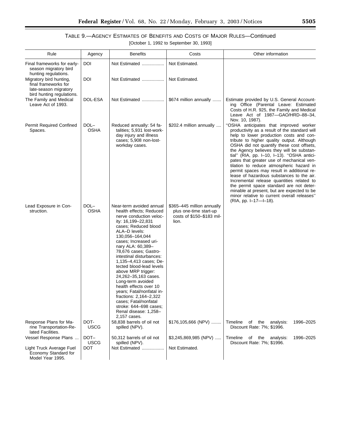# TABLE 9.—AGENCY ESTIMATES OF BENEFITS AND COSTS OF MAJOR RULES—Continued

[October 1, 1992 to September 30, 1993]

| Rule                                                                                                  | Agency              | <b>Benefits</b>                                                                                                                                                                                                                                                                                                                                                                                                                                                                                                                                                           | Costs                                                                                      | Other information                                                                                                                                                                                                                                                                                                                                                                                                                                                                                                                                                                                                                                                                                                           |
|-------------------------------------------------------------------------------------------------------|---------------------|---------------------------------------------------------------------------------------------------------------------------------------------------------------------------------------------------------------------------------------------------------------------------------------------------------------------------------------------------------------------------------------------------------------------------------------------------------------------------------------------------------------------------------------------------------------------------|--------------------------------------------------------------------------------------------|-----------------------------------------------------------------------------------------------------------------------------------------------------------------------------------------------------------------------------------------------------------------------------------------------------------------------------------------------------------------------------------------------------------------------------------------------------------------------------------------------------------------------------------------------------------------------------------------------------------------------------------------------------------------------------------------------------------------------------|
| Final frameworks for early-<br>season migratory bird<br>hunting regulations.                          | DOI                 | Not Estimated                                                                                                                                                                                                                                                                                                                                                                                                                                                                                                                                                             | Not Estimated.                                                                             |                                                                                                                                                                                                                                                                                                                                                                                                                                                                                                                                                                                                                                                                                                                             |
| Migratory bird hunting,<br>final frameworks for<br>late-season migratory<br>bird hunting regulations. | DOI                 | Not Estimated                                                                                                                                                                                                                                                                                                                                                                                                                                                                                                                                                             | Not Estimated.                                                                             |                                                                                                                                                                                                                                                                                                                                                                                                                                                                                                                                                                                                                                                                                                                             |
| The Family and Medical<br>Leave Act of 1993.                                                          | DOL-ESA             | Not Estimated                                                                                                                                                                                                                                                                                                                                                                                                                                                                                                                                                             | \$674 million annually                                                                     | Estimate provided by U.S. General Account-<br>ing Office (Parental Leave: Estimated<br>Costs of H.R. 925, the Family and Medical<br>Leave Act of 1987-GAO/HRD-88-34,<br>Nov. 10, 1987).                                                                                                                                                                                                                                                                                                                                                                                                                                                                                                                                     |
| Permit Required Confined<br>Spaces.                                                                   | DOL-<br><b>OSHA</b> | Reduced annually: 54 fa-<br>talities; 5,931 lost-work-<br>day injury and illness<br>cases; 5,908 non-lost-<br>workday cases.                                                                                                                                                                                                                                                                                                                                                                                                                                              | \$202.4 million annually                                                                   | "OSHA anticipates that improved worker<br>productivity as a result of the standard will<br>help to lower production costs and con-<br>tribute to higher quality output. Although<br>OSHA did not quantify these cost offsets,<br>the Agency believes they will be substan-<br>tial" (RIA, pp. I-10, I-13). "OSHA antici-<br>pates that greater use of mechanical ven-<br>tilation to reduce atmospheric hazard in<br>permit spaces may result in additional re-<br>lease of hazardous substances to the air.<br>Incremental release quantities related to<br>the permit space standard are not deter-<br>minable at present, but are expected to be<br>minor relative to current overall releases"<br>(RIA, pp. I-17-I-18). |
| Lead Exposure in Con-<br>struction.                                                                   | DOL-<br><b>OSHA</b> | Near-term avoided annual<br>health effects; Reduced<br>nerve conduction veloc-<br>ity: 16,199-22,831<br>cases; Reduced blood<br>ALA-D levels:<br>130,056-164,044<br>cases; Increased uri-<br>nary ALA: 60,389-<br>78,676 cases; Gastro-<br>intestinal disturbances:<br>1,135-4,413 cases; De-<br>tected blood-lead levels<br>above MRP trigger:<br>24,262-35,163 cases.<br>Long-term avoided<br>health effects over 10<br>years; Fatal/nonfatal in-<br>fractions: 2,164-2,322<br>cases; Fatal/nonfatal<br>stroke: 644-698 cases:<br>Renal disease: 1,258-<br>2,157 cases. | \$365-445 million annually<br>plus one-time start-up<br>costs of \$150-\$183 mil-<br>lion. |                                                                                                                                                                                                                                                                                                                                                                                                                                                                                                                                                                                                                                                                                                                             |
| Response Plans for Ma-<br>rine Transportation-Re-<br>lated Facilities.                                | DOT-<br><b>USCG</b> | 58,838 barrels of oil not<br>spilled (NPV).                                                                                                                                                                                                                                                                                                                                                                                                                                                                                                                               | \$176,105,666 (NPV)                                                                        | 1996-2025<br>Timeline<br>of the<br>analysis:<br>Discount Rate: 7%; \$1996.                                                                                                                                                                                                                                                                                                                                                                                                                                                                                                                                                                                                                                                  |
| Vessel Response Plans                                                                                 | DOT-<br><b>USCG</b> | 50,312 barrels of oil not<br>spilled (NPV).                                                                                                                                                                                                                                                                                                                                                                                                                                                                                                                               | $$3,245,869,985$ (NPV)                                                                     | Timeline<br>of the<br>analysis:<br>1996-2025<br>Discount Rate: 7%; \$1996.                                                                                                                                                                                                                                                                                                                                                                                                                                                                                                                                                                                                                                                  |
| Light Truck Average Fuel<br>Economy Standard for<br>Model Year 1995.                                  | DOT                 | Not Estimated                                                                                                                                                                                                                                                                                                                                                                                                                                                                                                                                                             | Not Estimated.                                                                             |                                                                                                                                                                                                                                                                                                                                                                                                                                                                                                                                                                                                                                                                                                                             |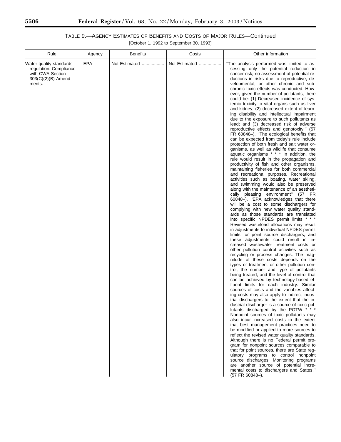$\equiv$ 

# TABLE 9.—AGENCY ESTIMATES OF BENEFITS AND COSTS OF MAJOR RULES—Continued

| [October 1, 1992 to September 30, 1993] |  |
|-----------------------------------------|--|
|-----------------------------------------|--|

| Rule                                                                                                   | Agency | <b>Benefits</b> | Costs         | Other information                                                                                                                                                                                                                                                                                                                                                                                                                                                                                                                                                                                                                                                                                                                                                                                                                                                                                                                                                                                                                                                                                                                                                                                                                                                                                                                                                                                                                                                                                                                                                                                                                                                                                                                                                                                                                                                                                                                                                                                                                                                                                                                                                                                                                                                                                                                                                                                                                                                                                                                                                                                                                                                                                                                                                                                                                                                   |
|--------------------------------------------------------------------------------------------------------|--------|-----------------|---------------|---------------------------------------------------------------------------------------------------------------------------------------------------------------------------------------------------------------------------------------------------------------------------------------------------------------------------------------------------------------------------------------------------------------------------------------------------------------------------------------------------------------------------------------------------------------------------------------------------------------------------------------------------------------------------------------------------------------------------------------------------------------------------------------------------------------------------------------------------------------------------------------------------------------------------------------------------------------------------------------------------------------------------------------------------------------------------------------------------------------------------------------------------------------------------------------------------------------------------------------------------------------------------------------------------------------------------------------------------------------------------------------------------------------------------------------------------------------------------------------------------------------------------------------------------------------------------------------------------------------------------------------------------------------------------------------------------------------------------------------------------------------------------------------------------------------------------------------------------------------------------------------------------------------------------------------------------------------------------------------------------------------------------------------------------------------------------------------------------------------------------------------------------------------------------------------------------------------------------------------------------------------------------------------------------------------------------------------------------------------------------------------------------------------------------------------------------------------------------------------------------------------------------------------------------------------------------------------------------------------------------------------------------------------------------------------------------------------------------------------------------------------------------------------------------------------------------------------------------------------------|
| Water quality standards<br>regulation: Compliance<br>with CWA Section<br>303(C)(2)(B) Amend-<br>ments. | EPA    | Not Estimated   | Not Estimated | "The analysis performed was limited to as-<br>sessing only the potential reduction in<br>cancer risk; no assessment of potential re-<br>ductions in risks due to reproductive, de-<br>velopmental, or other chronic and sub-<br>chronic toxic effects was conducted. How-<br>ever, given the number of pollutants, there<br>could be: (1) Decreased incidence of sys-<br>temic toxicity to vital organs such as liver<br>and kidney; (2) decreased extent of learn-<br>ing disability and intellectual impairment<br>due to the exposure to such pollutants as<br>lead; and (3) decreased risk of adverse<br>reproductive effects and genotoxity." (57<br>FR 60848-). "The ecological benefits that<br>can be expected from today's rule include<br>protection of both fresh and salt water or-<br>ganisms, as well as wildlife that consume<br>aquatic organisms * * * In addition, the<br>rule would result in the propagation and<br>productivity of fish and other organisms,<br>maintaining fisheries for both commercial<br>and recreational purposes. Recreational<br>activities such as boating, water skiing,<br>and swimming would also be preserved<br>along with the maintenance of an aestheti-<br>cally pleasing environment" (57 FR<br>60848-). "EPA acknowledges that there<br>will be a cost to some dischargers for<br>complying with new water quality stand-<br>ards as those standards are translated<br>into specific NPDES permit limits * * *<br>Revised wasteload allocations may result<br>in adjustments to individual NPDES permit<br>limits for point source dischargers, and<br>these adjustments could result in in-<br>creased wastewater treatment costs or<br>other pollution control activities such as<br>recycling or process changes. The mag-<br>nitude of these costs depends on the<br>types of treatment or other pollution con-<br>trol, the number and type of pollutants<br>being treated, and the level of control that<br>can be achieved by technology-based ef-<br>fluent limits for each industry. Similar<br>sources of costs and the variables affect-<br>ing costs may also apply to indirect indus-<br>trial dischargers to the extent that the in-<br>dustrial discharger is a source of toxic pol-<br>lutants discharged by the POTW * * *<br>Nonpoint sources of toxic pollutants may<br>also incur increased costs to the extent<br>that best management practices need to<br>be modified or applied to more sources to<br>reflect the revised water quality standards.<br>Although there is no Federal permit pro-<br>gram for nonpoint sources comparable to<br>that for point sources, there are State reg-<br>ulatory programs to control nonpoint<br>source discharges. Monitoring programs<br>are another source of potential incre-<br>mental costs to dischargers and States."<br>(57 FR 60848-). |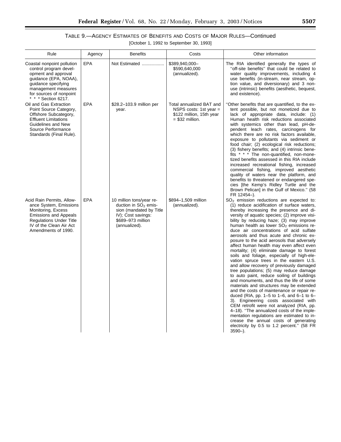# TABLE 9.—AGENCY ESTIMATES OF BENEFITS AND COSTS OF MAJOR RULES—Continued

[October 1, 1992 to September 30, 1993]

| Rule                                                                                                                                                                                                 | Agency     | <b>Benefits</b>                                                                                                                           | Costs                                                                                                | Other information                                                                                                                                                                                                                                                                                                                                                                                                                                                                                                                                                                                                                                                                                                                                                                                                                                                                                                                                                                                                                                                                                                                                                                                                            |
|------------------------------------------------------------------------------------------------------------------------------------------------------------------------------------------------------|------------|-------------------------------------------------------------------------------------------------------------------------------------------|------------------------------------------------------------------------------------------------------|------------------------------------------------------------------------------------------------------------------------------------------------------------------------------------------------------------------------------------------------------------------------------------------------------------------------------------------------------------------------------------------------------------------------------------------------------------------------------------------------------------------------------------------------------------------------------------------------------------------------------------------------------------------------------------------------------------------------------------------------------------------------------------------------------------------------------------------------------------------------------------------------------------------------------------------------------------------------------------------------------------------------------------------------------------------------------------------------------------------------------------------------------------------------------------------------------------------------------|
| Coastal nonpoint pollution<br>control program devel-<br>opment and approval<br>guidance (EPA, NOAA),<br>guidance specifying<br>management measures<br>for sources of nonpoint<br>* * * Section 6217. | <b>EPA</b> | Not Estimated                                                                                                                             | \$389,940,000-<br>\$590,640,000<br>(annualized).                                                     | The RIA identified generally the types of<br>"off-site benefits" that could be related to<br>water quality improvements, including 4<br>use benefits (in-stream, near stream, op-<br>tion value, and diversionary) and 3 non-<br>use (intrinsic) benefits (aesthetic, bequest,<br>and existence).                                                                                                                                                                                                                                                                                                                                                                                                                                                                                                                                                                                                                                                                                                                                                                                                                                                                                                                            |
| Oil and Gas Extraction<br>Point Source Category,<br>Offshore Subcategory,<br><b>Effluent Limitations</b><br>Guidelines and New<br>Source Performance<br>Standards (Final Rule).                      | EPA        | \$28.2-103.9 million per<br>year.                                                                                                         | Total annualized BAT and<br>NSPS costs: 1st year $=$<br>\$122 million, 15th year<br>$= $32$ million. | 'Other benefits that are quantified, to the ex-<br>tent possible, but not monetized due to<br>lack of appropriate data, include: (1)<br>Human health risk reductions associated<br>with systemics other than lead, pH-de-<br>pendent leach rates, carcinogens for<br>which there are no risk factors available,<br>exposure to pollutants via sediment or<br>food chair; (2) ecological risk reductions;<br>(3) fishery benefits; and (4) intrinsic bene-<br>fits * * * The non-quantified, non-mone-<br>tized benefits assessed in this RIA include<br>increased recreational fishing, increased<br>commercial fishing, improved aesthetic<br>quality of waters near the platform, and<br>benefits to threatened or endangered spe-<br>cies [the Kemp's Ridley Turtle and the<br>Brown Pelican] in the Gulf of Mexico." (58<br>FR 12454-).                                                                                                                                                                                                                                                                                                                                                                                  |
| Acid Rain Permits, Allow-<br>ance System, Emissions<br>Monitoring, Excess<br><b>Emissions and Appeals</b><br><b>Regulations Under Title</b><br>IV of the Clean Air Act<br>Amendments of 1990.        | EPA        | 10 million tons/year re-<br>duction in $SO2$ emis-<br>sion (mandated by Title<br>IV); Cost savings:<br>\$689-973 million<br>(annualized). | \$894-1,509 million<br>(annualized).                                                                 | $SO2$ emission reductions are expected to:<br>(1) reduce acidification of surface waters,<br>thereby increasing the presence and di-<br>versity of aquatic species; (2) improve visi-<br>bility by reducing haze; (3) may improve<br>human health as lower $SO2$ emissions re-<br>duce air concentrations of acid sulfate<br>aerosols and thus acute and chronic ex-<br>posure to the acid aerosols that adversely<br>affect human health may even affect even<br>mortality; (4) eliminate damage to forest<br>soils and foliage, especially of high-ele-<br>vation spruce trees in the eastern U.S.<br>and allow recovery of previously damaged<br>tree populations; (5) may reduce damage<br>to auto paint, reduce soiling of buildings<br>and monuments, and thus the life of some<br>materials and structures may be extended<br>and the costs of maintenance or repair re-<br>duced (RIA, pp. $1-5$ to $1-6$ , and $6-1$ to $6-$<br>3). Engineering costs associated with<br>CEM retrofit were not analyzed (RIA, pp.<br>4-18). "The annualized costs of the imple-<br>mentation regulations are estimated to in-<br>crease the annual costs of generating<br>electricity by 0.5 to 1.2 percent." (58 FR<br>$3590 -$ ). |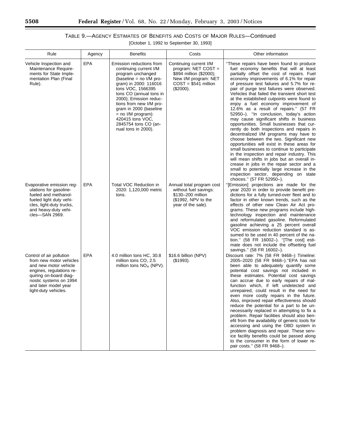$\equiv$ 

# TABLE 9.—AGENCY ESTIMATES OF BENEFITS AND COSTS OF MAJOR RULES—Continued

[October 1, 1992 to September 30, 1993]

| Rule                                                                                                                                                                                                         | Agency     | <b>Benefits</b>                                                                                                                                                                                                                                                                                                                                       | Costs                                                                                                                                    | Other information                                                                                                                                                                                                                                                                                                                                                                                                                                                                                                                                                                                                                                                                                                                                                                                                                                                                                                                                                                                                                                                                            |
|--------------------------------------------------------------------------------------------------------------------------------------------------------------------------------------------------------------|------------|-------------------------------------------------------------------------------------------------------------------------------------------------------------------------------------------------------------------------------------------------------------------------------------------------------------------------------------------------------|------------------------------------------------------------------------------------------------------------------------------------------|----------------------------------------------------------------------------------------------------------------------------------------------------------------------------------------------------------------------------------------------------------------------------------------------------------------------------------------------------------------------------------------------------------------------------------------------------------------------------------------------------------------------------------------------------------------------------------------------------------------------------------------------------------------------------------------------------------------------------------------------------------------------------------------------------------------------------------------------------------------------------------------------------------------------------------------------------------------------------------------------------------------------------------------------------------------------------------------------|
| Vehicle Inspection and<br>Maintenance Require-<br>ments for State Imple-<br>mentation Plan (Final<br>Rule).                                                                                                  | <b>EPA</b> | Emission reductions from<br>continuing current I/M<br>program unchanged<br>(baseline = no I/M pro-<br>gram) in 2000: 116016<br>tons VOC, 1566395<br>tons CO (annual tons in<br>2000); Emission reduc-<br>tions from new I/M pro-<br>gram in 2000 (baseline<br>$=$ no I/M program):<br>420415 tons VOC,<br>2845754 tons CO (an-<br>nual tons in 2000). | Continuing current I/M<br>program: NET COST =<br>\$894 million (\$2000);<br>New I/M program: NET<br>$COST = $541$ million<br>$(\$2000).$ | "These repairs have been found to produce<br>fuel economy benefits that will at least<br>partially offset the cost of repairs. Fuel<br>economy improvements of 6.1% for repair<br>of pressure test failures and 5.7% for re-<br>pair of purge test failures were observed.<br>Vehicles that failed the transient short test<br>at the established cutpoints were found to<br>enjoy a fuel economy improvement of<br>12.6% as a result of repairs." (57 FR<br>52950-). "In conclusion, today's action<br>may cause significant shifts in business<br>opportunities. Small businesses that cur-<br>rently do both inspections and repairs in<br>decentralized I/M programs may have to<br>choose between the two. Significant new<br>opportunities will exist in these areas for<br>small businesses to continue to participate<br>in the inspection and repair industry. This<br>will mean shifts in jobs but an overall in-<br>crease in jobs in the repair sector and a<br>small to potentially large increase in the<br>inspection sector, depending on state<br>choices." (57 FR 52950-). |
| Evaporative emission reg-<br>ulations for gasoline-<br>fueled and methanol-<br>fueled light duty vehi-<br>cles, light-duty trucks,<br>and heavy-duty vehi-<br>cles-SAN 2969.                                 | <b>EPA</b> | Total VOC Reduction in<br>2020: 1,120,000 metric<br>tons.                                                                                                                                                                                                                                                                                             | Annual total program cost<br>without fuel savings:<br>\$130-200 million<br>(\$1992, NPV to the<br>year of the sale).                     | "[Emission] projections are made for the<br>year 2020 in order to provide benefit pre-<br>dictions for a fully turned-over fleet and to<br>factor in other known trends, such as the<br>effects of other new Clean Air Act pro-<br>grams. These new programs include high-<br>technology inspection and maintenance<br>and reformulated gasoline. Reformulated<br>gasoline achieving a 25 percent overall<br>VOC emission reduction standard is as-<br>sumed to be used in 40 percent of the na-<br>tion." (58 FR 16002-). "[The cost] esti-<br>mate does not include the offsetting fuel<br>savings." (58 FR 16002-).                                                                                                                                                                                                                                                                                                                                                                                                                                                                       |
| Control of air pollution<br>from new motor vehicles<br>and new motor vehicle<br>engines, regulations re-<br>quiring on-board diag-<br>nostic systems on 1994<br>and later model year<br>light-duty vehicles. | <b>EPA</b> | 4.0 million tons HC, 30.8<br>million tons CO, 2.5<br>million tons $NOx$ (NPV).                                                                                                                                                                                                                                                                        | \$16.6 billion (NPV)<br>$($1993)$ .                                                                                                      | Discount rate: 7% (58 FR 9468-) Timeline:<br>2005-2020 (58 FR 9468-). "EPA has not<br>been able to adequately quantify some<br>potential cost savings not included in<br>these estimates. Potential cost savings<br>can accrue due to early repairs of mal-<br>function which, if left undetected and<br>unrepaired, could result in the need for<br>even more costly repairs in the future.<br>Also, improved repair effectiveness should<br>reduce the potential for a part to be un-<br>necessarily replaced in attempting to fix a<br>problem. Repair facilities should also ben-<br>efit from the availability of generic tools for<br>accessing and using the OBD system in<br>problem diagnosis and repair. These serv-<br>ice facility benefits could be passed along<br>to the consumer in the form of lower re-<br>pair costs." (58 FR 9468-).                                                                                                                                                                                                                                     |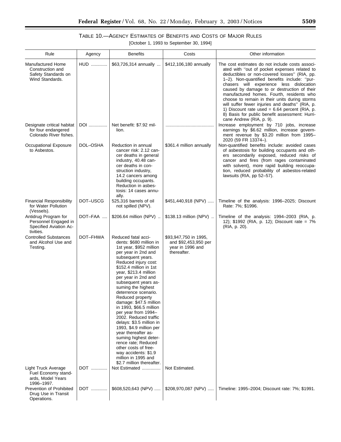# TABLE 10.—AGENCY ESTIMATES OF BENEFITS AND COSTS OF MAJOR RULES

[October 1, 1993 to September 30, 1994]

| Rule                                                                                | Agency     | <b>Benefits</b>                                                                                                                                                                                                                                                                                                                                                                                                                                                                                                                                                                                                                                          | Costs                                                                            | Other information                                                                                                                                                                                                                                                                                                                                                                                                                                                                                                                                                            |
|-------------------------------------------------------------------------------------|------------|----------------------------------------------------------------------------------------------------------------------------------------------------------------------------------------------------------------------------------------------------------------------------------------------------------------------------------------------------------------------------------------------------------------------------------------------------------------------------------------------------------------------------------------------------------------------------------------------------------------------------------------------------------|----------------------------------------------------------------------------------|------------------------------------------------------------------------------------------------------------------------------------------------------------------------------------------------------------------------------------------------------------------------------------------------------------------------------------------------------------------------------------------------------------------------------------------------------------------------------------------------------------------------------------------------------------------------------|
| Manufactured Home<br>Construction and<br>Safety Standards on<br>Wind Standards.     | <b>HUD</b> | \$63,726,314 annually                                                                                                                                                                                                                                                                                                                                                                                                                                                                                                                                                                                                                                    | \$412,106,180 annually                                                           | The cost estimates do not include costs associ-<br>ated with "out of pocket expenses related to<br>deductibles or non-covered losses" (RIA, pp.<br>1-2). Non-quantified benefits include: "pur-<br>chasers will experience less dislocation<br>caused by damage to or destruction of their<br>manufactured homes. Fourth, residents who<br>choose to remain in their units during storms<br>will suffer fewer injuries and deaths" (RIA, p.<br>1) Discount rate used = $6.64$ percent (RIA, p.<br>8) Basis for public benefit assessment: Hurri-<br>cane Andrew (RIA, p. 9). |
| Designate critical habitat<br>for four endangered<br>Colorado River fishes.         | DOI        | Net benefit: \$7.92 mil-<br>lion.                                                                                                                                                                                                                                                                                                                                                                                                                                                                                                                                                                                                                        |                                                                                  | Increase employment by 710 jobs, increase<br>earnings by \$6.62 million, increase govern-<br>ment revenue by \$3.20 million from 1995-<br>2020 (59 FR 13374-).                                                                                                                                                                                                                                                                                                                                                                                                               |
| Occupational Exposure<br>to Asbestos.                                               | DOL-OSHA   | Reduction in annual<br>cancer risk: 2.12 can-<br>cer deaths in general<br>industry, 40.48 can-<br>cer deaths in con-<br>struction industry,<br>14.2 cancers among<br>building occupants.<br>Reduction in asbes-<br>tosis: 14 cases annu-<br>ally.                                                                                                                                                                                                                                                                                                                                                                                                        | \$361.4 million annually                                                         | Non-quantified benefits include: avoided cases<br>of asbestosis for building occupants and oth-<br>ers secondarily exposed, reduced risks of<br>cancer and fires (from rages contaminated<br>with solvent), more rapid building reoccupa-<br>tion, reduced probability of asbestos-related<br>lawsuits (RIA, pp 52–57).                                                                                                                                                                                                                                                      |
| <b>Financial Responsibility</b><br>for Water Pollution<br>(Vessels).                | DOT-USCG   | 525,316 barrels of oil<br>not spilled (NPV).                                                                                                                                                                                                                                                                                                                                                                                                                                                                                                                                                                                                             | $$451,440,918$ (NPV)                                                             | Timeline of the analysis: 1996-2025; Discount<br>Rate: 7%; \$1996.                                                                                                                                                                                                                                                                                                                                                                                                                                                                                                           |
| Antidrug Program for<br>Personnel Engaged in<br>Specified Aviation Ac-<br>tivities. | DOT-FAA    | \$206.64 million (NPV)                                                                                                                                                                                                                                                                                                                                                                                                                                                                                                                                                                                                                                   | \$138.13 million (NPV)                                                           | Timeline of the analysis: 1994-2003 (RIA, p.<br>12); \$1992 (RIA, p. 12); Discount rate = 7%<br>(RIA, p. 20).                                                                                                                                                                                                                                                                                                                                                                                                                                                                |
| <b>Controlled Substances</b><br>and Alcohol Use and<br>Testing.                     | DOT-FHWA   | Reduced fatal acci-<br>dents: \$680 million in<br>1st year, \$952 million<br>per year in 2nd and<br>subsequent years.<br>Reduced injury cost:<br>\$152.4 million in 1st<br>year, \$213.4 million<br>per year in 2nd and<br>subsequent years as-<br>suming the highest<br>deterrence scenario.<br>Reduced property<br>damage: \$47.5 million<br>in 1993, \$66.5 million<br>per year from 1994-<br>2002. Reduced traffic<br>delays: \$3.5 million in<br>1993, \$4.9 million per<br>year thereafter as-<br>suming highest deter-<br>rence rate; Reduced<br>other costs of free-<br>way accidents: \$1.9<br>million in 1995 and<br>\$2.7 million thereafter. | \$93,947,750 in 1995,<br>and \$92,453,950 per<br>year in 1996 and<br>thereafter. |                                                                                                                                                                                                                                                                                                                                                                                                                                                                                                                                                                              |
| Light Truck Average<br>Fuel Economy stand-<br>ards, Model Years                     | DOT        | Not Estimated                                                                                                                                                                                                                                                                                                                                                                                                                                                                                                                                                                                                                                            | Not Estimated.                                                                   |                                                                                                                                                                                                                                                                                                                                                                                                                                                                                                                                                                              |
| 1996-1997.<br>Prevention of Prohibited<br>Drug Use in Transit<br>Operations.        | DOT        | $$608,520,643$ (NPV)                                                                                                                                                                                                                                                                                                                                                                                                                                                                                                                                                                                                                                     | \$208,970,087 (NPV)                                                              | Timeline: 1995-2004; Discount rate: 7%; \$1991.                                                                                                                                                                                                                                                                                                                                                                                                                                                                                                                              |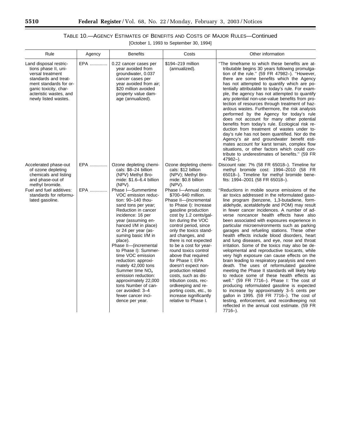$\equiv$ 

÷.

# TABLE 10.—AGENCY ESTIMATES OF BENEFITS AND COSTS OF MAJOR RULES—Continued

[October 1, 1993 to September 30, 1994]

| Rule                                                                                                                                                                                            | Agency     | <b>Benefits</b>                                                                                                                                                                                                                                                                                                                                                                                                                                                                                                                                                                                                                            | Costs                                                                                                                                                                                                                                                                                                                                                                                                                                                                                                                                                                                                                                                                    | Other information                                                                                                                                                                                                                                                                                                                                                                                                                                                                                                                                                                                                                                                                                                                                                                                                                                                                                                                                                                                                                                                                                                                                                                                                                                                                                                                                                          |
|-------------------------------------------------------------------------------------------------------------------------------------------------------------------------------------------------|------------|--------------------------------------------------------------------------------------------------------------------------------------------------------------------------------------------------------------------------------------------------------------------------------------------------------------------------------------------------------------------------------------------------------------------------------------------------------------------------------------------------------------------------------------------------------------------------------------------------------------------------------------------|--------------------------------------------------------------------------------------------------------------------------------------------------------------------------------------------------------------------------------------------------------------------------------------------------------------------------------------------------------------------------------------------------------------------------------------------------------------------------------------------------------------------------------------------------------------------------------------------------------------------------------------------------------------------------|----------------------------------------------------------------------------------------------------------------------------------------------------------------------------------------------------------------------------------------------------------------------------------------------------------------------------------------------------------------------------------------------------------------------------------------------------------------------------------------------------------------------------------------------------------------------------------------------------------------------------------------------------------------------------------------------------------------------------------------------------------------------------------------------------------------------------------------------------------------------------------------------------------------------------------------------------------------------------------------------------------------------------------------------------------------------------------------------------------------------------------------------------------------------------------------------------------------------------------------------------------------------------------------------------------------------------------------------------------------------------|
| Land disposal restric-<br>tions phase II, uni-<br>versal treatment<br>standards and treat-<br>ment standards for or-<br>ganic toxicity, char-<br>acteristic wastes, and<br>newly listed wastes. | EPA        | 0.22 cancer cases per<br>year avoided from<br>groundwater, 0.037<br>cancer cases per<br>year avoided from air;<br>\$20 million avoided<br>property value dam-<br>age (annualized).                                                                                                                                                                                                                                                                                                                                                                                                                                                         | \$194-219 million<br>(annualized).                                                                                                                                                                                                                                                                                                                                                                                                                                                                                                                                                                                                                                       | "The timeframe to which these benefits are at-<br>tributable begins 30 years following promulga-<br>tion of the rule." (59 FR 47982-). "However,<br>there are some benefits which the Agency<br>has not attempted to quantify which are po-<br>tentially attributable to today's rule. For exam-<br>ple, the agency has not attempted to quantify<br>any potential non-use-value benefits from pro-<br>tection of resources through treatment of haz-<br>ardous wastes. Furthermore, the risk analysis<br>performed by the Agency for today's rule<br>does not account for many other potential<br>benefits from today's rule. Ecological risk re-<br>duction from treatment of wastes under to-<br>day's rule has not been quantified. Nor do the<br>Agency's air and groundwater benefit esti-<br>mates account for karst terrain, complex flow<br>situations, or other factors which could con-<br>tribute to underestimates of benefits." (59 FR<br>47982-).                                                                                                                                                                                                                                                                                                                                                                                                           |
| Accelerated phase-out<br>of ozone depleting<br>chemicals and listing<br>and phase-out of<br>methyl bromide.<br>Fuel and fuel additives:<br>standards for reformu-<br>lated gasoline.            | EPA<br>EPA | Ozone depleting chemi-<br>cals: \$8-24 billion<br>(NPV) Methyl Bro-<br>mide: \$1.6-6.4 billion<br>(NPV).<br>Phase I-Summertime<br>VOC emission reduc-<br>tion: 90-140 thou-<br>sand tons per year;<br>Reduction in cancer<br>incidence: 16 per<br>year (assuming en-<br>hanced I/M in place)<br>or 24 per year (as-<br>suming basic I/M in<br>place).<br>Phase II-(incremental<br>to Phase I): Summer-<br>time VOC emission<br>reduction: approxi-<br>mately 42,000 tons<br>Summer time NO <sub>x</sub><br>emission reduction:<br>approximately 22,000<br>tons Number of can-<br>cer avoided: 3-4<br>fewer cancer inci-<br>dence per year. | Ozone depleting chemi-<br>cals: \$12 billion<br>(NPV); Methyl Bro-<br>mide: \$0.8 billion<br>(NPV).<br>Phase I-Annual costs:<br>\$700-940 million.<br>Phase II-(incremental<br>to Phase I): Increase<br>gasoline production<br>cost by 1.2 cents/gal-<br>lon during the VOC<br>control period, since<br>only the toxics stand-<br>ard changes, and<br>there is not expected<br>to be a cost for year-<br>round toxics control<br>above that required<br>for Phase I; EPA<br>doesn't expect non-<br>production related<br>costs, such as dis-<br>tribution costs, rec-<br>ordkeeping and re-<br>porting costs, etc., to<br>increase isgnificantly<br>relative to Phase I. | Discount rate: 7% (58 FR 65018-). Timeline for<br>methyl bromide cost: 1994-2010 (58 FR<br>65018-). Timeline for methyl bromide bene-<br>fits: 1994–2001 (58 FR 65018–).<br>'Reductions in mobile source emissions of the<br>air toxics addressed in the reformulated gaso-<br>line program (benzene, 1,3-butadiene, form-<br>aldehyde, acetaldehyde and POM) may result<br>in fewer cancer incidences. A number of ad-<br>verse noncancer health effects have also<br>been associated with exposures experience in<br>particular microenvironments such as parking<br>garages and refueling stations. These other<br>health effects include blood disorders, heart<br>and lung diseases, and eye, nose and throat<br>irritation. Some of the toxics may also be de-<br>velopmental and reproductive toxicants, while<br>very high exposure can cause effects on the<br>brain leading to respiratory paralysis and even<br>death. The uses of reformulated gasoline<br>meeting the Phase II standards will likely help<br>to reduce some of these health effects as<br>well." (59 FR 7716-). Phase I: The cost of<br>producing reformulated gasoline is expected<br>to increase by approximately 3-5 cents per<br>gallon in 1995. (59 FR 7716-). The cost of<br>testing, enforcement, and recordkeeping not<br>reflected in the annual cost estimate. (59 FR<br>$7716-$ ). |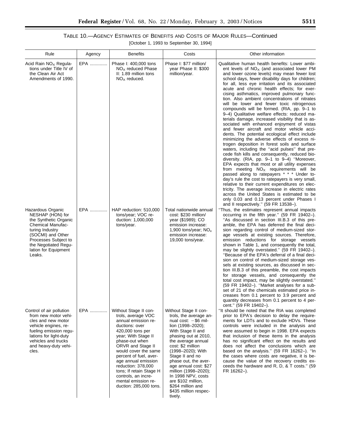# TABLE 10.—AGENCY ESTIMATES OF BENEFITS AND COSTS OF MAJOR RULES—Continued

[October 1, 1993 to September 30, 1994]

| Rule                                                                                                                                                                                                                 | Agency | <b>Benefits</b>                                                                                                                                                                                                                                                                                                                                                          | Costs                                                                                                                                                                                                                                                                                                                                                                                                         | Other information                                                                                                                                                                                                                                                                                                                                                                                                                                                                                                                                                                                                                                                                                                                                                                                                                                                                                                                                                                                                                                                                                                                                                                                                                                                                                                                                                                                    |
|----------------------------------------------------------------------------------------------------------------------------------------------------------------------------------------------------------------------|--------|--------------------------------------------------------------------------------------------------------------------------------------------------------------------------------------------------------------------------------------------------------------------------------------------------------------------------------------------------------------------------|---------------------------------------------------------------------------------------------------------------------------------------------------------------------------------------------------------------------------------------------------------------------------------------------------------------------------------------------------------------------------------------------------------------|------------------------------------------------------------------------------------------------------------------------------------------------------------------------------------------------------------------------------------------------------------------------------------------------------------------------------------------------------------------------------------------------------------------------------------------------------------------------------------------------------------------------------------------------------------------------------------------------------------------------------------------------------------------------------------------------------------------------------------------------------------------------------------------------------------------------------------------------------------------------------------------------------------------------------------------------------------------------------------------------------------------------------------------------------------------------------------------------------------------------------------------------------------------------------------------------------------------------------------------------------------------------------------------------------------------------------------------------------------------------------------------------------|
| Acid Rain $NOx$ Regula-<br>tions under Title IV of<br>the Clean Air Act<br>Amendments of 1990.                                                                                                                       | EPA    | Phase I: 400,000 tons<br>$NOx$ reduced Phase<br>II: 1.89 million tons<br>$NOx$ reduced.                                                                                                                                                                                                                                                                                  | Phase I: \$77 million/<br>year Phase II: \$300<br>million/year.                                                                                                                                                                                                                                                                                                                                               | Qualitative human health benefits: Lower ambi-<br>ent levels of $NOx$ (and associated lower PM<br>and lower ozone levels) may mean fewer lost<br>school days, fewer disability days for children;<br>for all, less eye irritation and its associated<br>acute and chronic health effects; for exer-<br>cising asthmatics, improved pulmonary func-<br>tion. Also ambient concentrations of nitrates<br>will be lower and fewer toxic nitrogenous<br>compounds will be formed. (RIA, pp. 9–1 to<br>9-4) Qualitative welfare effects: reduced ma-<br>terials damage, increased visibility that is as-<br>sociated with enhanced enjoyment of vistas<br>and fewer aircraft and motor vehicle acci-<br>dents. The potential ecological effect include<br>minimizing the adverse effects of excess ni-<br>trogen deposition in forest soils and surface<br>waters, including the "acid pulses" that pre-<br>cede fish kills and consequently, reduced bio-<br>diversity. (RIA, pp. 9–1 to 9–4) "Moreover,<br>EPA expects that most or all utility expenses<br>from meeting $NOx$ requirements will be<br>passed along to ratepayers * * * Under to-<br>day's rule the cost to ratepayers is very small,<br>relative to their current expenditures on elec-<br>tricity. The average increase in electric rates<br>across the United States is estimated to be<br>only 0.03 and 0.13 percent under Phases I |
| Hazardous Organic<br>NESHAP (HON) for<br>the Synthetic Organic<br><b>Chemical Manufac-</b><br>turing Industry<br>(SOCMI) and Other<br>Processes Subject to<br>the Negotiated Regu-<br>lation for Equipment<br>Leaks. | EPA    | HAP reduction: 510,000<br>tons/year; VOC re-<br>duction: 1,000,000<br>tons/year.                                                                                                                                                                                                                                                                                         | Total nationwide annual<br>cost: \$230 million/<br>year (\$1989); CO<br>emission increase:<br>1,900 tons/year; $NOx$<br>emission increase:<br>19,000 tons/year.                                                                                                                                                                                                                                               | and II respectively." (59 FR 13538-).<br>"Thus, the estimates represent annual impacts<br>occurring in the fifth year." (59 FR 19402-).<br>"As discussed in section III.B.3 of this pre-<br>amble, the EPA has deferred the final deci-<br>sion regarding control of medium-sized stor-<br>age vessels at existing sources. Therefore,<br>emission reductions for storage vessels<br>shown in Table 1, and consequently the total,<br>may be slightly overstated." (59 FR 19402-).<br>"Because of the EPA's deferral of a final deci-<br>sion on control of medium-sized storage ves-<br>sels at existing sources, as discussed in sec-<br>tion III.B.3 of this preamble, the cost impacts<br>for storage vessels, and consequently the<br>total cost impact, may be slightly overstated."<br>(59 FR 19402-). "Market analyses for a sub-<br>set of 21 of the chemicals estimated price in-<br>creases from 0.1 percent to 3.9 percent and<br>quantity decreases from 0.1 percent to 4 per-<br>cent." (59 FR 19402-).                                                                                                                                                                                                                                                                                                                                                                                |
| Control of air pollution<br>from new motor vehi-<br>cles and new motor<br>vehicle engines, re-<br>fueling emission regu-<br>lations for light-duty<br>vehicles and trucks<br>and heavy-duty vehi-<br>cles.           | EPA    | Without Stage II con-<br>trols, average VOC<br>annual emission re-<br>ductions: over<br>420,000 tons per<br>year; With Stage II<br>phase-out when<br>ORVR and Stage II<br>would cover the same<br>percent of fuel, aver-<br>age annual emission<br>reduction: 378,000<br>tons; If retain Stage H<br>controls, an incre-<br>mental emission re-<br>duction: 285,000 tons. | Without Stage II con-<br>trols, the average an-<br>nual cost: $-$ \$6 mil-<br>lion (1998–2020);<br>With Stage II and<br>phasing out at 2010,<br>the average annual<br>cost: \$2 million<br>(1998-2020); With<br>Stage II and no<br>phase out, the aver-<br>age annual cost: \$27<br>million (1998-2020);<br>In 1998 NPV, costs<br>are \$102 million,<br>\$264 million and<br>\$435 million respec-<br>tively. | "It should be noted that the RIA was completed<br>prior to EPA's decision to delay the require-<br>ments for LDTs and to exclude HDVs. These<br>controls were included in the analysis and<br>were assumed to begin in 1998. EPA expects<br>that inclusion of these items in the analysis<br>has no significant effect on the results and<br>does not affect the conclusions which are<br>based on the analysis." (59 FR 16262-). "In<br>the cases where costs are negative, it is be-<br>cause the value of the recovery credits ex-<br>ceeds the hardware and R, D, & T costs." (59<br>FR 16262-).                                                                                                                                                                                                                                                                                                                                                                                                                                                                                                                                                                                                                                                                                                                                                                                                 |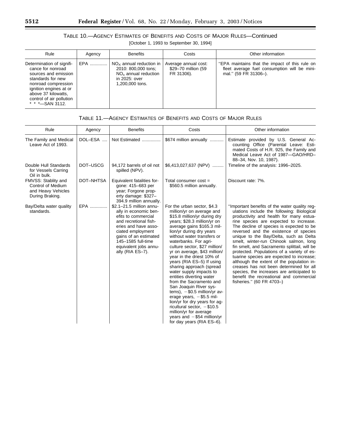# TABLE 10.—AGENCY ESTIMATES OF BENEFITS AND COSTS OF MAJOR RULES—Continued

÷.

[October 1, 1993 to September 30, 1994]

| Rule                                                                                                                                                                                                               | Agency | <b>Benefits</b>                                                                                                | Costs                                                     | Other information                                                                                                       |
|--------------------------------------------------------------------------------------------------------------------------------------------------------------------------------------------------------------------|--------|----------------------------------------------------------------------------------------------------------------|-----------------------------------------------------------|-------------------------------------------------------------------------------------------------------------------------|
| Determination of signifi-<br>cance for nonroad<br>sources and emission<br>standards for new<br>nonroad compression<br>ignition engines at or<br>above 37 kilowatts,<br>control of air pollution<br>* * *-SAN 3112. | EPA    | $NOx$ annual reduction in<br>2010: 800,000 tons;<br>$NOx$ annual reduction<br>in 2025: over<br>1,200,000 tons. | Average annual cost:<br>\$29-70 million (59<br>FR 31306). | "EPA maintains that the impact of this rule on<br>fleet average fuel consumption will be mini-<br>mal." (59 FR 31306-). |

| TABLE 11.—AGENCY ESTIMATES OF BENEFITS AND COSTS OF MAJOR RULES |
|-----------------------------------------------------------------|
|-----------------------------------------------------------------|

| Rule                                                                              | Agency    | <b>Benefits</b>                                                                                                                                                                                                                            | Costs                                                                                                                                                                                                                                                                                                                                                                                                                                                                                                                                                                                                                                                                                                                                  | Other information                                                                                                                                                                                                                                                                                                                                                                                                                                                                                                                                                                                                                                                                                                 |
|-----------------------------------------------------------------------------------|-----------|--------------------------------------------------------------------------------------------------------------------------------------------------------------------------------------------------------------------------------------------|----------------------------------------------------------------------------------------------------------------------------------------------------------------------------------------------------------------------------------------------------------------------------------------------------------------------------------------------------------------------------------------------------------------------------------------------------------------------------------------------------------------------------------------------------------------------------------------------------------------------------------------------------------------------------------------------------------------------------------------|-------------------------------------------------------------------------------------------------------------------------------------------------------------------------------------------------------------------------------------------------------------------------------------------------------------------------------------------------------------------------------------------------------------------------------------------------------------------------------------------------------------------------------------------------------------------------------------------------------------------------------------------------------------------------------------------------------------------|
| The Family and Medical<br>Leave Act of 1993.                                      | DOL-ESA   | Not Estimated                                                                                                                                                                                                                              | \$674 million annually                                                                                                                                                                                                                                                                                                                                                                                                                                                                                                                                                                                                                                                                                                                 | Estimate provided by U.S. General Ac-<br>counting Office (Parental Leave: Esti-<br>mated Costs of H.R. 925, the Family and<br>Medical Leave Act of 1987-GAO/HRD-<br>88-34, Nov. 10, 1987).                                                                                                                                                                                                                                                                                                                                                                                                                                                                                                                        |
| Double Hull Standards<br>for Vessels Carring<br>Oil in bulk.                      | DOT-USCG  | 94,172 barrels of oil not<br>spilled (NPV).                                                                                                                                                                                                | $$6,413,027,637$ (NPV)                                                                                                                                                                                                                                                                                                                                                                                                                                                                                                                                                                                                                                                                                                                 | Timeline of the analysis: 1996-2025.                                                                                                                                                                                                                                                                                                                                                                                                                                                                                                                                                                                                                                                                              |
| FMVSS: Stablity and<br>Control of Medium<br>and Heavy Vehicles<br>During Braking. | DOT-NHTSA | Equivalent fatalities for-<br>gone: 415-683 per<br>year; Forgone prop-<br>erty damage: \$327-<br>394.9 million annually.                                                                                                                   | Total consumer cost =<br>\$560.5 million annually.                                                                                                                                                                                                                                                                                                                                                                                                                                                                                                                                                                                                                                                                                     | Discount rate: 7%.                                                                                                                                                                                                                                                                                                                                                                                                                                                                                                                                                                                                                                                                                                |
| Bay/Delta water quality<br>standards.                                             | EPA       | \$2.1-21.5 million annu-<br>ally in economic ben-<br>efits to commercial<br>and recretional fish-<br>eries and have asso-<br>ciated employment<br>gains of an estimated<br>145-1585 full-time<br>equivalent jobs annu-<br>ally (RIA ES-7). | For the urban sector, \$4.3<br>million/yr on average and<br>\$15.8 million/yr during dry<br>years; \$28.3 million/yr on<br>average gains \$165.3 mil-<br>lion/yr during dry years<br>without water transfers or<br>waterbanks. For agri-<br>culture sector, \$27 million/<br>yr on average, \$43 million/<br>year in the driest 10% of<br>years (RIA ES-5) If using<br>sharing approach (spread<br>water supply impacts to<br>entities diverting water<br>from the Sacramento and<br>San Joaquin River sys-<br>tems), $-$ \$0.5 million/yr av-<br>erage years, $-$ \$5.5 mil-<br>lion/yr for dry years for ag-<br>ricultural sector, $-\$10.5$<br>million/yr for average<br>years and $-$ \$54 million/yr<br>for day years (RIA ES-6). | "Important benefits of the water quality reg-<br>ulations include the following: Biological<br>productivity and health for many estua-<br>rine species are expected to increase.<br>The decline of species is expected to be<br>reversed and the existence of species<br>unique to the Bay/Delta, such as Delta<br>smelt, winter-run Chinook salmon, long<br>fin smelt, and Sacramento splittail, will be<br>protected. Populations of a variety of es-<br>tuarine species are expected to increase;<br>although the extent of the population in-<br>creases has not been determined for all<br>species, the increases are anticipated to<br>benefit the recreational and commercial<br>fisheries." (60 FR 4703-) |

 $\equiv$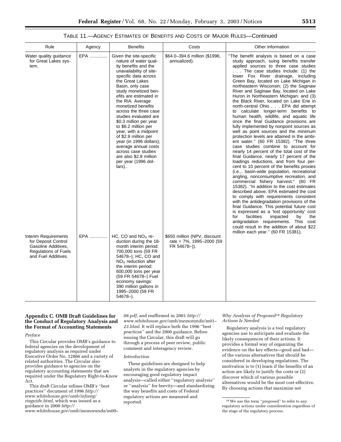|  | ۰. | л |
|--|----|---|
|  |    |   |
|  |    |   |
|  |    |   |

# TABLE 11.—AGENCY ESTIMATES OF BENEFITS AND COSTS OF MAJOR RULES—Continued

| Rule                                                                                                                     | Agency | <b>Benefits</b>                                                                                                                                                                                                                                                                                                                                                                                                                                                                                                                                         | Costs                                                                    | Other information                                                                                                                                                                                                                                                                                                                                                                                                                                                                                                                                                                                                                                                                                                                                                                                                                                                                                                                                                                                                                                                                                                                                                                                                                                                                                                                                                                                                                                                                                                                                                                                 |
|--------------------------------------------------------------------------------------------------------------------------|--------|---------------------------------------------------------------------------------------------------------------------------------------------------------------------------------------------------------------------------------------------------------------------------------------------------------------------------------------------------------------------------------------------------------------------------------------------------------------------------------------------------------------------------------------------------------|--------------------------------------------------------------------------|---------------------------------------------------------------------------------------------------------------------------------------------------------------------------------------------------------------------------------------------------------------------------------------------------------------------------------------------------------------------------------------------------------------------------------------------------------------------------------------------------------------------------------------------------------------------------------------------------------------------------------------------------------------------------------------------------------------------------------------------------------------------------------------------------------------------------------------------------------------------------------------------------------------------------------------------------------------------------------------------------------------------------------------------------------------------------------------------------------------------------------------------------------------------------------------------------------------------------------------------------------------------------------------------------------------------------------------------------------------------------------------------------------------------------------------------------------------------------------------------------------------------------------------------------------------------------------------------------|
| Water quality guidance<br>for Great Lakes sys-<br>tem.                                                                   | EPA    | Given the site-specific<br>nature of water qual-<br>ity benefits and the<br>unavailability of site-<br>specific data across<br>the Great Lakes<br>Basin, only case<br>study monetized ben-<br>efits are estimated in<br>the RIA. Average<br>monetized benefits<br>across the three case<br>studies evaluated are<br>\$0.3 million per year<br>to \$6.2 million per<br>year, with a midpoint<br>of \$2.9 million per<br>year (in 1996 dollars);<br>average annual costs<br>across case studies<br>are also \$2.8 million<br>per year (1996 dol-<br>lars) | \$64.0-394.6 million (\$1996,<br>annualized).                            | "The benefit analysis is based on a case<br>study approach, suing benefits transfer<br>applied sources to three case studies<br>The case studies include: (1) the<br>lower Fox River drainage, including<br>Green Bay, located on Lake Michigan in<br>northeastern Wisconsin; (2) the Saginaw<br>River and Saginaw Bay, located on Lake<br>Huron in Northeastern Michigan; and (3)<br>the Black River, located on Lake Erie in<br>north-central Ohio EPA did attempt<br>to calculate longer-term benefits to<br>human health, wildlife, and aquatic life<br>once the final Guidance provisions are<br>fully implemented by nonpoint sources as<br>well as point sources and the minimum<br>protection levels are attained in the ambi-<br>ent water." (60 FR 15382). "The three<br>case studies combine to account for<br>nearly 14 percent of the total cost of the<br>final Guidance, nearly 17 percent of the<br>loadings reductions, and from four per-<br>cent to 10 percent of the benefits proxies<br>(i.e.,. basin-wide population, recreational<br>angling, nonconsumptive recreation, and<br>commercial fishery harvest." (60 FR<br>15382). "In addition to the cost estimates<br>described above, EPA estimated the cost<br>to comply with requirements consistent<br>with the antidegradation provisions of the<br>final Guidance. This potential future cost<br>is expressed as a 'lost opportunity' cost<br>facilities<br>impacted<br>the<br>for<br>by<br>antigradation requirements. This cost<br>could result in the addition of about \$22<br>million each year." (60 FR 15381). |
| Interim Requirements<br>for Deposit Control<br>Gasoline Additives,<br><b>Regulations of Fuels</b><br>and Fuel Additives. | EPA    | HC, CO and $NOx$ re-<br>duction during the 18-<br>month interim period:<br>700,000 tons (59 FR<br>54678-); HC, CO and<br>$NOx$ reduction after<br>the interim period:<br>600,000 tons per year<br>(59 FR 54678-) Fuel<br>economy savings:<br>390 million gallons in<br>1995-2000 (59 FR<br>$54678-$ ).                                                                                                                                                                                                                                                  | \$650 million (NPV, discount<br>rate = 7%, 1995-2000 (59<br>FR 54678-)). |                                                                                                                                                                                                                                                                                                                                                                                                                                                                                                                                                                                                                                                                                                                                                                                                                                                                                                                                                                                                                                                                                                                                                                                                                                                                                                                                                                                                                                                                                                                                                                                                   |

# **Appendix C. OMB Draft Guidelines for the Conduct of Regulatory Analysis and the Format of Accounting Statements**

# *Preface*

This Circular provides OMB's guidance to federal agencies on the development of regulatory analysis as required under Executive Order No. 12866 and a variety of related authorities. The Circular also provides guidance to agencies on the regulatory accounting statements that are required under the Regulatory Right-to-Know Act.

This draft Circular refines OMB's ''best practices'' document of 1996 *http:// www.whitehouse.gov/omb/inforeg/ riaguide.html,* which was issued as a guidance in 2000 *http:// www.whitehouse.gov/omb/memoranda/m00–*

*08.pdf,* and reaffirmed in 2001 *http:// www.whitehouse.gov/omb/memoranda/m01– 23.html*. It will replace both the 1996 ''best practices'' and the 2000 guidance. Before issuing the Circular, this draft will go through a process of peer review, public comment and interagency review.

#### *Introduction*

These guidelines are designed to help analysts in the regulatory agencies by encouraging good regulatory impact analysis—called either ''regulatory analysis'' or ''analysis'' for brevity—and standardizing the way benefits and costs of Federal regulatory actions are measured and reported.

#### *Why Analysis of Proposed16 Regulatory Actions Is Needed*

Regulatory analysis is a tool regulatory agencies use to anticipate and evaluate the likely consequences of their actions. It provides a formal way of organizing the evidence on the key effects—good and bad of the various alternatives that should be considered in developing regulations. The motivation is to (1) learn if the benefits of an action are likely to justify the costs or (2) discover which of various possible alternatives would be the most cost-effective. By choosing actions that maximize net

<sup>16</sup>We use the term ''proposed'' to refer to any regulatory actions under consideration regardless of the stage of the regulatory process.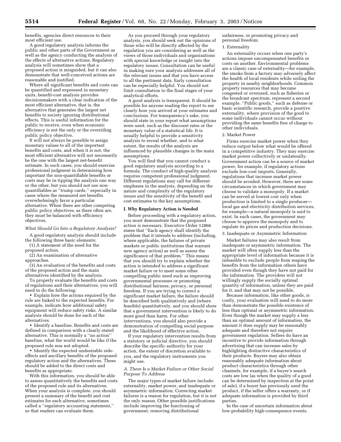benefits, agencies direct resources to their most efficient use.

A good regulatory analysis informs the public and other parts of the Government as well as the agency conducting the analysis of the effects of alternative actions. Regulatory analysis will sometimes show that a proposed action is misguided, but it can also demonstrate that well-conceived actions are reasonable and justified.

Where all significant benefits and costs can be quantified and expressed in monetary units, benefit-cost analysis provides decisionmakers with a clear indication of the most efficient alternative, that is, the alternative that generates the largest net benefits to society ignoring distributional effects. This is useful information for the public to receive, even when economic efficiency is not the only or the overriding public policy objective.

It will not always be possible to assign monetary values to all of the important benefits and costs, and when it is not, the most efficient alternative will not necessarily be the one with the largest net-benefit estimate. In such cases, you should exercise professional judgment in determining how important the non-quantifiable benefits or costs may be in tipping the analysis one way or the other, but you should not use nonquantifiables as ''trump cards,'' especially in cases where the measured net benefits overwhelmingly favor a particular alternative. When there are other competing public policy objectives, as there often are, they must be balanced with efficiency objectives.

#### *What Should Go Into a Regulatory Analysis?*

A good regulatory analysis should include

the following three basic elements: (1) A statement of the need for the proposed action.

(2) An examination of alternative approaches.

(3) An evaluation of the benefits and costs of the proposed action and the main alternatives identified by the analysis.

To properly evaluate the benefits and costs of regulations and their alternatives, you will need to do the following:

• Explain how the actions required by the rule are linked to the expected benefits. For example, indicate how additional safety equipment will reduce safety risks. A similar analysis should be done for each of the alternatives.

• Identify a baseline. Benefits and costs are defined in comparison with a clearly stated alternative. This is normally a ''no action'' baseline, what the world would be like if the proposed rule was not adopted.

• Identify the expected undesirable sideeffects and ancillary benefits of the proposed regulatory action and the alternatives. These should be added to the direct costs and benefits as appropriate.

With this information, you should be able to assess quantitatively the benefits and costs of the proposed rule and its alternatives. When your analysis is complete, you should present a summary of the benefit and cost estimates for each alternative, sometimes called a ''regulatory accounting statement,'' so that readers can evaluate them.

As you proceed through your regulatory analysis, you should seek out the opinions of those who will be directly affected by the regulation you are considering as well as the views of those individuals and organizations with special knowledge or insight into the regulatory issues. Consultation can be useful in making sure your analysis addresses all of the relevant issues and that you have access to all the pertinent data. Early consultation can be especially helpful. You should not limit consultation to the final stages of your analytical efforts.

A good analysis is transparent. It should be possible for anyone reading the report to see clearly how you arrived at your estimates and conclusions. For transparency's sake, you should state in your report what assumptions were used, such as the discount rates or the monetary value of a statistical life. It is usually helpful to provide a sensitivity analysis to reveal whether, and to what extent, the results of the analysis are influenced by plausible changes in the main assumptions.

You will find that you cannot conduct a good regulatory analysis according to a formula. The conduct of high-quality analysis requires competent professional judgment. Different regulations may call for different emphases in the analysis, depending on the nature and complexity of the regulatory issues and the sensitivity of the benefit and cost estimates to the key assumptions.

#### **I. Why Regulatory Action is Needed**

Before proceeding with a regulatory action, you must demonstrate that the proposed action is necessary. Executive Order 12866 states that ''Each agency shall identify the problem that it intends to address (including, where applicable, the failures of private markets or public institutions that warrant new agency action) as well as assess the significance of that problem.'' This means that you should try to explain whether the action is intended to address a significant market failure or to meet some other compelling public need such as improving governmental processes or promoting distributional fairness, privacy, or personal freedom. If you are trying to correct a significant market failure, the failure should be described both qualitatively and (where feasible) quantitatively, and you should show that a government intervention is likely to do more good than harm. For other interventions, you should also provide a demonstration of compelling social purpose and the likelihood of effective action.

If your regulatory intervention results from a statutory or judicial directive, you should describe the specific authority for your action, the extent of discretion available to you, and the regulatory instruments you might use.

#### *A. There Is a Market Failure or Other Social Purpose To Address*

The major types of market failure include: externality, market power, and inadequate or asymmetric information. Correcting market failures is a reason for regulation, but it is not the only reason. Other possible justifications include improving the functioning of government, removing distributional

unfairness, or promoting privacy and personal freedom.

#### 1. Externality

An externality occurs when one party's actions impose uncompensated benefits or costs on another. Environmental problems are a classic case of externality—for example, the smoke from a factory may adversely affect the health of local residents while soiling the property in nearby neighborhoods. Common property resources that may become congested or overused, such as fisheries or the broadcast spectrum, represent a second example. ''Public goods,'' such as defense or basic scientific research, provide a positive externality, where provision of the good to some individuals cannot occur without providing the same benefits free of charge to other individuals.

### 2. Market Power

Firms exercise market power when they reduce output below what would be offered in a competitive industry. They may exercise market power collectively or unilaterally. Government action can be a source of market power, for example, if regulatory actions exclude low-cost imports. Generally, regulations that increase market power should be avoided. However, there are some circumstances in which government may choose to validate a monopoly. If a market can be served at lowest cost only when production is limited to a single producer local gas and electricity distribution services, for example—a natural monopoly is said to exist. In such cases, the government may choose to approve the monopoly and to regulate its prices and production decisions.

3. Inadequate or Asymmetric Information

Market failures may also result from inadequate or asymmetric information. The market will often supply less than the appropriate level of information because it is infeasible to exclude people from reaping the benefits from the information others have provided even though they have not paid for the information. The providers will not willingly supply the socially optimal quantity of information, unless they are paid for it, and that may not be possible.

Because information, like other goods, is costly, your evaluation will need to do more than demonstrate the possible existence of less than optimal or asymmetric information. Even though the market may supply a less than an optimal amount of information, the amount it does supply may be reasonably adequate and therefore not require government regulation. Sellers do have an incentive to provide information through advertising that can increase sales by highlighting distinctive characteristics of their products. Buyers may also obtain reasonably adequate information about product characteristics through other channels, for example, if a buyer's search costs are low (as when the quality of a good can be determined by inspection at the point of sale), if a buyer has previously used the product, if the seller offers a warranty, or if adequate information is provided by third parties.

In the case of uncertain information about low-probability high-consequence events,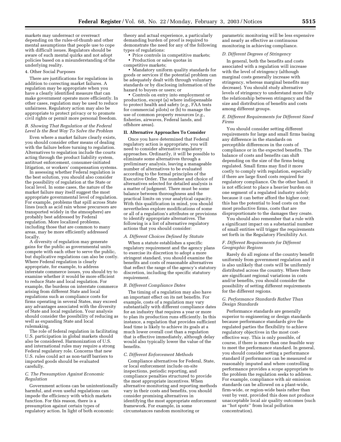markets may underreact or overreact depending on the rules-of-thumb and other mental assumptions that people use to cope with difficult issues. Regulators should be aware of such mental quirks and not adopt policies based on a misunderstanding of the underlying reality.

#### 4. Other Social Purposes

There are justifications for regulations in addition to correcting market failures. A regulation may be appropriate when you have a clearly identified measure that can make government operate more efficiently. In other cases, regulation may be used to reduce unfairness. Regulatory action may also be appropriate to protect privacy or to promote civil rights or permit more personal freedom.

#### *B. Showing That Regulation at the Federal Level Is the Best Way To Solve the Problem*

Even where a market failure clearly exists, you should consider other means of dealing with the failure before turning to regulation. Alternatives to regulation include the courts acting through the product liability system, antitrust enforcement, consumer-initiated litigation, or workers' compensation systems.

In assessing whether Federal regulation is the best solution, you should also consider the possibility of regulation at the State or local level. In some cases, the nature of the market failure may itself suggest the most appropriate governmental level of regulation. For example, problems that spill across State lines (such as acid rain whose precursors are transported widely in the atmosphere) are probably best addressed by Federal regulation. More localized problems, including those that are common to many areas, may be more efficiently addressed locally.

A diversity of regulation may generate gains for the public as governmental units compete with each other to serve the public, but duplicative regulations can also be costly. Where Federal regulation is clearly appropriate, for example, to address interstate commerce issues, you should try to examine whether it would be more efficient to reduce State and local regulation. For example, the burdens on interstate commerce arising from different State and local regulations such as compliance costs for firms operating in several States, may exceed any advantages associated with the diversity of State and local regulation. Your analysis should consider the possibility of reducing as well as expanding State and local rulemaking.

The role of federal regulation in facilitating U.S. participation in global markets should also be considered. Harmonization of U.S. and international rules may require a strong Federal regulatory role. Concerns that new U.S. rules could act as non-tariff barriers to imported goods should be evaluated carefully.

#### *C. The Presumption Against Economic Regulation*

Government actions can be unintentionally harmful, and even useful regulations can impede the efficiency with which markets function. For this reason, there is a presumption against certain types of regulatory action. In light of both economic

theory and actual experience, a particularly demanding burden of proof is required to demonstrate the need for any of the following types of regulations:

• Price controls in competitive markets;

• Production or sales quotas in competitive markets;

• Mandatory uniform quality standards for goods or services if the potential problem can be adequately dealt with through voluntary

standards or by disclosing information of the hazard to buyers or users; or • Controls on entry into employment or production, except (a) where indispensable to protect health and safety (*e.g.,* FAA tests for commercial pilots) or (b) to manage the use of common property resources (*e.g.,* fisheries, airwaves, Federal lands, and

#### **II. Alternative Approaches To Consider**

offshore areas).

Once you have determined that Federal regulatory action is appropriate, you will need to consider alternative regulatory approaches. Ordinarily, it will be possible to eliminate some alternatives through a preliminary analysis, leaving a manageable number of alternatives to be evaluated according to the formal principles of the Executive Order. The number and choice of alternatives selected for detailed analysis is a matter of judgment. There must be some balance between thoroughness and the practical limits on your analytical capacity. With this qualification in mind, you should nevertheless explore modifications of some or all of a regulation's attributes or provisions to identify appropriate alternatives. The following is a list of alternative regulatory actions that you should consider:

#### *A. Different Choices Defined by Statute*

When a statute establishes a specific regulatory requirement and the agency plans to exercise its discretion to adopt a more stringent standard, you should examine the benefits and costs of reasonable alternatives that reflect the range of the agency's statutory discretion, including the specific statutory requirement.

#### *B. Different Compliance Dates*

The timing of a regulation may also have an important effect on its net benefits. For example, costs of a regulation may vary substantially with different compliance dates for an industry that requires a year or more to plan its production runs efficiently. In this instance, a regulation that provides sufficient lead time is likely to achieve its goals at a much lower overall cost than a regulation that is effective immediately, although delay would also typically lower the value of the benefits.

#### *C. Different Enforcement Methods*

Compliance alternatives for Federal, State, or local enforcement include on-site inspections, periodic reporting, and compliance penalties structured to provide the most appropriate incentives. When alternative monitoring and reporting methods vary in their costs and benefits, you should consider promising alternatives in identifying the most appropriate enforcement framework. For example, in some circumstances random monitoring or

parametric monitoring will be less expensive and nearly as effective as continuous monitoring in achieving compliance.

# *D. Different Degrees of Stringency*

In general, both the benefits and costs associated with a regulation will increase with the level of stringency (although marginal costs generally increase with stringency, whereas marginal benefits may decrease). You should study alternative levels of stringency to understand more fully the relationship between stringency and the size and distribution of benefits and costs among different groups.

#### *E. Different Requirements for Different Sized Firms*

You should consider setting different requirements for large and small firms basing any difference in the standards on perceptible differences in the costs of compliance or in the expected benefits. The balance of costs and benefits can shift depending on the size of the firms being regulated. Small firms may find it more costly to comply with regulation, especially if there are large fixed costs required for regulatory compliance. On the other hand, it is not efficient to place a heavier burden on one segment of a regulated industry solely because it can better afford the higher cost; this has the potential to load costs on the most productive firms, costs that are disproportionate to the damages they create.

You should also remember that a rule with a significant impact on a substantial number of small entities will trigger the requirements set forth in the Regulatory Flexibility Act.

#### *F. Different Requirements for Different Geographic Regions*

Rarely do all regions of the country benefit uniformly from government regulation and it is also unlikely that costs will be uniformly distributed across the country. Where there are significant regional variations in costs and/or benefits, you should consider the possibility of setting different requirements for the different regions.

#### *G. Performance Standards Rather Than Design Standards*

Performance standards are generally superior to engineering or design standards because performance standards give the regulated parties the flexibility to achieve regulatory objectives in the most costeffective way. This is only possible, of course, if there is more than one feasible way to meet the performance standard. In general, you should consider setting a performance standard if performance can be measured or reasonably imputed and where controlling performance provides a scope appropriate to the problem the regulation seeks to address. For example, compliance with air emission standards can be allowed on a plant-wide, firm-wide, or region-wide basis rather than vent by vent, provided this does not produce unacceptable local air quality outcomes (such as ''hot spots'' from local pollution concentration).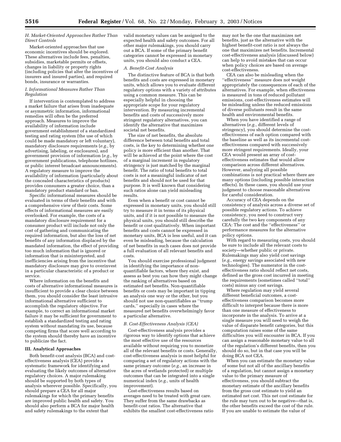#### *H. Market-Oriented Approaches Rather Than Direct Controls*

Market-oriented approaches that use economic incentives should be explored. These alternatives include fees, penalties, subsidies, marketable permits or offsets, changes in liability or property rights (including policies that alter the incentives of insurers and insured parties), and required bonds, insurance or warranties.

#### *I. Informational Measures Rather Than Regulation*

If intervention is contemplated to address a market failure that arises from inadequate or asymmetric information, informational remedies will often be the preferred approach. Measures to improve the availability of information include government establishment of a standardized testing and rating system (the use of which could be made mandatory or left voluntary), mandatory disclosure requirements (*e.g.*, by advertising, labeling, or enclosures), and government provision of information (*e.g.*, by government publications, telephone hotlines, or public interest broadcast announcements). A regulatory measure to improve the availability of information (particularly about the concealed characteristics of products) provides consumers a greater choice, than a mandatory product standard or ban.

Specific informational measures should be evaluated in terms of their benefits and with a comprehensive view of their costs. Some effects of informational measures are easily overlooked. For example, the costs of a mandatory disclosure requirement for a consumer product will include not only the cost of gathering and communicating the required information, but also the loss of net benefits of any information displaced by the mandated information, the effect of providing too much information that is ignored or information that is misinterpreted, and inefficiencies arising from the incentive that mandatory disclosure may give to overinvest in a particular characteristic of a product or service.

Where information on the benefits and costs of alternative informational measures is insufficient to provide a clear choice between them, you should consider the least intrusive informational alternative sufficient to accomplish the regulatory objective. For example, to correct an informational market failure it may be sufficient for government to establish a standardized testing and rating system without mandating its use, because competing firms that score well according to the system should thereby have an incentive to publicize the fact.

### **III. Analytical Approaches**

Both benefit-cost analysis (BCA) and costeffectiveness analysis (CEA) provide a systematic framework for identifying and evaluating the likely outcomes of alternative regulatory choices. A major rulemaking should be supported by both types of analysis wherever possible. Specifically, you should prepare a CEA for all major rulemakings for which the primary benefits are improved public health and safety. You should also perform a BCA for major health and safety rulemakings to the extent that

valid monetary values can be assigned to the expected health and safety outcomes. For all other major rulemakings, you should carry out a BCA. If some of the primary benefit categories cannot be expressed in monetary units, you should also conduct a CEA.

#### *A. Benefit-Cost Analysis*

The distinctive feature of BCA is that both benefits and costs are expressed in monetary units, which allows you to evaluate different regulatory options with a variety of attributes using a common measure. This can be especially helpful in choosing the appropriate scope for your regulatory intervention. By measuring incremental benefits and costs of successively more stringent regulatory alternatives, you can identify the alternative that maximizes societal net benefits.

The size of net benefits, the absolute difference between total benefits and total costs, is the key to determining whether one policy is more efficient than another. That will be achieved at the point where the cost of a marginal increment in regulatory stringency is just matched by the marginal benefit. The ratio of total benefits to total costs is not a meaningful indicator of net benefits and should not be used for that purpose. It is well known that considering such ratios alone can yield misleading results.

Even when a benefit or cost cannot be expressed in monetary units, you should still try to measure it in terms of its physical units, and if it is not possible to measure the physical units, you should still describe the benefit or cost qualitatively. When important benefits and costs cannot be expressed in monetary units, BCA is less useful, and it can even be misleading, because the calculation of net benefits in such cases does not provide a full evaluation of all relevant benefits and costs.

You should exercise professional judgment in identifying the importance of nonquantifiable factors, where they exist, and assess as best you can how they might change the ranking of alternatives based on estimated net benefits. Non-quantifiable benefits or costs may be important in tipping an analysis one way or the other, but you should not use non-quantifiables as ''trump cards,'' especially in cases where the measured net benefits overwhelmingly favor a particular alternative.

#### *B. Cost-Effectiveness Analysis (CEA)*

Cost-effectiveness analysis provides a rigorous way to identify options that achieve the most effective use of the resources available without requiring you to monetize all of the relevant benefits or costs. Generally, cost-effectiveness analysis is most helpful for comparing a set of regulatory actions with the same primary outcome (*e.g.*, an increase in the acres of wetlands protected) or multiple outcomes that can be integrated into a single numerical index (*e.g.*, units of health improvement).

Cost-effectiveness results based on averages need to be treated with great care. They suffer from the same drawbacks as benefit-cost ratios. The alternative that exhibits the smallest cost-effectiveness ratio

may not be the one that maximizes net benefits, just as the alternative with the highest benefit-cost ratio is not always the one that maximizes net benefits. Incremental cost-effectiveness analysis (discussed below) can help to avoid mistakes that can occur when policy choices are based on average cost-effectiveness.

CEA can also be misleading when the ''effectiveness'' measure does not weight appropriately the consequences of each of the alternatives. For example, when effectiveness is measured in tons of reduced pollutant emissions, cost-effectiveness estimates will be misleading unless the reduced emissions of diverse pollutants result in the same health and environmental benefits.

When you have identified a range of alternatives (*e.g.*, different levels of stringency), you should determine the costeffectiveness of each option compared with the baseline as well as its incremental costeffectiveness compared with successively more stringent requirements. Ideally, your CEA would present an array of costeffectiveness estimates that would allow comparison across different alternatives. However, analyzing all possible combinations is not practical where there are many options (including possible interaction effects). In these cases, you should use your judgment to choose reasonable alternatives for careful consideration.

Accuracy of CEA depends on the consistency of analysis across a diverse set of possible regulatory actions. To achieve consistency, you need to construct very carefully the two key components of any CEA: The cost and the ''effectiveness'' or performance measures for the alternative policy options.

With regard to measuring costs, you should be sure to include all the relevant costs to society—whether public or private. Rulemakings may also yield cost savings (*e.g.*, energy savings associated with new technologies). The numerator in the costeffectiveness ratio should reflect net costs, defined as the gross cost incurred in meeting the requirements (sometimes called ''total'' costs) minus any cost savings.

Where regulation may yield several different beneficial outcomes, a costeffectiveness comparison becomes more difficult to interpret because there is more than one measure of effectiveness to incorporate in the analysis. To arrive at a single measure you will need to weigh the value of disparate benefit categories, but this computation raises some of the same difficulties you will encounter in BCA. If you can assign a reasonable monetary value to all of the regulation's different benefits, then you should do so, but in that case you will be doing BCA not CEA.

When you can estimate the monetary value of some but not all of the ancillary benefits of a regulation, but cannot assign a monetary value to the primary measure of effectiveness, you should subtract the monetary estimate of the ancillary benefits from the gross cost estimate to yield an estimated net cost. This net cost estimate for the rule may turn out to be negative—that is, the other benefits exceed the cost of the rule. If you are unable to estimate the value of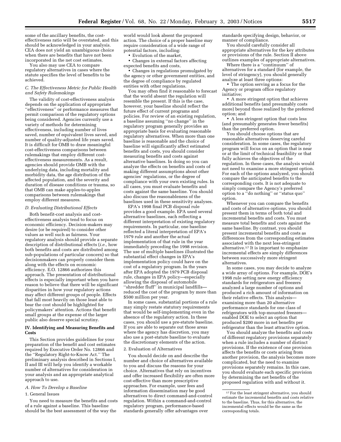some of the ancillary benefits, the costeffectiveness ratio will be overstated, and this should be acknowledged in your analysis. CEA does not yield an unambiguous choice when there are benefits that have not been incorporated in the net cost estimates.

You also may use CEA to compare regulatory alternatives in cases where the statute specifies the level of benefits to be achieved.

#### *C. The Effectiveness Metric for Public Health and Safety Rulemakings*

The validity of cost-effectiveness analysis depends on the application of appropriate ''effectiveness'' or performance measures that permit comparison of the regulatory options being considered. Agencies currently use a variety of methods for determining effectiveness, including number of lives saved, number of equivalent lives saved, and number of quality-adjusted life years saved. It is difficult for OMB to draw meaningful cost-effectiveness comparisons between rulemakings that employ different costeffectiveness measurements. As a result, agencies should provide OMB with the underlying data, including mortality and morbidity data, the age distribution of the affected population, and the severity and duration of disease conditions or trauma, so that OMB can make apples-to-apples comparisons between rulemakings that employ different measures.

#### *D. Evaluating Distributional Effects*

Both benefit-cost analysis and costeffectiveness analysis tend to focus on economic efficiency. Decision-makers may desire (or be required) to consider other values as well such as fairness. Your regulatory analysis should provide a separate description of distributional effects (*i.e.*, how both benefits and costs are distributed among sub-populations of particular concern) so that decisionmakers can properly consider them along with the effects on economic efficiency. E.O. 12866 authorizes this approach. The presentation of distributional effects is especially important when you have reason to believe that there will be significant disparities in how your regulatory actions may affect different groups of people. Effects that fall most heavily on those least able to bear the cost should be highlighted for policymakers' attention. Actions that benefit small groups at the expense of the larger public also deserve special scrutiny.

#### **IV. Identifying and Measuring Benefits and Costs**

This Section provides guidelines for your preparation of the benefit and cost estimates required by Executive Order No. 12866 and the ''Regulatory Right-to-Know Act.'' The preliminary analysis described in Sections I, II and III will help you identify a workable number of alternatives for consideration in your analysis and an appropriate analytical approach to use.

#### *A. How To Develop a Baseline*

#### 1. General Issues

You need to measure the benefits and costs of a rule against a baseline. This baseline should be the best assessment of the way the

world would look absent the proposed action. The choice of a proper baseline may require consideration of a wide range of potential factors, including:

• Evolution of the market,

• Changes in external factors affecting expected benefits and costs,

• Changes in regulations promulgated by the agency or other government entities, and the degree of compliance by regulated entities with other regulations.

You may often find it reasonable to forecast that the world absent the regulation will resemble the present. If this is the case, however, your baseline should reflect the future effect of current programs and policies. For review of an existing regulation, a baseline assuming ''no change'' in the regulatory program generally provides an appropriate basis for evaluating reasonable regulatory alternatives. When more than one baseline is reasonable and the choice of baseline will significantly affect estimated benefits and costs, you should consider measuring benefits and costs against alternative baselines. In doing so you can analyze the effects on benefits and costs of making different assumptions about other agencies' regulations, or the degree of compliance with your own existing rules. In all cases, you must evaluate benefits and costs against the same baseline. You should also discuss the reasonableness of the baselines used in these sensitivity analyses.

EPA's 1998 final PCB disposal rule provides a good example. EPA used several alternative baselines, each reflecting a different interpretation of existing regulatory requirements. In particular, one baseline reflected a literal interpretation of EPA's 1979 rule and another the actual implementation of that rule in the year immediately preceding the 1998 revision. The use of multiple baselines illustrated the substantial effect changes in EPA's implementation policy could have on the cost of a regulatory program. In the years after EPA adopted the 1979 PCB disposal rule, changes in EPA policy—especially allowing the disposal of automobile ''shredder fluff'' in municipal landfills reduced the cost of the program by more than \$500 million per year.

In some cases, substantial portions of a rule may simply restate statutory requirements that would be self-implementing even in the absence of the regulatory action. In these cases, you should use a pre-statute baseline. If you are able to separate out those areas where the agency has discretion, you may also use a post-statute baseline to evaluate the discretionary elements of the action.

### 2. Evaluation of Alternatives

You should decide on and describe the number and choice of alternatives available to you and discuss the reasons for your choice. Alternatives that rely on incentives and offer increased flexibility are often more cost-effective than more prescriptive approaches. For example, user fees and information dissemination may be good alternatives to direct command-and-control regulation. Within a command-and-control regulatory program, performance-based standards generally offer advantages over

standards specifying design, behavior, or manner of compliance.

You should carefully consider all appropriate alternatives for the key attributes or provisions of the rule. Section II above outlines examples of appropriate alternatives.

Where there is a ''continuum'' of alternatives for a standard (for example, the level of stringency), you should generally analyze at least three options:

• The option serving as a focus for the Agency or program office regulatory initiative;

• A more stringent option that achieves additional benefits (and presumably costs more) beyond those realized by the preferred option; and

• A less stringent option that costs less (and presumably generates fewer benefits) than the preferred option.

You should choose options that are reasonable alternatives deserving careful consideration. In some cases, the regulatory program will focus on an option that is near or at the limit of technical feasibility or that fully achieves the objectives of the regulation. In these cases, the analysis would not need to examine a more stringent option. For each of the options analyzed, you should compare the anticipated benefits to the corresponding costs. It is not adequate to simply compare the Agency's preferred option to a ''do nothing'' or ''status quo'' option.

Whenever you can compare the benefits and costs of alternative options, you should present them in terms of both total and incremental benefits and costs. You must measure total benefits and costs against the same baseline. By contrast, you should present incremental benefits and costs as differences from the corresponding estimates associated with the next less-stringent alternative.17 It is important to emphasize incremental effects are simply differences between successively more stringent alternatives.

In some cases, you may decide to analyze a wide array of options. For example, DOE's 1998 rule setting new energy efficiency standards for refrigerators and freezers analyzed a large number of options and produced a rich amount of information on their relative effects. This analysis examining more than 20 alternative performance standards for one class of refrigerators with top-mounted freezers enabled DOE to select an option that produced \$200 more in net benefits per refrigerator than the least attractive option.

You should analyze the benefits and costs of different regulatory provisions separately when a rule includes a number of distinct provisions. If the existence of one provision affects the benefits or costs arising from another provision, the analysis becomes more complicated, but the need to examine provisions separately remains. In this case, you should evaluate each specific provision by determining the net benefits of the proposed regulation with and without it.

<sup>&</sup>lt;sup>17</sup> For the least stringent alternative, you should estimate the incremental benefits and costs relative to the baseline. Thus, for this alternative, the incremental effects would be the same as the corresponding totals.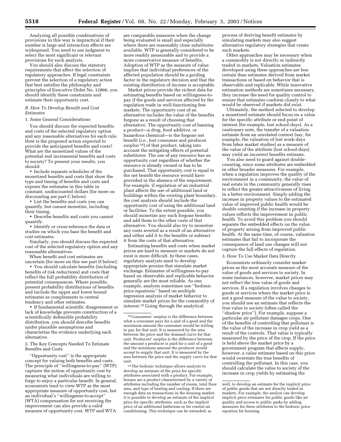Analyzing all possible combinations of provisions in this way is impractical if their number is large and interaction effects are widespread. You need to use judgment to select the most significant or relevant provisions for such analysis.

You should also discuss the statutory requirements that affect the selection of regulatory approaches. If legal constraints prevent the selection of a regulatory action that best satisfies the philosophy and principles of Executive Order No. 12866, you should identify these constraints and estimate their opportunity cost.

#### *B. How To Develop Benefit and Cost Estimates*

#### 1. Some General Considerations

You should discuss the expected benefits and costs of the selected regulatory option and any reasonable alternatives for each rule. How is the proposed action expected to provide the anticipated benefits and costs? What are the monetized values of the potential real incremental benefits and costs to society? To present your results, you should:

• Include separate schedules of the monetized benefits and costs that show the type and timing of benefits and costs and express the estimates in this table in constant, undiscounted dollars (for more on discounting see part C below).

• List the benefits and costs you can quantify, but cannot monetize, including their timing.

• Describe benefits and costs you cannot quantify.

• Identify or cross-reference the data or studies on which you base the benefit and cost estimates.

Similarly, you should discuss the expected cost of the selected regulatory option and any reasonable alternatives.

When benefit and cost estimates are uncertain (for more on this see part D below):

• You should calculate benefits (including benefits of risk reductions) and costs that reflect the full probability distribution of potential consequences. Where possible, present probability distributions of benefits and include the upper and lower bound estimates as complements to central tendency and other estimates.

• If fundamental scientific disagreement or lack of knowledge prevents construction of a scientifically defensible probability distribution, you should describe benefits under plausible assumptions and characterize the evidence underlying each alternative.

2. The Key Concepts Needed To Estimate Benefits and Costs

''Opportunity cost'' is the appropriate concept for valuing both benefits and costs. The principle of ''willingness-to-pay'' (WTP) captures the notion of opportunity cost by measuring what individuals are willing to forgo to enjoy a particular benefit. In general, economists tend to view WTP as the most appropriate measure of opportunity cost, but an individual's ''willingness-to-accept'' (WTA) compensation for not receiving the improvement can also provide a valid measure of opportunity cost. WTP and WTA

are comparable measures when the change being evaluated is small and especially where there are reasonably close substitutes available. WTP is generally considered to be more readily measurable and to provide a more conservative measure of benefits. Adoption of WTP as the measure of value implies that individual preferences of the affected population should be a guiding factor in the regulatory decision and that the existing distribution of income is acceptable.

Market prices provide the richest data for estimating benefits based on willingness-topay if the goods and services affected by the regulation trade in well-functioning free markets. The opportunity cost of an alternative includes the value of the benefits forgone as a result of choosing that alternative. The opportunity cost of banning a product—a drug, food additive, or hazardous chemical—is the forgone net benefit (*i.e.*, lost consumer and producer surplus 18) of that product, taking into account the mitigating effects of potential substitutes. The use of any resource has an opportunity cost regardless of whether the resource is already owned or has to be purchased. That opportunity cost is equal to the net benefit the resource would have provided in the absence of the requirement. For example, if regulation of an industrial plant affects the use of additional land or buildings within the existing plant boundary, the cost analysis should include the opportunity cost of using the additional land or facilities. To the extent possible, you should monetize any such forgone benefits and add them to the other costs of that alternative. You should also try to monetize any costs averted as a result of an alternative and either add it to the benefits or subtract it from the costs of that alternative.

Estimating benefits and costs when market prices are hard to measure or markets do not exist is more difficult. In these cases, regulatory analysts need to develop appropriate proxies that simulate market exchange. Estimates of willingness-to-pay based on observable and replicable behavior generally are the most reliable. As one example, analysts sometimes use ''hedonic price equations'' based on multiple regression analysis of market behavior to simulate market prices for the commodity of interest.19 Going through the analytical

19The hedonic technique allows analysts to develop an estimate of the price for specific attributes associated with a product. For example, houses are a product characterized by a variety of attributes including the number of rooms, total floor area, and type of heating and cooling. If there are enough data on transactions in the housing market, it is possible to develop an estimate of the implicit price for specific attributes, such as the implicit price of an additional bathroom or for central air conditioning. This technique can be extended, as

process of deriving benefit estimates by simulating markets may also suggest alternative regulatory strategies that create such markets.

Other approaches may be necessary when a commodity is not directly or indirectly traded in markets. Valuation estimates developed using these approaches are less certain than estimates derived from market transactions or based on behavior that is observable and replicable. While innovative estimation methods are sometimes necessary, they increase the need for quality control to ensure that estimates conform closely to what would be observed if markets did exist.

Ultimately, the method selected to develop a monetized estimate should focus on a value for the specific attribute or end-point of interest (for example, lost school-days). As a cautionary note, the transfer of a valuation estimate from an unrelated context (say, for example, the valuation of lost work-days from labor market studies) as a measure of the value of the attribute (lost school-days) may yield an incorrect benefits estimate.

You also need to guard against doublecounting, since some attributes are embedded in other broader measures. For example, when a regulation improves the quality of the environment in a community, the value of real estate in the community generally rises to reflect the greater attractiveness of living in a better environment. Simply adding the increase in property values to the estimated value of improved public health would be double counting if the increase in property values reflects the improvement in public health. To avoid this problem you should separate the embedded effects on the value of property arising from improved public health. At the same time, of course, valuation estimates that fail to incorporate the consequence of land use changes will not capture the full effects of regulation.

3. How To Use Market Data Directly

Economists ordinarily consider market prices as the most accurate measure of the value of goods and services to society. In some instances, however, market prices may not reflect the true value of goods and services. If a regulation involves changes to goods or services where the market price is not a good measure of the value to society, you should use an estimate that reflects the true value to society (often called the ''shadow price''). For example, suppose a particular air pollutant damages crops. One of the benefits of controlling that pollutant is the value of the increase in crop yield as a result of the controls. That value is typically measured by the price of the crop. If the price is held above the market price by a government program that affects supply, however, a value estimate based on this price would overstate the true benefits of controlling the pollutant. In this case, you should calculate the value to society of the increase in crop yields by estimating the

<sup>18</sup>Consumers' surplus is the difference between what a consumer pays for a unit of a good and the maximum amount the consumer would be willing to pay for that unit. It is measured by the area between the price and the demand curve for that unit. Producers' surplus is the difference between the amount a producer is paid for a unit of a good and the minimum amount the producer would accept to supply that unit. It is measured by the area between the price and the supply curve for that unit.

well, to develop an estimate for the implicit price of public goods that are not directly traded in markets. For example, the analyst can develop implicit price estimates for public goods like air quality and access to public parks by adding measures for these attributes to the hedonic price equation for housing.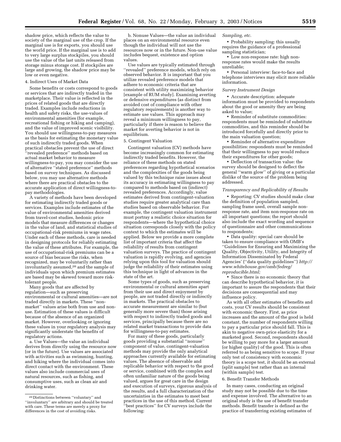shadow price, which reflects the value to society of the marginal use of the crop. If the marginal use is for exports, you should use the world price. If the marginal use is to add to very large surplus stockpiles, you should use the value of the last units released from storage minus storage cost. If stockpiles are large and growing, the shadow price may be low or even negative.

#### 4. Indirect Uses of Market Data

Some benefits or costs correspond to goods or services that are indirectly traded in the marketplace. Their value is reflected in the prices of related goods that are directly traded. Examples include reductions in health and safety risks, the use-values of environmental amenities (for example, recreational fishing or hiking and camping), and the value of improved scenic visibility. You should use willingness-to-pay measures as the basis for estimating the monetary value of such indirectly traded goods. When practical obstacles prevent the use of direct ''revealed preference'' methods based on actual market behavior to measure willingness-to-pay, you may consider the use of alternative ''stated preference'' methods based on survey techniques. As discussed below, you may use alternative methods where there are practical obstacles to the accurate application of direct willingness-topay methodologies.

A variety of methods have been developed for estimating indirectly traded goods or services. Examples include estimates of the value of environmental amenities derived from travel-cost studies, hedonic price models that measure differences or changes in the value of land, and statistical studies of occupational-risk premiums in wage rates. Under each of these methods, care is needed in designing protocols for reliably estimating the value of these attributes. For example, the use of occupational-risk premiums can be a source of bias because the risks, when recognized, may be voluntarily rather than involuntarily assumed,20 and the sample of individuals upon which premium estimates are based may be skewed toward more risktolerant people.

Many goods that are affected by regulation—such as preserving environmental or cultural amenities—are not traded directly in markets. These ''nonmarket'' values arise both from use and nonuse. Estimation of these values is difficult because of the absence of an organized market. However, overlooking or ignoring these values in your regulatory analysis may significantly understate the benefits of regulatory actions.

a. Use Values—the value an individual derives from directly using the resource now (or in the future). Use values are associated with activities such as swimming, hunting, and hiking where the individual comes into direct contact with the environment. These values also include commercial uses of natural resources, such as fishing, and consumptive uses, such as clean air and drinking water.

b. Nonuse Values—the value an individual places on an environmental resource even though the individual will not use the resources now or in the future. Non-use value includes bequest, existence and option values.

Use values are typically estimated through ''revealed'' preference models, which rely on observed behavior. It is important that you utilize revealed preference models that adhere to economic criteria that are consistent with utility maximizing behavior [example of RUM study]. Examining averting or defensive expenditures (as distinct from avoided cost of compliance with other regulatory requirements) is another way to estimate use values. This approach may reveal a minimum willingness to pay, particularly if there is reason to believe the market for averting behavior is not in equilibrium.

#### 5. Contingent Valuation

Contingent valuation (CV) methods have become increasingly common for estimating indirectly traded benefits. However, the reliance of these methods on stated preferences regarding hypothetical scenarios and the complexities of the goods being valued by this technique raise issues about its accuracy in estimating willingness to pay compared to methods based on (indirect) revealed preferences. Accordingly, value estimates derived from contingent-valuation studies require greater analytical care than studies based on observable behavior. For example, the contingent valuation instrument must portray a realistic choice situation for respondents—where the hypothetical choice situation corresponds closely with the policy context to which the estimates will be applied. Below we provide a more complete list of important criteria that affect the reliability of results from contingent valuation surveys. The practice of contingent valuation is rapidly evolving, and agencies relying upon this tool for valuation should judge the reliability of their estimates using this technique in light of advances in the state of the art.

Some types of goods, such as preserving environmental or cultural amenities apart from their use and direct enjoyment by people, are not traded directly or indirectly in markets. The practical obstacles to accurate measurement are similar to (but generally more severe than) those arising with respect to indirectly traded goods and services, principally because there are no related market transactions to provide data for willingness-to-pay estimates.

For many of these goods, particularly goods providing a substantial ''nonuse'' component of value, contingent-valuation methods may provide the only analytical approaches currently available for estimating values. The absence of observable and replicable behavior with respect to the good or service, combined with the complex and often unfamiliar nature of the goods being valued, argues for great care in the design and execution of surveys, rigorous analysis of the results, and a full characterization of the uncertainties in the estimates to meet best practices in the use of this method. Current 'best practices'' for CV surveys include the following:

#### *Sampling, etc.*

• Probability sampling: this usually requires the guidance of a professional sampling statistician;

• Low non-response rate: high nonresponse rates would make the results unreliable;

• Personal interview: face-to-face and telephone interviews may elicit more reliable information.

#### *Survey Instrument Design*

• Accurate description: adequate information must be provided to respondents about the good or amenity they are being asked to value;

• Reminder of substitute commodities: respondents must be reminded of substitute commodities, and this reminder should be introduced forcefully and directly prior to the main valuation question;

• Reminder of alternative expenditure possibilities: respondents must be reminded that their willingness to pay would reduce their expenditures for other goods;

• Deflection of transaction value: the survey should be designed to deflect the general ''warm glow'' of giving or a particular dislike of the source of the problem being addressed.

#### *Transparency and Replicability of Results*

• Reporting: CV studies should make clear the definition of population sampled, sampling frame used, overall sample nonresponse rate, and item non-response rate on all important questions; the report should also include the exact wording and sequence of questionnaire and other communications to respondents;

• Data quality: special care should be taken to ensure compliance with OMB's ''Guidelines for Ensuring and Maximizing the Quality, Objectivity, Utility, and Integrity of Information Disseminated by Federal Agencies' (''data quality guidelines'') *http:// www.whitehouse.gov/omb/fedreg/ reproducible.html;*

• Since there is no economic theory that can describe hypothetical behavior, it is important to assure the respondents that their decisions are consequential and may influence policy.

As with all other estimates of benefits and costs, your CV results should be consistent with economic theory. First, as price increases and the amount of the good is held constant, the number of respondents willing to pay a particular price should fall. This is akin to negative own-price elasticity for a marketed good. Second, respondents should be willing to pay more for a larger amount (or higher quality) of the good. This is often referred to as being sensitive to scope. If your only test of consistency with economic theory is a scope test, it should be an external (split sample) test rather than an internal (within sample) test.

#### 6. Benefit Transfer Methods

In many cases, conducting an original study may not be possible due to the time and expense involved. The alternative to an original study is the use of benefit transfer methods. Benefit transfer is defined as the practice of transferring existing estimates of

<sup>20</sup> Distinctions between ''voluntary'' and ''involuntary'' are arbitrary and should be treated with care. These terms are merely a proxy for differences in the cost of avoiding risks.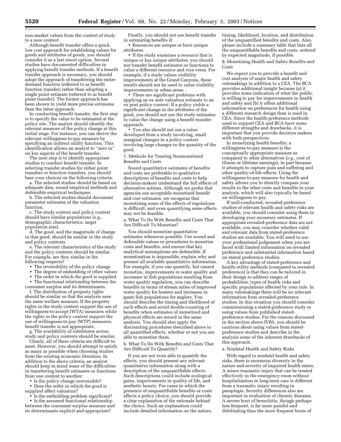non-market values from the context of study to a new context.

Although benefit transfer offers a quick, low cost approach for establishing values for goods and attributes of goods, you should consider it as a last resort option. Several studies have documented difficulties in applying benefit transfer methods. If a benefit transfer approach is necessary, you should adopt the approach of transferring the entire demand function (referred to as benefit function transfer) rather than adopting a single point estimate (referred to as benefit point transfer). The former approach has been shown to yield more precise estimates than the latter approach.

In conducting benefit transfer, the first step is to specify the value to be estimated at the policy site. The analyst should identify the relevant measure of the policy change at this initial stage. For instance, you can derive the relevant willingness-to-pay measure by specifying an indirect utility function. This identification allows an analyst to ''zero in'' on key aspects of the benefit transfer.

The next step is to identify appropriate studies to conduct benefit transfer. In selecting transfer studies for either point transfers or function transfers, you should base your choices on the following criteria:

a. The selected studies should be based on adequate data, sound empirical methods and defensible empirical techniques.

b. The selected studies should document parameter estimates of the valuation function.

c. The study context and policy context should have similar populations (*e.g.*, demographic characteristics, target population size).

d. The good, and the magnitude of change in that good, should be similar in the study and policy contexts.

e. The relevant characteristics of the study and the policy contexts should be similar. For example, are they similar in the following respects?

- The reversibility of the policy change
- The degree of embedding of other values
- The order in which the good is supplied

• The functional relationship between the consumer surplus and its determinants.

f. The distribution of property rights should be similar so that the analysis uses the same welfare measure. If the property rights in the study context support the use of willingness-to-accept (WTA) measures while the rights in the policy context support the use of willingness-to-pay (WTP) measures, benefit transfer is not appropriate.

g. The availability of substitutes across study and policy contexts should be similar.

Clearly, all of these criteria are difficult to meet. However, you should attempt to satisfy as many as possible when choosing studies from the existing economic literature. In addition to the above criteria, an analyst should keep in mind some of the difficulties in transferring benefit estimates or functions from one context to another:

• Is the policy change irreversible?

• Does the order in which the good is supplied affect valuation?

• Is the embedding problem significant? • Is the assumed functional relationship between the consumer surplus measure and its determinants explicit and appropriate?

Finally, you should not use benefit transfer in estimating benefits if: • Resources are unique or have unique

attributes.

• If the study examines a resource that is unique or has unique attributes, you should not transfer benefit estimates or functions to value a different resource and vice versa. For example, if a study values visibility improvements at the Grand Canyons, these results should not be used to value visibility improvements in urban areas.

• There are significant problems with applying an ex ante valuation estimate to an ex post policy context. If a policy yields a significant change in the attributes of the good, you should not use the study estimates to value the change using a benefit transfer approach.

• You also should not use a value developed from a study involving, small marginal changes in a policy context involving large changes in the quantity of the good.

7. Methods for Treating Nonmonetized Benefits and Costs

Sound quantitative estimates of benefits and costs are preferable to qualitative descriptions of benefits and costs to help decision-makers understand the full effects of alternative actions. Although we prefer that agencies use acceptable monetized benefit and cost estimates, we recognize that monetizing some of the effects of regulations is difficult, and even quantifying some effects may not be feasible.

a. What To Do With Benefits and Costs That Are Difficult To Monetize?

You should monetize quantitative estimates whenever possible. Use sound and defensible values or procedures to monetize costs and benefits, and ensure that key analytical assumptions are defensible. If monetization is impossible, explain why and present all available quantitative information. For example, if you can quantify, but cannot monetize, improvements in water quality and increases in fish populations resulting from water quality regulation, you can describe benefits in terms of stream miles of improved water quality for boaters and increases in game fish populations for anglers. You should describe the timing and likelihood of such effects and avoid double-counting of benefits when estimates of monetized and physical effects are mixed in the same analysis. You should also apply the discounting procedures described above to all quantified effects, whether or not you are able to monetize them.

b. What To Do With Benefits and Costs That Are Difficult To Quantify?

If you are not even able to quantify the effects, you should present any relevant quantitative information along with a description of the unquantifiable effects. Such descriptions could include ecological gains, improvements in quality of life, and aesthetic beauty. For cases in which the presence of unquantifiable benefits or costs affects a policy choice, you should provide a clear explanation of the rationale behind the choice. Such an explanation could include detailed information on the nature,

timing, likelihood, location, and distribution of the unquantified benefits and costs. Also, please include a summary table that lists all the unquantifiable benefits and costs, ordered by expected magnitude, if possible.

8. Monetizing Health and Safety Benefits and Costs

We expect you to provide a benefit and cost analysis of major health and safety rulemakings in addition to a CEA. The BCA provides additional insight because (a) it provides some indication of what the public is willing to pay for improvements in health and safety and (b) it offers additional information on preferences for health using a different research design than is used in CEA. Since the health-preference methods used to support CEA and BCA have some different strengths and drawbacks, it is important that you provide decision makers with both perspectives.

In monetizing health benefits, a willingness-to-pay measure is the conceptually appropriate measure as compared to other alternatives (*e.g.*, cost of illness or lifetime earnings), in part because it attempts to capture pain and suffering and other quality-of-life effects. Using the willingness-to-pay measure for health and safety allows you to directly compare your results to the other costs and benefits in your analysis, which will also typically be based on willingness to pay.

If well-conducted, revealed-preference studies of relevant health and safety risks are available, you should consider using them in developing your monetary estimates. If appropriate revealed-preference data are not available, you may consider whether valid and relevant data from stated-preference studies are available. You will need to use your professional judgement when you are faced with limited information on revealed preference and substantial information based on stated preference studies.

A key advantage of stated-preference and health-utility methods (compared to revealed preference) is that they can be tailored in their design to address ranges of probabilities, types of health risks and specific populations affected by your rule. In many rulemakings there will be no relevant information from revealed-preference studies. In this situation you should consider commissioning a stated-preference study or using values from published statedpreference studies. For the reasons discussed in the section above IVB5, you should be cautious about using values from statedpreference studies and describe in the analysis some of the inherent drawbacks of this approach.

#### a. Nonfatal Health and Safety Risks

With regard to nonfatal health and safety risks, there is enormous diversity in the nature and severity of impaired health states. A minor traumatic injury that can be treated effectively in the emergency room without hospitalization or long-term care is different from a traumatic injury resulting in paraplegia. Severity differences also are important in evaluation of chronic diseases. A severe bout of bronchitis, though perhaps less frequent, is far more painful and debilitating than the more frequent bouts of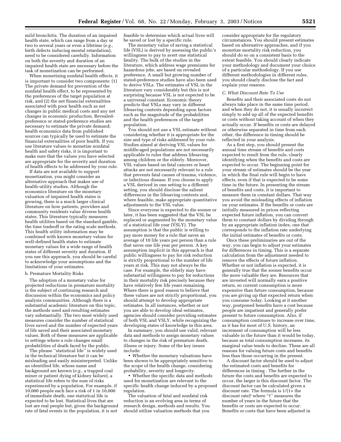mild bronchitis. The duration of an impaired health state, which can range from a day or two to several years or even a lifetime (*e.g.*, birth defects inducing mental retardation), need to be considered carefully. Information on both the severity and duration of an impaired health state are necessary before the task of monetization can be performed.

When monetizing nonfatal health effects, it is important to consider two components: (1) The private demand for prevention of the nonfatal health effect, to be represented by the preferences of the target population at risk, and (2) the net financial externalities associated with poor health such as net changes in public medical costs and any net changes in economic production. Revealedpreference or stated-preference studies are necessary to estimate the private demand; health economics data from published sources can typically be used to estimate the financial externalities of poor health. If you use literature values to monetize nonfatal health and safety risks, it is important to make sure that the values you have selected are appropriate for the severity and duration of health effects to be addressed by your rule.

If data are not available to support monetization, you might consider an alternative approach that makes use of health-utility studies. Although the economics literature on the monetary valuation of impaired health states is growing, there is a much larger clinical literature on how patients, providers and community residents value diverse health states. This literature typically measures health utilities based on the standard gamble, the time tradeoff or the rating scale methods. This health utility information may be combined with known monetary values for well-defined health states to estimate monetary values for a wide range of health states of different severity and duration. If you use this approach, you should be careful to acknowledge your assumptions and the limitations of your estimates.

#### b. Premature Mortality Risks

The adoption of a monetary value for projected reductions in premature mortality is the subject of continuing research and discussion within the economics and policy analysis communities. Although there is a substantial academic literature on this topic, the methods used and resulting estimates vary substantially. The two most widely used measures consider the number of statistical lives saved and the number of expected years of life saved and their associated monetary values. Both of these measures are applicable to settings where a rule changes small probabilities of death faced by the public.

The phrase "statistical life" is widely used in the technical literature but it can be misleading and easily misinterpreted. Unlike an identified life, whose name and background are known (*e.g.*, a trapped coal miner or patient dying of kidney failure), a statistical life refers to the sum of risks experienced by a population. For example, if  $10,000$  people each face a risk of 1 in  $10,000$ of immediate death, one statistical life is expected to be lost. Statistical lives that are lost are real people but, given the background rate of fatal events in the population, it is not

feasible to determine which actual lives will be saved or lost by a specific rule.

The monetary value of saving a statistical life (VSL) is derived by assessing the public's willingness to pay to avert one statistical fatality. The bulk of the studies in the literature, which address wage premiums for hazardous jobs, are based on revealed preference. A small but growing number of stated-preference studies have also been used to derive VSLs. The estimates of VSL in the literature vary considerably but this is not surprising because VSL is not expected to be a universal constant. Economic theory predicts that VSLs may vary in different lifesaving contexts depending upon factors such as the magnitude of the probabilities and the health preferences of the target population.

You should not use a VSL estimate without considering whether it is appropriate for the size and type of risks addressed by your rule. Studies aimed at deriving VSL values for middle-aged populations are not necessarily applicable to rules that address lifesaving among children or the elderly. Moreover, VSL values based on fatal cancers or heart attacks are not necessarily relevant to a rule that prevents fatal causes of trauma, violence, or infectious disease. If you choose to apply a VSL derived in one setting to a different setting, you should disclose the salient differences in the lifesaving contexts and, where feasible, make appropriate quantitative adjustments to the VSL value.

Since everyone is expected to die sooner or later, it has been suggested that the VSL be replaced or augmented by the monetary value of a statistical life year (VSLY). The assumption is that the public is willing to pay more money for a rule that saves an average of 10 life years per person than a rule that saves one life year per person. A key assumption implicit in this approach is that public willingness to pay for risk reduction is strictly proportional to the number of life years at risk. This may not always be the case. For example, the elderly may have substantial willingness to pay for reductions in their mortality risk precisely because they have relatively few life years remaining. Where there is good reason to believe that these values are not strictly proportional, you should attempt to develop appropriate estimates. In all instances, whether or not you are able to develop ideal estimates, agencies should consider providing estimates of both VSL and VSLY, while recognizing the developing states of knowledge in this area.

In summary, you should use valid, relevant data and methods to assign monetary values to changes in the risk of premature death, illness or injury. Some of the key issues include:

• Whether the monetary valuations have been shown to be appropriately sensitive to the scope of the health change, considering probability, severity and longevity.

• Whether the specific data and methods used for monetization are relevant to the specific health change induced by a proposed regulation.

The valuation of fatal and nonfatal risk reduction is an evolving area in terms of research design, methods and results. You should utilize valuation methods that you

consider appropriate for the regulatory circumstances. You should present estimates based on alternative approaches, and if you monetize mortality risk reduction, you should do so on a consistent basis to the extent feasible. You should clearly indicate your methodology and document your choice of a particular methodology. If you use different methodologies in different rules, you should clearly disclose the fact and explain your reasons.

#### *C. What Discount Rate To Use*

Benefits and their associated costs do not always take place in the same time period, and when they do not, it is usually incorrect simply to add up all of the expected benefits or costs without taking account of when they actually occur. If benefits or costs are delayed or otherwise separated in time from each other, the difference in timing should be reflected in your analysis.

As a first step, you should present the annual time stream of benefits and costs expected to result from the rule, clearly identifying when the benefits and costs are expected to occur. The beginning point for your stream of estimates should be the year in which the final rule will begin to have effects, even if that is expected to be some time in the future. In presenting the stream of benefits and costs, it is important to measure them in constant dollars. That way you avoid the misleading effects of inflation on your estimates. If the benefits or costs are initially measured in prices reflecting expected future inflation, you can convert them to constant dollars by dividing through by an appropriate inflation index, one that corresponds to the inflation rate underlying the initial estimates of benefits or costs.

Once these preliminaries are out of the way, you can begin to adjust your estimates for differences in timing. This is a separate calculation from the adjustment needed to remove the effects of future inflation. Whether or not inflation is expected, it is generally true that the sooner benefits occur the more valuable they are. Resources that are invested will normally earn a positive return, so current consumption is more expensive than future consumption, because you are giving up that expected return when you consume today. Looking at it another way, postponed benefits have a cost because people are impatient and generally prefer present to future consumption. Also, if consumption continues to increase over time, as it has for most of U.S. history, an increment of consumption will be less valuable in the future than it would be today, because as total consumption increases, its marginal value tends to decline. These are all reasons for valuing future costs and benefits less than those occurring in the present.

A discount factor should be used to adjust the estimated costs and benefits for differences in timing . The further in the future the costs and benefits are expected to occur, the larger is this discount factor. The discount factor can be calculated given a discount rate. The formula is  $1/(1 +$  the discount rate)t where ''t'' measures the number of years in the future that the benefits or costs are expected to occur. Benefits or costs that have been adjusted in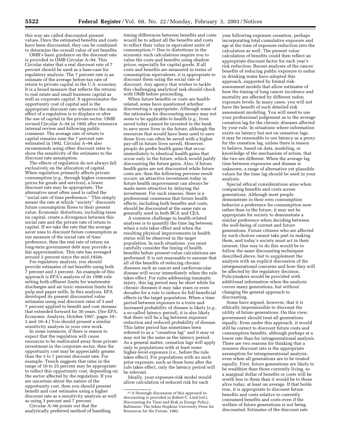this way are called discounted present values. Once the estimated benefits and costs have been discounted, they can be combined to determine the overall value of net benefits.

OMB's basic guidance on the discount rate is provided in OMB Circular A–94. This Circular states that a real discount rate of 7 percent should be used as a base-case for regulatory analysis. The 7 percent rate is an estimate of the average before-tax rate of return to private capital in the U.S. economy. It is a broad measure that reflects the returns to real estate and small business capital as well as corporate capital. It approximates the opportunity cost of capital and is the appropriate discount rate whenever the main effect of a regulation is to displace or alter the use of capital in the private sector. OMB revised Circular A–94 in 1992 after extensive internal review and following public comment. The average rate of return to capital remains near the 7 percent rate estimated in 1992. Circular A–94 also recommends using other discount rates to show the sensitivity of the estimates to the discount rate assumption.

The effects of regulation do not always fall exclusively on the allocation of capital. When regulation primarily affects private consumption (*e.g.*, through higher consumer prices for goods and services), a lower discount rate may be appropriate. The alternative most often used is called the ''social rate of time preference.'' This simply means the rate at which ''society'' discounts future consumption flows to their present value. Economic distortions, including taxes on capital, create a divergence between this social rate and the private rate of return to capital. If we take the rate that the average saver uses to discount future consumption as our measure of the social rate of time preference, then the real rate of return on long-term government debt may provide a fair approximation. This rate has averaged around 3 percent since the mid-1950s.

For regulatory analysis, you should provide estimates of net benefits using both 7 percent and 3 percent. An example of this approach is EPA's analysis of its 1998 rule setting both effluent limits for wastewater discharges and air toxic emission limits for pulp and paper mills. In this analysis, EPA developed its present discounted value estimates using real discount rates of 3 and 7 percent applied to benefit and cost streams that extended forward for 30 years. (*See* EPA, Economic Analysis, October 1997, pages 10– 3 and 10–4.) You should present a similar sensitivity analysis in your own work.

In some instances, if there is reason to expect that the regulation will cause resources to be reallocated away from private investment in the corporate sector, then the opportunity cost may be appreciably greater than the 3 to 7 percent discount rate. For example, Tresch suggests that rates in the range of 10 to 25 percent may be appropriate to reflect this opportunity cost, depending on the sector affected by the regulation. If you are uncertain about the nature of the opportunity cost, then you should present benefit and cost estimates using a higher discount rate as a sensitivity analysis as well as using 3 percent and 7 percent.

Circular A–94 points out that the analytically preferred method of handling

timing differences between benefits and costs would be to adjust all the benefits and costs to reflect their value in equivalent units of consumption.21 Due to distortions in the economy such calculations require you to value the costs and benefits using shadow prices, especially for capital goods. If all costs and benefits are measured in terms of consumption equivalents, it is appropriate to discount them using the social rate of discount. Any agency that wishes to tackle this challenging analytical task should check with OMB before proceeding.

When future benefits or costs are healthrelated, some have questioned whether discounting is appropriate. Although some of the rationales for discounting money may not seem to be applicable to health (*e.g.*, lives saved today cannot be invested in the bank to save more lives in the future, although the resources that would have been used to save those lives can often be saved with a higher pay-off in future lives saved). However, people do prefer health gains that occur immediately to identical health gains that occur only in the future, which would justify discounting the future gains. Also, if future health gains are not discounted while future costs are, then the following perverse result occurs: an attractive investment today in future health improvement can always be made more attractive by delaying the investment. For such reasons, there is a professional consensus that future health effects, including both benefits and costs, should be discounted at the same rate as generally used in both BCA and CEA.

A common challenge in health-related analyses is to quantify the time lag between when a rule takes effect and when the resulting physical improvements in health status will be observed in the target population. In such situations, you must carefully consider the timing of health benefits before present-value calculations are performed. It is not reasonable to assume that all of the benefits of reducing chronic diseases such as cancer and cardiovascular disease will occur immediately when the rule takes effect. For rules addressing traumatic injury, this lag period may be short while for chronic diseases it may take years or even decades for a rule to induce its full beneficial effects in the target population. When a time period between exposure to a toxin and increased probability of disease is likely (*e.g.*, a so-called latency period), it is also likely that there will be a lag between exposure reduction and reduced probability of disease. This latter period has sometimes been referred to as a ''cessation lag'' and it may or may not be the same as the latency period. As a general matter, cessation lags will apply only to populations with at least some higher-level exposure (*i.e.*, before the rule takes effect). For populations with no such prior exposure, such as those born after the rule takes effect, only the latency period will be relevant.

Ideally, your exposure-risk model would allow calculation of reduced risk for each

year following exposure cessation, perhaps incorporating total cumulative exposure and age at the time of exposure reduction into the calculation as well. The present value calculation of benefits could then reflect an appropriate discount factor for each year's risk reduction. Recent analyses of the cancer benefits of reducing public exposure to radon in drinking water have adopted this approach, supported by formal riskassessment models that allow estimates of how the timing of lung cancer incidence and mortality are affected by different radon exposure levels. In many cases, you will not have the benefit of such detailed risk assessment modeling. You will need to use your professional judgement as to the average cessation lag for the chronic diseases affected by your rule. In situations where information exists on latency but not on cessation lags, it may be reasonable to use latency as a proxy for the cessation lag, unless there is reason to believe, based on data, modeling, or knowledge of the mechanism of action, that the two are different. When the average lag time between exposures and disease is unknown, a range of alternative yet plausible values for the time lag should be used in your analysis.

Special ethical considerations arise when comparing benefits and costs across generations. Although most people demonstrate in their own consumption behavior a preference for consumption now rather than in the future, it may not be appropriate for society to demonstrate a similar preference when deciding between the well-being of current and future generations. Future citizens who are affected by such choices cannot take part in making them, and today's society must act in their interest. One way to do this would be to follow the same discounting techniques described above, but to supplement the analysis with an explicit discussion of the intergenerational concerns and how they will be affected by the regulatory decision. Policymakers would be provided with additional information when the analysis covers many generations, but without changing the general approach to discounting.

Some have argued, however, that it is ethically impermissible to discount the utility of future generations. On this view, government should treat all generations equally. Even under this approach, it would still be correct to discount future costs and consumption benefits, although perhaps at a lower rate than for intragenerational analysis. There are two reasons for thinking that a nonzero discount rate is the appropriate assumption for intergenerational analysis, even when all generations are to be treated equally. First, future generations are likely to be wealthier than those currently living, so a marginal dollar of benefits or costs will be worth less to them than it would be to those alive today, at least on average. If that holds true, it is appropriate to discount future benefits and costs relative to currently consumed benefits and costs even if the welfare of future generations is not being discounted. Estimates of the discount rate

 $^{\rm 21}\mathrm{A}$  thorough discussion of this approach to discounting is provided in Robert C. Lind (ed.), Discounting for Time and Risk in Energy Policy, Baltimore: The Johns Hopkins University Press for Resources for the Future, 1982.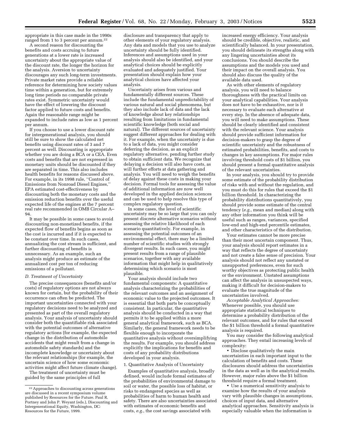appropriate in this case made in the 1990s ranged from 1 to 3 percent per annum.<sup>22</sup>

A second reason for discounting the benefits and costs accruing to future generations at a lower rate is increased uncertainty about the appropriate value of the discount rate, the longer the horizon for the analysis. Aversion to uncertainty discourages any such long-term investments. Private market rates provide a reliable reference for determining how society values time within a generation, but for extremely long time periods no comparable private rates exist. Symmetric uncertainty would have the effect of lowering the discount factor applied to future costs and benefits. Again the reasonable range might be expanded to include rates as low as 1 percent per annum.

If you choose to use a lower discount rate for intergenerational analysis, you should still be sure to show the calculated net benefits using discount rates of 3 and 7 percent as well. Discounting is appropriate whether you are doing a BCA or a CEA. Even costs and benefits that are not expressed in monetary units should be discounted if they are separated in time. This also includes health benefits for reasons discussed above. For example, in its 1998 rule, ''Control of Emissions from Nonroad Diesel Engines,'' EPA estimated cost-effectiveness by discounting both the monetary costs and the emission reduction benefits over the useful expected life of the engines at the 7 percent real rate recommended in OMB Circular A– 94.

It may be possible in some cases to avoid discounting non-monetized benefits, if the expected flow of benefits begins as soon as the cost is incurred and if it is expected to be constant over time. In such cases, annualizing the cost stream is sufficient, and further discounting of benefits is unnecessary. As an example, such an analysis might produce an estimate of the annualized cost per ton of reducing emissions of a pollutant.

#### *D. Treatment of Uncertainty*

The precise consequences (benefits and/or costs) of regulatory options are not always known for certain, but the probability of their occurrence can often be predicted. The important uncertainties connected with your regulatory decisions need to be analyzed and presented as part of the overall regulatory analysis. Your analysis of uncertainty should consider both the quantifiable risk associated with the potential outcomes of alternative regulatory actions (for example, the expected change in the distribution of automobile accidents that might result from a change in automobile safety standards) and the incomplete knowledge or uncertainty about the relevant relationships (for example, the uncertain science of how some economic activities might affect future climate change).

The treatment of uncertainty must be guided by the same principles of full

disclosure and transparency that apply to other elements of your regulatory analysis. Any data and models that you use to analyze uncertainty should be fully identified. Inferences and assumptions used in your analysis should also be identified, and your analytical choices should be explicitly evaluated and adequately justified. Your presentation should explain how your analytical choices have affected your analysis.

Uncertainty arises from various and fundamentally different sources. These include the fundamental unpredictability of various natural and social phenomena, but they also include lack of data and the lack of knowledge about key relationships resulting from limitations in fundamental scientific knowledge (both social and natural). The different sources of uncertainty suggest different approaches for dealing with it. For example, when the uncertainty is due to a lack of data, you might consider deferring the decision, as an explicit regulatory alternative, pending further study to obtain sufficient data. We recognize that delaying a decision will also have costs, as will further efforts at data gathering and analysis. You will need to weigh the benefits of delay against these costs in making your decision. Formal tools for assessing the value of additional information are now well developed in the applied decision sciences and can be used to help resolve this type of complex regulatory question.

In some cases, the level of scientific uncertainty may be so large that you can only present discrete alternative scenarios without assessing the relative likelihood of each scenario quantitatively. For example, in assessing the potential outcomes of an environmental effect, there may be a limited number of scientific studies with strongly divergent results. In such cases, you might present results from a range of plausible scenarios, together with any available information that might help in qualitatively determining which scenario is most plausible.

Your analysis should include two fundamental components: A quantitative analysis characterizing the probabilities of the relevant outcomes and an assignment of economic value to the projected outcomes. It is essential that both parts be conceptually consistent. In particular, the quantitative analysis should be conducted in a way that permits it to be applied within a more general analytical framework, such as BCA. Similarly, the general framework needs to be flexible enough to incorporate the quantitative analysis without oversimplifying the results. For example, you should address explicitly the implications for benefits and costs of any probability distributions developed in your analysis.

1. Quantitative Analysis of Uncertainty

Examples of quantitative analysis, broadly defined, would include formal estimates of the probabilities of environmental damage to soil or water, the possible loss of habitat, or risks to endangered species as well as probabilities of harm to human health and safety. There are also uncertainties associated with estimates of economic benefits and costs, *e.g.*, the cost savings associated with

increased energy efficiency. Your analysis should be credible, objective, realistic, and scientifically balanced. In your presentation, you should delineate its strengths along with any lingering uncertainties about its conclusions. You should describe the assumptions and the models you used and their impact on the overall analysis. You should also discuss the quality of the available data used.

As with other elements of regulatory analysis, you will need to balance thoroughness with the practical limits on your analytical capabilities. Your analysis does not have to be exhaustive, nor is it necessary to evaluate each alternative at every step. In the absence of adequate data, you will need to make assumptions. These should be clearly identified and consistent with the relevant science. Your analysis should provide sufficient information for decision-makers to grasp the degree of scientific uncertainty and the robustness of estimated probabilities, benefits, and costs to changes in key assumptions. For major rules involving threshold costs of \$1 billion, you should present a formal quantitative analysis of the relevant uncertainties.

In your analysis, you should try to provide some estimate of the probability distribution of risks with and without the regulation, and you must do this for rules that exceed the \$1 billion threshold. In characterizing the probability distributions quantitatively, you should provide some estimate of the central tendency (*e.g.*, mean and median) along with any other information you think will be useful such as ranges, variances, specified low-end and high-end percentile estimates, and other characteristics of the distribution.

Your estimates cannot be more precise than their most uncertain component. Thus, your analysis should report estimates in a way that reflects the degree of uncertainty and not create a false sense of precision. Your analysis should not reflect any unstated or unsupported preferences, even for such worthy objectives as protecting public health or the environment. Unstated assumptions can affect the analysis in unsuspected ways, making it difficult for decision-makers to evaluate the true magnitude of the uncertainties involved.

*Acceptable Analytical Approaches:* Whenever possible, you should use appropriate statistical techniques to determine a probability distribution of the relevant outcomes, and for rules that exceed the \$1 billion threshold a formal quantitative analysis is required.

You may consider the following analytical approaches. They entail increasing levels of complexity:

• Disclose qualitatively the main uncertainties in each important input to the calculation of benefits and costs. These disclosures should address the uncertainties in the data as well as in the analytical results. However, major rules above the \$1 billion threshold require a formal treatment.

• Use a numerical sensitivity analysis to examine how the results of your analysis vary with plausible changes in assumptions, choices of input data, and alternative analytical approaches. Sensitivity analysis is especially valuable when the information is

<sup>22</sup>Approaches to discounting across generations are discussed in a recent symposium volume published by Resources for the Future. Paul R. Portney and John P. Weyant (eds.), Discounting and Intergenerational Equity, Washington, DC: Resources for the Future, 1999.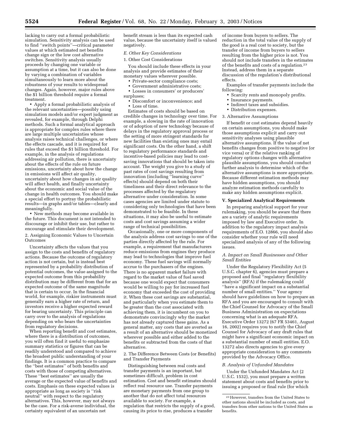lacking to carry out a formal probabilistic simulation. Sensitivity analysis can be used to find ''switch points''—critical parameter values at which estimated net benefits change sign or the low cost alternative switches. Sensitivity analysis usually proceeds by changing one variable or assumption at a time, but it can also be done by varying a combination of variables simultaneously to learn more about the robustness of your results to widespread changes. Again, however, major rules above the \$1 billion threshold require a formal treatment.

• Apply a formal probabilistic analysis of the relevant uncertainties—possibly using simulation models and/or expert judgment as revealed, for example, through Delphi methods. Such a formal analytical approach is appropriate for complex rules where there are large multiple uncertainties whose analysis raises technical challenges, or where the effects cascade, and it is required for rules that exceed the \$1 billion threshold. For example, in the analysis of regulations addressing air pollution, there is uncertainty about the effects of the rule on future emissions, uncertainty about how the change in emissions will affect air quality, uncertainty about how changes in air quality will affect health, and finally uncertainty about the economic and social value of the change in health outcomes. You should make a special effort to portray the probabilistic results—in graphs and/or tables—clearly and meaningfully.

• New methods may become available in the future. This document is not intended to discourage or inhibit their use, but rather to encourage and stimulate their development.

2. Assigning Economic Values to Uncertain Outcomes

Uncertainty affects the values that you assign to the costs and benefits of regulatory actions. Because the outcome of regulatory action is not certain, but is instead best represented by a probability distribution of potential outcomes, the value assigned to the expected outcome from this probability distribution may be different from that for an expected outcome of the same magnitude that is certain to occur. In the financial world, for example, riskier instruments must generally earn a higher rate of return, and investors receive a higher expected reward for bearing uncertainty. This principle can carry over to the analysis of regulations depending on who bears the uncertainties from regulatory decisions.

When reporting benefit and cost estimates, where there is a distribution of outcomes, you will often find it useful to emphasize summary statistics or figures that can be readily understood and compared to achieve the broadest public understanding of your findings. It is a common practice to compare the ''best estimates'' of both benefits and costs with those of competing alternatives. These ''best estimates'' are usually the average or the expected value of benefits and costs. Emphasis on these expected values is appropriate as long as society is ''risk neutral'' with respect to the regulatory alternatives. This, however, may not always be the case. For a risk-averse individual, the certainty equivalent of an uncertain net

benefit stream is less than its expected cash value, because the uncertainty itself is valued negatively.

#### *E. Other Key Considerations*

1. Other Cost Considerations

You should include these effects in your analysis and provide estimates of their monetary values wherever possible.

- Private-sector compliance costs;
- Government administrative costs;
- Losses in consumers' or producers' surpluses;
	- Discomfort or inconvenience; and
	- Loss of time.

Estimates of costs should be based on credible changes in technology over time. For example, a slowing in the rate of innovation or of adoption of new technology because of delays in the regulatory approval process or the setting of more stringent standards for new facilities than existing ones may entail significant costs. On the other hand, a shift to regulatory performance standards and incentive-based policies may lead to costsaving innovations that should be taken into account. The weight you give to a study of past rates of cost savings resulting from innovation (including ''learning curve'' effects) should depend on both their timeliness and their direct relevance to the processes affected by the regulatory alternative under consideration. In some cases agencies are limited under statute to considering only technologies that have been demonstrated to be feasible. In these situations, it may also be useful to estimate costs and cost savings assuming a wider range of technical possibilities.

Occasionally, one or more components of the analysis address cost savings to one of the parties directly affected by the rule. For example, a requirement that manufacturers reduce emissions from engines they produce may lead to technologies that improve fuel economy. These fuel savings will normally accrue to the purchasers of the engines. There is no apparent market failure with regard to the market value of fuel saved because one would expect that consumers would be willing to pay for increased fuel economy that exceeded the cost of providing it. When these cost savings are substantial, and particularly when you estimate them to be greater than the cost associated with achieving them, it is incumbent on you to demonstrate convincingly why the market has not already captured these gains. As a general matter, any costs that are averted as a result of an alternative should be monetized wherever possible and either added to the benefits or subtracted from the costs of that alternative.

2. The Difference Between Costs (or Benefits) and Transfer Payments

Distinguishing between real costs and transfer payments is an important, but sometimes difficult, problem in cost estimation. Cost and benefit estimates should reflect real resource use. Transfer payments are monetary payments from one group to another that do not affect total resources available to society. For example, a regulation that restricts the supply of a good, causing its price to rise, produces a transfer

of income from buyers to sellers. The reduction in the total value of the supply of the good is a real cost to society, but the transfer of income from buyers to sellers resulting from the higher price is not. You should not include transfers in the estimates of the benefits and costs of a regulation.23 Instead, address them in a separate discussion of the regulation's distributional effects.

Examples of transfer payments include the following:

- Scarcity rents and monopoly profits.
- Insurance payments.
- Indirect taxes and subsidies.
- Distribution expenses.
- 3. Alternative Assumptions

If benefit or cost estimates depend heavily on certain assumptions, you should make those assumptions explicit and carry out sensitivity analyses using plausible alternative assumptions. If the value of net benefits changes from positive to negative (or vice versa) or if the relative ranking of regulatory options changes with alternative plausible assumptions, you should conduct further analysis to determine which of the alternative assumptions is more appropriate. Because different estimation methods may have hidden assumptions, you should analyze estimation methods carefully to make any hidden assumptions explicit.

# **V. Specialized Analytical Requirements**

In preparing analytical support for your rulemaking, you should be aware that there are a variety of analytic requirements imposed by law and Executive order. In addition to the regulatory impact analysis requirements of E.O. 12866, you should also consider whether your rule will need specialized analysis of any of the following issues.

#### *A. Impact on Small Businesses and Other Small Entities*

Under the Regulatory Flexibility Act (5 U.S.C. chapter 6), agencies must prepare a proposed and final ''regulatory flexibility analysis'' (RFA) if the rulemaking could ''have a significant impact on a substantial number of small entities.'' Your agency should have guidelines on how to prepare an RFA and you are encouraged to consult with the Chief Counsel for Advocacy of the Small Business Administration on expectations concerning what is an adequate RFA. Executive Order 13272 (67 FR 53461, August 16, 2002) requires you to notify the Chief Counsel for Advocacy of any draft rules that might have a significant economic impact on a substantial number of small entities. E.O. 13272 also directs agencies to give every appropriate consideration to any comments provided by the Advocacy Office.

#### *B. Analysis of Unfunded Mandates*

Under the Unfunded Mandates Act (2 U.S.C. 1532), you must prepare a written statement about costs and benefits prior to issuing a proposed or final rule (for which

<sup>23</sup>However, transfers from the United States to other nations should be included as costs, and transfers from other nations to the United States as benefits.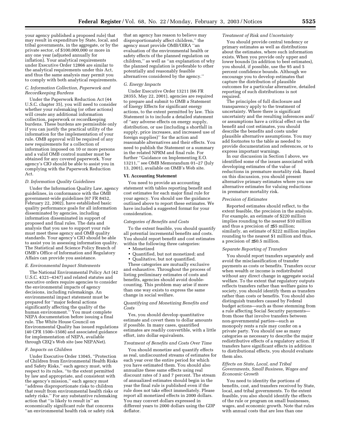your agency published a proposed rule) that may result in expenditure by State, local, and tribal governments, in the aggregate, or by the private sector, of \$100,000,000 or more in any one year (adjusted annually for inflation). Your analytical requirements under Executive Order 12866 are similar to the analytical requirements under this Act, and thus the same analysis may permit you to comply with both analytical requirements.

#### *C. Information Collection, Paperwork and Recordkeeping Burdens*

Under the Paperwork Reduction Act (44 U.S.C. chapter 35), you will need to consider whether your rulemaking (or other actions) will create any additional information collection, paperwork or recordkeeping burdens. These burdens are permissible only if you can justify the practical utility of the information for the implementation of your rule. OMB approval will be required of any new requirements for a collection of information imposed on 10 or more persons and a valid OMB control number must be obtained for any covered paperwork. Your agency's CIO should be able to assist you in complying with the Paperwork Reduction Act.

#### *D. Information Quality Guidelines*

Under the Information Quality Law, agency guidelines, in conformance with the OMB government-wide guidelines (67 FR 8452, February 22, 2002), have established basic quality performance goals for all information disseminated by agencies, including information disseminated in support of proposed and final rules. The data and analysis that you use to support your rule must meet these agency and OMB quality standards. Your agency's CIO should be able to assist you in assessing information quality. The Statistical and Science Policy Branch of OMB's Office of Information and Regulatory Affairs can provide you assistance.

#### *E. Environmental Impact Statements*

The National Environmental Policy Act (42 U.S.C. 4321–4347) and related statutes and executive orders require agencies to consider the environmental impacts of agency decisions, including rulemakings. An environmental impact statement must be prepared for ''major federal actions significantly affecting the quality of the human environment.'' You must complete NEPA documentation before issuing a final rule. The White House Council on Environmental Quality has issued regulations (40 CFR 1500–1508) and associated guidance for implementation of NEPA, available through CEQ's Web site (see NEPANet).

#### *F. Impacts on Children*

Under Executive Order 13045, ''Protection of Children from Environmental Health Risks and Safety Risks,'' each agency must, with respect to its rules, ''to the extent permitted by law and appropriate, and consistent with the agency's mission,'' each agency must ''address disproportionate risks to children that result from environmental health risks or safety risks.'' For any substantive rulemaking action that ''is likely to result in'' an economically significant rule that concerns ''an environmental health risk or safety risk

that an agency has reason to believe may disproportionately affect children,'' the agency must provide OMB/OIRA ''an evaluation of the environmental health or safety effects of the planned regulation on children,'' as well as ''an explanation of why the planned regulation is preferable to other potentially and reasonably feasible alternatives considered by the agency.''

#### *G. Energy Impacts*

Under Executive Order 13211 (66 FR 28355, May 22, 2001), agencies are required to prepare and submit to OMB a Statement of Energy Effects for significant energy actions, to the extent permitted by law. This Statement is to include a detailed statement of ''any adverse effects on energy supply, distribution, or use (including a shortfall in supply, price increases, and increased use of foreign supplies)'' for the action and reasonable alternatives and their effects. You need to publish the Statement or a summary in the related NPRM and final rule. For further ''Guidance on Implementing E.O. 13211,'' see OMB Memorandum 01–27 (July 13, 2001), available on OMB's Web site.

#### **VI. Accounting Statement**

You need to provide an accounting statement with tables reporting benefit and cost estimates for each major final rule for your agency. You should use the guidance outlined above to report these estimates. We have included a suggested format for your consideration.

#### *Categories of Benefits and Costs*

To the extent feasible, you should quantify all potential incremental benefits and costs. You should report benefit and cost estimates within the following three categories:

- Monetized
- Quantified, but not monetized; and
- Qualitative, but not quantified.

These categories are mutually exclusive and exhaustive. Throughout the process of listing preliminary estimates of costs and benefits, agencies should avoid doublecounting. This problem may arise if more than one way exists to express the same change in social welfare.

#### *Quantifying and Monetizing Benefits and Costs*

Yes, you should develop quantitative estimate and covert them to dollar amounts if possible. In many cases, quantified estimates are readily convertible, with a little effort, into dollar equivalents.

#### *Treatment of Benefits and Costs Over Time*

You should monetize and quantify effects as real, undiscounted streams of estimates for each year over the entire period for which you have estimated them. You should also annualize these same effects using real discount rates of 3 and 7 percent. The stream of annualized estimates should begin in the year the final rule is published even if the rule does not take effect immediately. Please report all monetized effects in 2000 dollars. You may convert dollars expressed in different years to 2000 dollars using the GDP deflator.

#### *Treatment of Risk and Uncertainty*

You should provide central tendency or primary estimates as well as distributions about the estimates, where such information exists. When you provide only upper and lower bounds (in addition to best estimates), you should, if possible, use the 95 and 5 percent confidence bounds. Although we encourage you to develop estimates that capture the distribution of plausible outcomes for a particular alternative, detailed reporting of such distributions is not required.

The principles of full disclosure and transparency apply to the treatment of uncertainty. Where there is significant uncertainty and the resulting inferences and/ or assumptions have a critical effect on the benefit and cost estimates, you should describe the benefits and costs under plausible alternative assumptions. You may add footnotes to the table as needed to provide documentation and references, or to express important warnings.

In our discussion in Section I above, we identified some of the issues associated with developing estimates of the value of reductions in premature mortality risk. Based on this discussion, you should present alternative primary estimates where you use alternative estimates for valuing reductions in premature mortality risk.

#### *Precision of Estimates*

Reported estimates should reflect, to the extent feasible, the precision in the analysis. For example, an estimate of \$220 million implies rounding to the nearest \$10 million and thus a precision of ±\$5 million; similarly, an estimate of \$222 million implies rounding to the nearest \$1 million and thus, a precision of ±\$0.5 million.

#### *Separate Reporting of Transfers*

You should report transfers separately and avoid the misclassification of transfer payments as costs or benefits. Transfers occur when wealth or income is redistributed without any direct change in aggregate social welfare. To the extent that regulatory outputs reflects transfers rather than welfare gains to society, you should identify them as transfers rather than costs or benefits. You should also distinguish transfers caused by Federal budget actions—such as those stemming from a rule affecting Social Security payments from those that involve transfers between non-governmental parties—such as monopoly rents a rule may confer on a private party. You should use as many categories as necessary to describe the major redistributive effects of a regulatory action. If transfers have significant effects in addition to distributional effects, you should evaluate them also.

#### *Effects on State, Local, and Tribal Governments, Small Business, Wages and Economic Growth*

You need to identity the portions of benefits, cost, and transfers received by State, local, and tribal governments. To the extent feasible, you also should identify the effects of the rule or program on small businesses, wages, and economic growth. Note that rules with annual costs that are less than one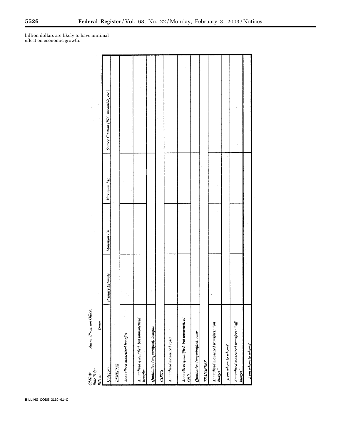| Agency/Program Office:<br>Rule Title:<br>$OMB +$  |                  |              |              |                                       |
|---------------------------------------------------|------------------|--------------|--------------|---------------------------------------|
| Date:<br>RIN#                                     |                  |              |              |                                       |
| Category                                          | Primary Estimate | Minimum Est. | Maximum Est. | Source Citation (RIA, preamble, etc.) |
| <b>BENEFITS</b>                                   |                  |              |              |                                       |
| Annualized monetized benefits                     |                  |              |              |                                       |
| Annualized quantified, but unmonetize<br>benefits |                  |              |              |                                       |
| Qualitative (unquantified) benefits               |                  |              |              |                                       |
| COSTS                                             |                  |              |              |                                       |
| Annualized monetized costs                        |                  |              |              |                                       |
| Annualized quantified, but unmonetize<br>costs    |                  |              |              |                                       |
| Qualitative (unquantified) costs                  |                  |              |              |                                       |
| TRANSFERS                                         |                  |              |              |                                       |
| Annualized monetized transfers: "on<br>budget"    |                  |              |              |                                       |
| from whom to whom?                                |                  |              |              |                                       |
| Annualized monetized transfers: "off<br>budget"   |                  |              |              |                                       |

from whom to whom?

 $\equiv$ 

billion dollars are likely to have minimal effect on economic growth.

 $\equiv$